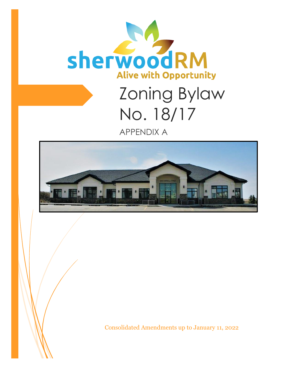

# Zoning Bylaw No. 18/17 APPENDIX A



Consolidated Amendments up to January 11, 2022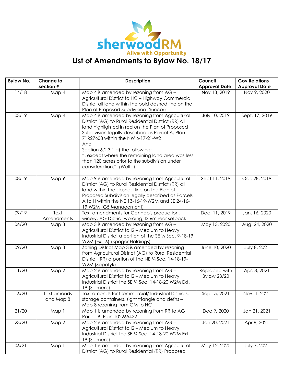

| <b>Bylaw No.</b> | Change to                | <b>Description</b>                                                                                                                                                                                                                                                                                                                                                                                                            | Council<br><b>Gov Relations</b>     |                      |
|------------------|--------------------------|-------------------------------------------------------------------------------------------------------------------------------------------------------------------------------------------------------------------------------------------------------------------------------------------------------------------------------------------------------------------------------------------------------------------------------|-------------------------------------|----------------------|
|                  | Section #                |                                                                                                                                                                                                                                                                                                                                                                                                                               | <b>Approval Date</b>                | <b>Approval Date</b> |
| 14/18            | Map 4                    | Map 4 is amended by rezoning from AG -<br>Agricultural District to HC - Highway Commercial<br>District all land within the bold dashed line on the<br>Plan of Proposed Subdivision (Suncor)                                                                                                                                                                                                                                   | Nov 13, 2019                        | Nov 9, 2020          |
| 03/19            | Map 4                    | Map 4 is amended by rezoning from Agricultural<br>District (AG) to Rural Residential District (RR) all<br>land highlighted in red on the Plan of Proposed<br>Subdivision legally described as Parcel A, Plan<br>71R27608 within the NW 6-17-21-W2<br>And<br>Section 6.2.3.1 a) the following:<br>", except where the remaining land area was less<br>than 120 acres prior to the subdivision under<br>consideration." (Wolfe) | July 10, 2019                       | Sept. 17, 2019       |
| 08/19            | Map 9                    | Map 9 is amended by rezoning from Agricultural<br>District (AG) to Rural Residential District (RR) all<br>land within the dashed line on the Plan of<br>Proposed Subdivision legally described as Parcels<br>A to H within the NE 13-16-19-W2M and SE 24-16-<br>19 W2M (G5 Management)                                                                                                                                        | Sept 11, 2019                       | Oct. 28, 2019        |
| 09/19            | Text<br>Amendments       | Text amendments for Cannabis production,<br>winery, AG District wording, I2 6m rear setback                                                                                                                                                                                                                                                                                                                                   | Dec. 11, 2019                       | Jan. 16, 2020        |
| 06/20            | Map 3                    | Map 3 is amended by rezoning from AG -<br>Agricultural District to I2 - Medium to Heavy<br>Industrial District a portion of the SE 1/4 Sec. 9-18-19<br>W2M (Ext. 6) (Spoger Holdings)                                                                                                                                                                                                                                         | May 13, 2020                        | Aug. 24, 2020        |
| 09/20            | Map 3                    | Zoning District Map 3 is amended by rezoning<br>from Agricultural District (AG) to Rural Residential<br>District (RR) a portion of the NE 1/4 Sec. 14-18-19-<br>W2M (Sopotyk)                                                                                                                                                                                                                                                 | June 10, 2020                       | July 8, 2021         |
| 11/20            | Map 2                    | Map 2 is amended by rezoning from $\overline{AG}$ -<br>Agricultural District to I2 - Medium to Heavy<br>Industrial District the SE 1/4 Sec. 14-18-20 W2M Ext.<br>19 (Siemens)                                                                                                                                                                                                                                                 | Replaced with<br><b>Bylaw 23/20</b> | Apr. 8, 2021         |
| 16/20            | Text amends<br>and Map 8 | Text amends for Commercial/ Industrial Districts,<br>storage containers, sight triangle and defns -<br>Map 8 rezoning from CM to HC                                                                                                                                                                                                                                                                                           | Sep 15, 2021                        | Nov. 1, 2021         |
| 21/20            | Map 1                    | Map 1 is amended by rezoning from RR to AG<br>Parcel B, Plan 102265422                                                                                                                                                                                                                                                                                                                                                        | Dec 9, 2020                         | Jan 21, 2021         |
| 23/20            | Map 2                    | Map 2 is amended by rezoning from AG -<br>Agricultural District to I2 - Medium to Heavy<br>Industrial District the SE 1/4 Sec. 14-18-20 W2M Ext.<br>19 (Siemens)                                                                                                                                                                                                                                                              | Jan 20, 2021                        | Apr 8, 2021          |
| 06/21            | Map 1                    | Map 1 is amended by rezoning from Agricultural<br>District (AG) to Rural Residential (RR) Proposed                                                                                                                                                                                                                                                                                                                            | May 12, 2020                        | July 7, 2021         |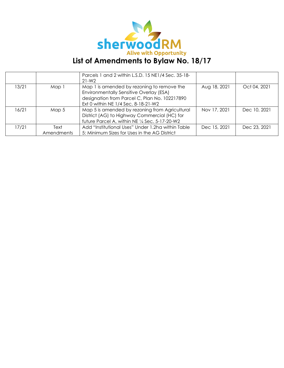

|       |                    | Parcels 1 and 2 within L.S.D. 15 NE1/4 Sec. 35-18-<br>$21 - W2$                                                                                                               |              |              |
|-------|--------------------|-------------------------------------------------------------------------------------------------------------------------------------------------------------------------------|--------------|--------------|
| 13/21 | Map 1              | Map 1 is amended by rezoning to remove the<br>Environmentally Sensitive Overlay (ESA)<br>designation from Parcel C, Plan No. 102217890<br>Ext 0 within NE 1/4 Sec. 8-18-21-W2 | Aug 18, 2021 | Oct 04, 2021 |
| 16/21 | Map 5              | Map 5 is amended by rezoning from Agricultural<br>District (AG) to Highway Commercial (HC) for<br>future Parcel A, within NE 1/4 Sec. 5-17-20-W2                              | Nov 17, 2021 | Dec 10, 2021 |
| 17/21 | Text<br>Amendments | Add "Institutional Uses" Under 1.2ha within Table<br>5: Minimum Sizes for Uses in the AG District                                                                             | Dec 15, 2021 | Dec 23, 2021 |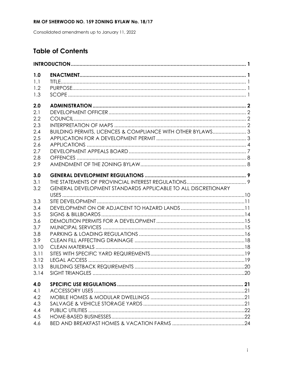Consolidated amendments up to January 11, 2022

### **Table of Contents**

| 1.0<br>1.1 |                                                               |  |
|------------|---------------------------------------------------------------|--|
| 1.2        |                                                               |  |
| 1.3        |                                                               |  |
| 2.0        |                                                               |  |
| 2.1        |                                                               |  |
| 2.2        |                                                               |  |
| 2.3        |                                                               |  |
| 2.4        | BUILDING PERMITS, LICENCES & COMPLIANCE WITH OTHER BYLAWS 3   |  |
| 2.5        |                                                               |  |
| 2.6        |                                                               |  |
| 2.7        |                                                               |  |
| 2.8        |                                                               |  |
| 2.9        |                                                               |  |
| 3.0        |                                                               |  |
| 3.1        |                                                               |  |
| 3.2        | GENERAL DEVELOPMENT STANDARDS APPLICABLE TO ALL DISCRETIONARY |  |
| 3.3        |                                                               |  |
| 3.4        |                                                               |  |
| 3.5        |                                                               |  |
| 3.6        |                                                               |  |
| 3.7        |                                                               |  |
| 3.8        |                                                               |  |
| 3.9        |                                                               |  |
| 3.10       |                                                               |  |
| 3.11       |                                                               |  |
| 3.12       |                                                               |  |
| 3.13       |                                                               |  |
| 3.14       |                                                               |  |
| 4.0        |                                                               |  |
| 4.1        |                                                               |  |
| 4.2        |                                                               |  |
| 4.3        |                                                               |  |
| 4.4        |                                                               |  |
| 4.5        |                                                               |  |
| 4.6        |                                                               |  |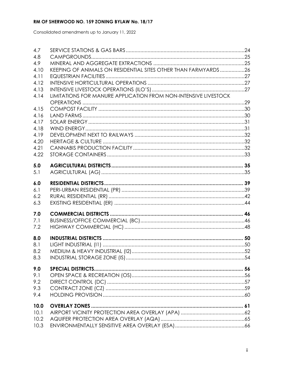Consolidated amendments up to January 11, 2022

| 4.7  |                                                                 |  |
|------|-----------------------------------------------------------------|--|
| 4.8  |                                                                 |  |
| 4.9  |                                                                 |  |
| 4.10 | KEEPING OF ANIMALS ON RESIDENTIAL SITES OTHER THAN FARMYARDS26  |  |
| 4.11 |                                                                 |  |
| 4.12 |                                                                 |  |
| 4.13 |                                                                 |  |
| 4.14 | LIMITATIONS FOR MANURE APPLICATION FROM NON-INTENSIVE LIVESTOCK |  |
|      |                                                                 |  |
| 4.15 |                                                                 |  |
| 4.16 |                                                                 |  |
| 4.17 |                                                                 |  |
| 4.18 |                                                                 |  |
| 4.19 |                                                                 |  |
| 4.20 |                                                                 |  |
| 4.21 |                                                                 |  |
| 4.22 |                                                                 |  |
| 5.0  |                                                                 |  |
| 5.1  |                                                                 |  |
|      |                                                                 |  |
| 6.0  |                                                                 |  |
| 6.1  |                                                                 |  |
| 6.2  |                                                                 |  |
| 6.3  |                                                                 |  |
|      |                                                                 |  |
| 7.0  |                                                                 |  |
| 7.1  |                                                                 |  |
| 7.2  |                                                                 |  |
| 8.0  |                                                                 |  |
| 8.1  |                                                                 |  |
| 8.2  |                                                                 |  |
| 8.3  |                                                                 |  |
|      |                                                                 |  |
| 9.0  |                                                                 |  |
| 9.1  |                                                                 |  |
| 9.2  |                                                                 |  |
| 9.3  |                                                                 |  |
| 9.4  |                                                                 |  |
| 10.0 |                                                                 |  |
| 10.1 |                                                                 |  |
| 10.2 |                                                                 |  |
| 10.3 |                                                                 |  |
|      |                                                                 |  |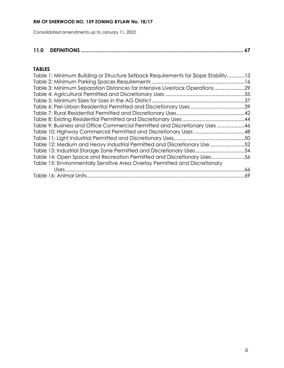Consolidated amendments up to January 11, 2022

### **11.0 DEFINITIONS [................................................................................................................](#page-73-0) 67**

#### **TABLES**

| Table 1: Minimum Building or Structure Setback Requirements for Slope Stability13 |  |
|-----------------------------------------------------------------------------------|--|
|                                                                                   |  |
| Table 3: Minimum Separation Distances for Intensive Livestock Operations29        |  |
|                                                                                   |  |
|                                                                                   |  |
|                                                                                   |  |
|                                                                                   |  |
|                                                                                   |  |
| Table 9: Business and Office Commercial Permitted and Discretionary Uses 46       |  |
|                                                                                   |  |
|                                                                                   |  |
| Table 12: Medium and Heavy Industrial Permitted and Discretionary Use 52          |  |
| Table 13: Industrial Storage Zone Permitted and Discretionary Uses54              |  |
| Table 14: Open Space and Recreation Permitted and Discretionary Uses56            |  |
| Table 15: Environmentally Sensitive Area Overlay Permitted and Discretionary      |  |
|                                                                                   |  |
|                                                                                   |  |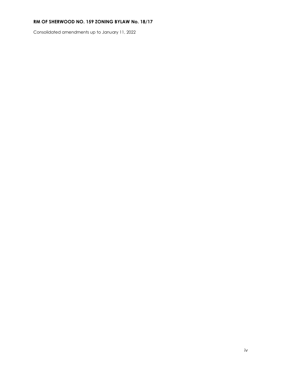Consolidated amendments up to January 11, 2022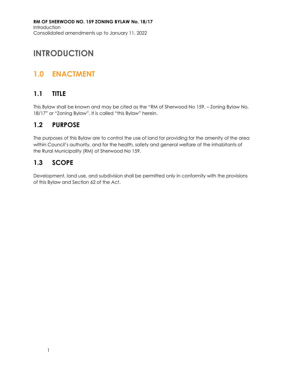**RM OF SHERWOOD NO. 159 ZONING BYLAW No. 18/17** Introduction Consolidated amendments up to January 11, 2022

## <span id="page-7-0"></span>**INTRODUCTION**

## <span id="page-7-1"></span>**1.0 ENACTMENT**

### <span id="page-7-2"></span>**1.1 TITLE**

This Bylaw shall be known and may be cited as the "RM of Sherwood No 159. – Zoning Bylaw No. 18/17" or "Zoning Bylaw". It is called "this Bylaw" herein.

### <span id="page-7-3"></span>**1.2 PURPOSE**

The purposes of this Bylaw are to control the use of land for providing for the amenity of the area within Council's authority, and for the health, safety and general welfare of the inhabitants of the Rural Municipality (RM) of Sherwood No 159.

### <span id="page-7-4"></span>**1.3 SCOPE**

Development, land use, and subdivision shall be permitted only in conformity with the provisions of this Bylaw and Section 62 of the *Act*.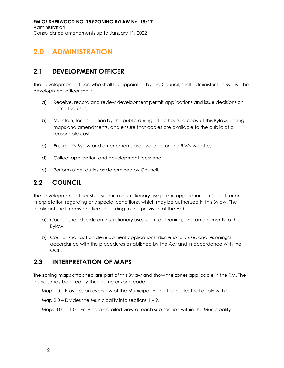**RM OF SHERWOOD NO. 159 ZONING BYLAW No. 18/17** Administration Consolidated amendments up to January 11, 2022

### <span id="page-8-0"></span>**2.0 ADMINISTRATION**

### <span id="page-8-1"></span>**2.1 DEVELOPMENT OFFICER**

The development officer, who shall be appointed by the Council, shall administer this Bylaw. The development officer shall:

- a) Receive, record and review development permit applications and issue decisions on permitted uses;
- b) Maintain, for inspection by the public during office hours, a copy of this Bylaw, zoning maps and amendments, and ensure that copies are available to the public at a reasonable cost;
- c) Ensure this Bylaw and amendments are available on the RM's website;
- d) Collect application and development fees; and,
- e) Perform other duties as determined by Council.

### <span id="page-8-2"></span>**2.2 COUNCIL**

The development officer shall submit a discretionary use permit application to Council for an interpretation regarding any special conditions, which may be authorized in this Bylaw. The applicant shall receive notice according to the provision of the *Act*.

- a) Council shall decide on discretionary uses, contract zoning, and amendments to this Bylaw.
- b) Council shall act on development applications, discretionary use, and rezoning's in accordance with the procedures established by the *Act* and in accordance with the OCP.

### <span id="page-8-3"></span>**2.3 INTERPRETATION OF MAPS**

The zoning maps attached are part of this Bylaw and show the zones applicable in the RM. The districts may be cited by their name or zone code.

Map 1.0 – Provides an overview of the Municipality and the codes that apply within.

Map  $2.0$  – Divides the Municipality into sections  $1 - 9$ .

Maps 3.0 – 11.0 – Provide a detailed view of each sub-section within the Municipality.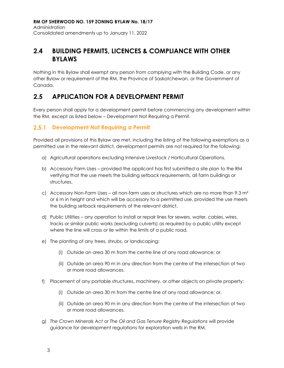### <span id="page-9-0"></span>**2.4 BUILDING PERMITS, LICENCES & COMPLIANCE WITH OTHER BYLAWS**

Nothing in this Bylaw shall exempt any person from complying with the Building Code, or any other Bylaw or requirement of the RM, the Province of Saskatchewan, or the Government of Canada.

### <span id="page-9-1"></span>**2.5 APPLICATION FOR A DEVELOPMENT PERMIT**

Every person shall apply for a development permit before commencing any development within the RM, except as listed below – Development Not Requiring a Permit.

#### **Development Not Requiring a Permit**

Provided all provisions of this Bylaw are met, including the listing of the following exemptions as a permitted use in the relevant district, development permits are not required for the following:

- a) Agricultural operations excluding Intensive Livestock / Horticultural Operations.
- b) Accessory Farm Uses provided the applicant has first submitted a site plan to the RM verifying that the use meets the building setback requirements, all farm buildings or structures.
- c) Accessory Non-Farm Uses all non-farm uses or structures which are no more than 9.3  $m<sup>2</sup>$ or 6 m in height and which will be accessory to a permitted use, provided the use meets the building setback requirements of the relevant district.
- d) Public Utilities any operation to install or repair lines for sewers, water, cables, wires, tracks or similar public works (excluding culverts) as required by a public utility except where the line will cross or lie within the limits of a public road.
- e) The planting of any trees, shrubs, or landscaping:
	- (i) Outside an area 30 m from the centre line of any road allowance; or
	- (ii) Outside an area 90 m in any direction from the centre of the intersection of two or more road allowances.
- f) Placement of any portable structures, machinery, or other objects on private property:
	- (i) Outside an area 30 m from the centre line of any road allowance; or,
	- (ii) Outside an area 90 m in any direction from the centre of the intersection of two or more road allowances.
- g) *The Crown Minerals Act* or *The Oil and Gas Tenure Registry Regulations* will provide guidance for development regulations for exploration wells in the RM.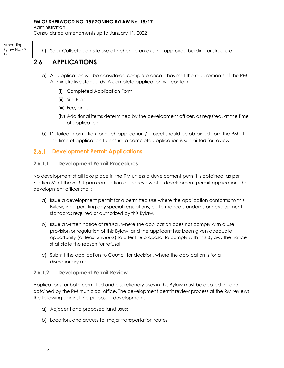Administration

Consolidated amendments up to January 11, 2022

Amending Bylaw No. 09- 19

h) Solar Collector, on-site use attached to an existing approved building or structure.

### <span id="page-10-0"></span>**2.6 APPLICATIONS**

- a) An application will be considered complete once it has met the requirements of the RM Administrative standards. A complete application will contain:
	- (i) Completed Application Form;
	- (ii) Site Plan;
	- (iii) Fee; and,
	- (iv) Additional items determined by the development officer, as required, at the time of application.
- b) Detailed information for each application / project should be obtained from the RM at the time of application to ensure a complete application is submitted for review.

#### $2.6.1$ **Development Permit Applications**

#### **2.6.1.1 Development Permit Procedures**

No development shall take place in the RM unless a development permit is obtained, as per Section 62 of the *Act*. Upon completion of the review of a development permit application, the development officer shall:

- a) Issue a development permit for a permitted use where the application conforms to this Bylaw, incorporating any special regulations, performance standards or development standards required or authorized by this Bylaw.
- b) Issue a written notice of refusal, where the application does not comply with a use provision or regulation of this Bylaw, and the applicant has been given adequate opportunity (at least 2 weeks) to alter the proposal to comply with this Bylaw. The notice shall state the reason for refusal.
- c) Submit the application to Council for decision, where the application is for a discretionary use.

#### **2.6.1.2 Development Permit Review**

Applications for both permitted and discretionary uses in this Bylaw must be applied for and obtained by the RM municipal office. The development permit review process at the RM reviews the following against the proposed development:

- a) Adjacent and proposed land uses;
- b) Location, and access to, major transportation routes;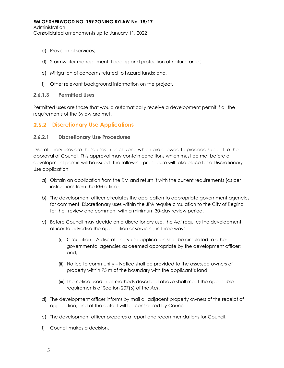Administration

Consolidated amendments up to January 11, 2022

- c) Provision of services;
- d) Stormwater management, flooding and protection of natural areas;
- e) Mitigation of concerns related to hazard lands; and,
- f) Other relevant background information on the project.

#### **2.6.1.3 Permitted Uses**

Permitted uses are those that would automatically receive a development permit if all the requirements of the Bylaw are met.

#### **Discretionary Use Applications**

#### **2.6.2.1 Discretionary Use Procedures**

Discretionary uses are those uses in each zone which are allowed to proceed subject to the approval of Council. This approval may contain conditions which must be met before a development permit will be issued. The following procedure will take place for a Discretionary Use application:

- a) Obtain an application from the RM and return it with the current requirements (as per instructions from the RM office).
- b) The development officer circulates the application to appropriate government agencies for comment. Discretionary uses within the JPA require circulation to the City of Regina for their review and comment with a minimum 30-day review period.
- c) Before Council may decide on a discretionary use, the *Act* requires the development officer to advertise the application or servicing in three ways:
	- (i) Circulation A discretionary use application shall be circulated to other governmental agencies as deemed appropriate by the development officer; and,
	- (ii) Notice to community Notice shall be provided to the assessed owners of property within 75 m of the boundary with the applicant's land.
	- (iii) The notice used in all methods described above shall meet the applicable requirements of Section 207(6) of the *Act*.
- d) The development officer informs by mail all adjacent property owners of the receipt of application, and of the date it will be considered by Council.
- e) The development officer prepares a report and recommendations for Council.
- f) Council makes a decision.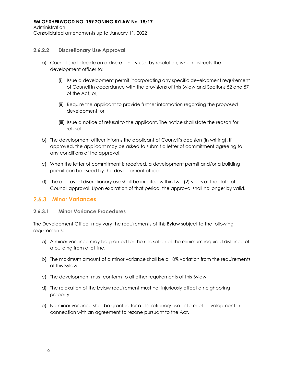Administration Consolidated amendments up to January 11, 2022

#### **2.6.2.2 Discretionary Use Approval**

- a) Council shall decide on a discretionary use, by resolution, which instructs the development officer to:
	- (i) Issue a development permit incorporating any specific development requirement of Council in accordance with the provisions of this Bylaw and Sections 52 and 57 of the Act; or,
	- (ii) Require the applicant to provide further information regarding the proposed development; or,
	- (iii) Issue a notice of refusal to the applicant. The notice shall state the reason for refusal.
- b) The development officer informs the applicant of Council's decision (in writing). If approved, the applicant may be asked to submit a letter of commitment agreeing to any conditions of the approval.
- c) When the letter of commitment is received, a development permit and/or a building permit can be issued by the development officer.
- d) The approved discretionary use shall be initiated within two (2) years of the date of Council approval. Upon expiration of that period, the approval shall no longer by valid.

#### **2.6.3 Minor Variances**

#### **2.6.3.1 Minor Variance Procedures**

The Development Officer may vary the requirements of this Bylaw subject to the following requirements:

- a) A minor variance may be granted for the relaxation of the minimum required distance of a building from a lot line.
- b) The maximum amount of a minor variance shall be a 10% variation from the requirements of this Bylaw.
- c) The development must conform to all other requirements of this Bylaw.
- d) The relaxation of the bylaw requirement must not injuriously affect a neighboring property.
- e) No minor variance shall be granted for a discretionary use or form of development in connection with an agreement to rezone pursuant to the *Act*.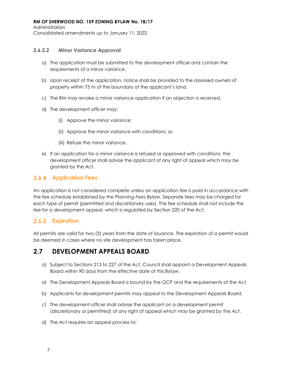Administration

Consolidated amendments up to January 11, 2022

#### **2.6.3.2 Minor Variance Approval**

- a) The application must be submitted to the development officer and contain the requirements of a minor variance.
- b) Upon receipt of the application, notice shall be provided to the assessed owners of property within 75 m of the boundary of the applicant's land.
- c) The RM may revoke a minor variance application if an objection is received.
- d) The development officer may:
	- (i) Approve the minor variance;
	- (ii) Approve the minor variance with conditions; or,
	- (iii) Refuse the minor variance.
- e) If an application for a minor variance is refused or approved with conditions, the development officer shall advise the applicant of any right of appeal which may be granted by the *Act*.

#### **2.6.4 Application Fees**

An application is not considered complete unless an application fee is paid in accordance with the fee schedule established by the *Planning Fees Bylaw*. Separate fees may be charged for each type of permit (permitted and discretionary uses). The fee schedule shall not include the fee for a development appeal, which is regulated by Section 220 of the *Act*.

### **Expiration**

All permits are valid for two (2) years from the date of issuance. The expiration of a permit would be deemed in cases where no site development has taken place.

### <span id="page-13-0"></span>**2.7 DEVELOPMENT APPEALS BOARD**

- a) Subject to Sections 213 to 227 of the *Act*, Council shall appoint a Development Appeals Board within 90 days from the effective date of this Bylaw.
- a) The Development Appeals Board is bound by the OCP and the requirements of the *Act*.
- b) Applicants for development permits may appeal to the Development Appeals Board.
- c) The development officer shall advise the applicant on a development permit (discretionary or permitted) of any right of appeal which may be granted by the *Act*.
- d) The *Act* requires an appeal process to: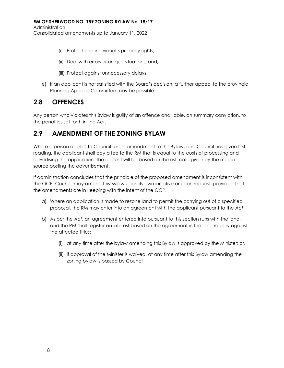Administration

Consolidated amendments up to January 11, 2022

- (i) Protect and individual's property rights;
- (ii) Deal with errors or unique situations; and,
- (iii) Protect against unnecessary delays.
- e) If an applicant is not satisfied with the Board's decision, a further appeal to the provincial Planning Appeals Committee may be possible.

### <span id="page-14-0"></span>**2.8 OFFENCES**

Any person who violates this Bylaw is guilty of an offence and liable, on summary conviction, to the penalties set forth in the *Act*.

### <span id="page-14-1"></span>**2.9 AMENDMENT OF THE ZONING BYLAW**

Where a person applies to Council for an amendment to this Bylaw, and Council has given first reading, the applicant shall pay a fee to the RM that is equal to the costs of processing and advertising the application. The deposit will be based on the estimate given by the media source posting the advertisement.

If administration concludes that the principle of the proposed amendment is inconsistent with the OCP. Council may amend this Bylaw upon its own initiative or upon request, provided that the amendments are in keeping with the intent of the OCP.

- a) Where an application is made to rezone land to permit the carrying out of a specified proposal, the RM may enter into an agreement with the applicant pursuant to the *Act*.
- b) As per the *Act*, an agreement entered into pursuant to this section runs with the land, and the RM shall register an interest based on the agreement in the land registry against the affected titles:
	- (i) at any time after the bylaw amending this Bylaw is approved by the Minister; or,
	- (ii) if approval of the Minister is waived, at any time after this Bylaw amending the zoning bylaw is passed by Council.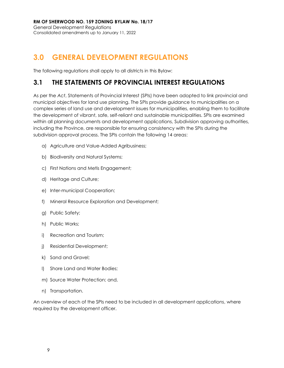## <span id="page-15-0"></span>**3.0 GENERAL DEVELOPMENT REGULATIONS**

The following regulations shall apply to all districts in this Bylaw:

### <span id="page-15-1"></span>**3.1 THE STATEMENTS OF PROVINCIAL INTEREST REGULATIONS**

As per the *Act*, Statements of Provincial Interest (SPIs) have been adopted to link provincial and municipal objectives for land use planning. The SPIs provide guidance to municipalities on a complex series of land use and development issues for municipalities, enabling them to facilitate the development of vibrant, safe, self-reliant and sustainable municipalities. SPIs are examined within all planning documents and development applications, Subdivision approving authorities, including the Province, are responsible for ensuring consistency with the SPIs during the subdivision approval process. The SPIs contain the following 14 areas:

- a) Agriculture and Value-Added Agribusiness;
- b) Biodiversity and Natural Systems;
- c) First Nations and Metis Engagement;
- d) Heritage and Culture;
- e) Inter-municipal Cooperation;
- f) Mineral Resource Exploration and Development;
- g) Public Safety;
- h) Public Works;
- i) Recreation and Tourism;
- j) Residential Development;
- k) Sand and Gravel;
- l) Shore Land and Water Bodies;
- m) Source Water Protection; and,
- n) Transportation.

An overview of each of the SPIs need to be included in all development applications, where required by the development officer.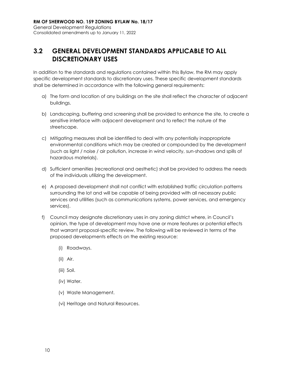### <span id="page-16-0"></span>**3.2 GENERAL DEVELOPMENT STANDARDS APPLICABLE TO ALL DISCRETIONARY USES**

In addition to the standards and regulations contained within this Bylaw, the RM may apply specific development standards to discretionary uses. These specific development standards shall be determined in accordance with the following general requirements:

- a) The form and location of any buildings on the site shall reflect the character of adjacent buildings.
- b) Landscaping, buffering and screening shall be provided to enhance the site, to create a sensitive interface with adjacent development and to reflect the nature of the streetscape.
- c) Mitigating measures shall be identified to deal with any potentially inappropriate environmental conditions which may be created or compounded by the development (such as light / noise / air pollution, increase in wind velocity, sun-shadows and spills of hazardous materials).
- d) Sufficient amenities (recreational and aesthetic) shall be provided to address the needs of the individuals utilizing the development.
- e) A proposed development shall not conflict with established traffic circulation patterns surrounding the lot and will be capable of being provided with all necessary public services and utilities (such as communications systems, power services, and emergency services).
- f) Council may designate discretionary uses in any zoning district where, in Council's opinion, the type of development may have one or more features or potential effects that warrant proposal-specific review. The following will be reviewed in terms of the proposed developments effects on the existing resource:
	- (i) Roadways.
	- (ii) Air.
	- (iii) Soil.
	- (iv) Water.
	- (v) Waste Management.
	- (vi) Heritage and Natural Resources.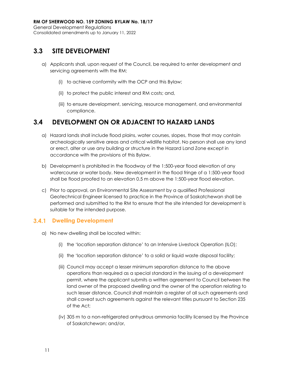### <span id="page-17-0"></span>**3.3 SITE DEVELOPMENT**

- a) Applicants shall, upon request of the Council, be required to enter development and servicing agreements with the RM:
	- (i) to achieve conformity with the OCP and this Bylaw;
	- (ii) to protect the public interest and RM costs; and,
	- (iii) to ensure development, servicing, resource management, and environmental compliance.

### <span id="page-17-1"></span>**3.4 DEVELOPMENT ON OR ADJACENT TO HAZARD LANDS**

- a) Hazard lands shall include flood plains, water courses, slopes, those that may contain archeologically sensitive areas and critical wildlife habitat. No person shall use any land or erect, alter or use any building or structure in the Hazard Land Zone except in accordance with the provisions of this Bylaw.
- b) Development is prohibited in the floodway of the 1:500-year flood elevation of any watercourse or water body. New development in the flood fringe of a 1:500-year flood shall be flood proofed to an elevation 0.5 m above the 1:500-year flood elevation.
- c) Prior to approval, an Environmental Site Assessment by a qualified Professional Geotechnical Engineer licensed to practice in the Province of Saskatchewan shall be performed and submitted to the RM to ensure that the site intended for development is suitable for the intended purpose.

#### **Dwelling Development**

- a) No new dwelling shall be located within:
	- (i) the 'location separation distance' to an Intensive Livestock Operation (ILO);
	- (ii) the 'location separation distance' to a solid or liquid waste disposal facility;
	- (iii) Council may accept a lesser minimum separation distance to the above operations than required as a special standard in the issuing of a development permit, where the applicant submits a written agreement to Council between the land owner of the proposed dwelling and the owner of the operation relating to such lesser distance. Council shall maintain a register of all such agreements and shall caveat such agreements against the relevant titles pursuant to Section 235 of the Act;
	- (iv) 305 m to a non-refrigerated anhydrous ammonia facility licensed by the Province of Saskatchewan; and/or,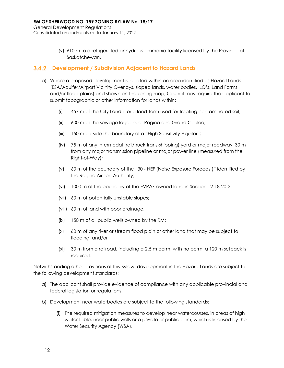(v) 610 m to a refrigerated anhydrous ammonia facility licensed by the Province of Saskatchewan.

#### **Development / Subdivision Adjacent to Hazard Lands**

- a) Where a proposed development is located within an area identified as Hazard Lands (ESA/Aquifer/Airport Vicinity Overlays, sloped lands, water bodies, ILO's, Land Farms, and/or flood plains) and shown on the zoning map, Council may require the applicant to submit topographic or other information for lands within:
	- (i) 457 m of the City Landfill or a land-farm used for treating contaminated soil;
	- (ii) 600 m of the sewage lagoons of Regina and Grand Coulee;
	- (iii) 150 m outside the boundary of a "High Sensitivity Aquifer";
	- (iv) 75 m of any intermodal (rail/truck trans-shipping) yard or major roadway, 30 m from any major transmission pipeline or major power line (measured from the Right-of-Way);
	- (v) 60 m of the boundary of the "30 NEF (Noise Exposure Forecast)" identified by the Regina Airport Authority;
	- (vi) 1000 m of the boundary of the EVRAZ-owned land in Section 12-18-20-2;
	- (vii) 60 m of potentially unstable slopes;
	- (viii) 60 m of land with poor drainage;
	- (ix) 150 m of all public wells owned by the RM;
	- (x) 60 m of any river or stream flood plain or other land that may be subject to flooding; and/or,
	- (xi) 30 m from a railroad, including a 2.5 m berm; with no berm, a 120 m setback is required.

Notwithstanding other provisions of this Bylaw, development in the Hazard Lands are subject to the following development standards:

- a) The applicant shall provide evidence of compliance with any applicable provincial and federal legislation or regulations.
- b) Development near waterbodies are subject to the following standards:
	- (i) The required mitigation measures to develop near watercourses, in areas of high water table, near public wells or a private or public dam, which is licensed by the Water Security Agency (WSA).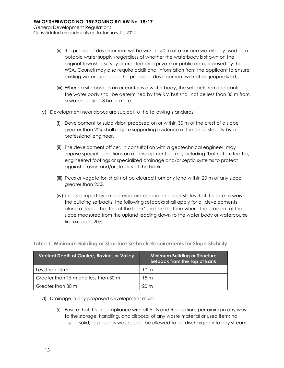- (ii) If a proposed development will be within 150 m of a surface waterbody used as a potable water supply (regardless of whether the waterbody is shown on the original Township survey or created by a private or public dam, licensed by the WSA, Council may also require additional information from the applicant to ensure existing water supplies or the proposed development will not be jeopardized).
- (iii) Where a site borders on or contains a water body, the setback from the bank of the water body shall be determined by the RM but shall not be less than 30 m from a water body of 8 ha or more.
- c) Development near slopes are subject to the following standards:
	- (i) Development or subdivision proposed on or within 30 m of the crest of a slope greater than 20% shall require supporting evidence of the slope stability by a professional engineer.
	- (ii) The development officer, in consultation with a geotechnical engineer, may impose special conditions on a development permit, including (but not limited to), engineered footings or specialized drainage and/or septic systems to protect against erosion and/or stability of the bank.
	- (iii) Trees or vegetation shall not be cleared from any land within 20 m of any slope greater than 20%.
	- (iv) Unless a report by a registered professional engineer states that it is safe to waive the building setbacks, the following setbacks shall apply for all developments along a slope. The 'top of the bank' shall be that line where the gradient of the slope measured from the upland leading down to the water body or watercourse first exceeds 20%.

| Vertical Depth of Coulee, Ravine, or Valley | <b>Minimum Building or Structure</b><br>Setback from the Top of Bank |  |  |  |
|---------------------------------------------|----------------------------------------------------------------------|--|--|--|
| Less than $15 \text{ m}$                    | 10m                                                                  |  |  |  |
| Greater than 15 m and less than 30 m        | 15m                                                                  |  |  |  |
| Greater than 30 m                           | 20 m                                                                 |  |  |  |

#### <span id="page-19-0"></span>**Table 1: Minimum Building or Structure Setback Requirements for Slope Stability**

#### d) Drainage in any proposed development must:

(i) Ensure that it is in compliance with all Acts and Regulations pertaining in any way to the storage, handling, and disposal of any waste material or used item; no liquid, solid, or gaseous wastes shall be allowed to be discharged into any stream,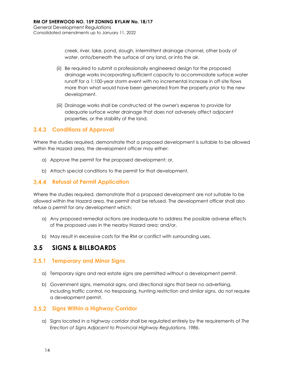creek, river, lake, pond, slough, intermittent drainage channel, other body of water, onto/beneath the surface of any land, or into the air.

- (ii) Be required to submit a professionally engineered design for the proposed drainage works incorporating sufficient capacity to accommodate surface water runoff for a 1:100-year storm event with no incremental increase in off-site flows more than what would have been generated from the property prior to the new development.
- (iii) Drainage works shall be constructed at the owner's expense to provide for adequate surface water drainage that does not adversely affect adjacent properties, or the stability of the land.

#### **Conditions of Approval**

Where the studies required, demonstrate that a proposed development is suitable to be allowed within the Hazard area, the development officer may either:

- a) Approve the permit for the proposed development; or,
- b) Attach special conditions to the permit for that development.

#### **3.4.4 Refusal of Permit Application**

Where the studies required, demonstrate that a proposed development are not suitable to be allowed within the Hazard area, the permit shall be refused. The development officer shall also refuse a permit for any development which:

- a) Any proposed remedial actions are inadequate to address the possible adverse effects of the proposed uses in the nearby Hazard area; and/or,
- b) May result in excessive costs for the RM or conflict with surrounding uses.

### <span id="page-20-0"></span>**3.5 SIGNS & BILLBOARDS**

#### **Temporary and Minor Signs**

- a) Temporary signs and real estate signs are permitted without a development permit.
- b) Government signs, memorial signs, and directional signs that bear no advertising, including traffic control, no trespassing, hunting restriction and similar signs, do not require a development permit.

#### **Signs Within a Highway Corridor**

a) Signs located in a highway corridor shall be regulated entirely by the requirements of *The Erection of Signs Adjacent to Provincial Highway Regulations, 1986*.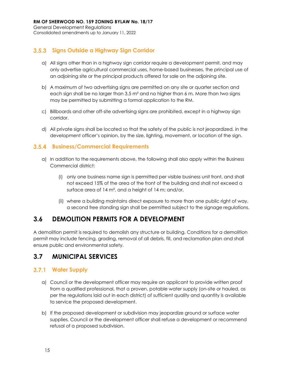### **Signs Outside a Highway Sign Corridor**

- a) All signs other than in a highway sign corridor require a development permit, and may only advertise agricultural commercial uses, home-based businesses, the principal use of an adjoining site or the principal products offered for sale on the adjoining site.
- b) A maximum of two advertising signs are permitted on any site or quarter section and each sign shall be no larger than  $3.5$  m<sup>2</sup> and no higher than 6 m. More than two signs may be permitted by submitting a formal application to the RM.
- c) Billboards and other off-site advertising signs are prohibited, except in a highway sign corridor.
- d) All private signs shall be located so that the safety of the public is not jeopardized, in the development officer's opinion, by the size, lighting, movement, or location of the sign.

#### **Business/Commercial Requirements**

- a) In addition to the requirements above, the following shall also apply within the Business Commercial district:
	- (i) only one business name sign is permitted per visible business unit front, and shall not exceed 15% of the area of the front of the building and shall not exceed a surface area of 14 m², and a height of 14 m; and/or,
	- (ii) where a building maintains direct exposure to more than one public right of way, a second free standing sign shall be permitted subject to the signage regulations.

### <span id="page-21-0"></span>**3.6 DEMOLITION PERMITS FOR A DEVELOPMENT**

A demolition permit is required to demolish any structure or building. Conditions for a demolition permit may include fencing, grading, removal of all debris, fill, and reclamation plan and shall ensure public and environmental safety.

### <span id="page-21-1"></span>**3.7 MUNICIPAL SERVICES**

### **Water Supply**

- a) Council or the development officer may require an applicant to provide written proof from a qualified professional, that a proven, potable water supply (on-site or hauled, as per the regulations laid out in each district) of sufficient quality and quantity is available to service the proposed development.
- b) If the proposed development or subdivision may jeopardize ground or surface water supplies, Council or the development officer shall refuse a development or recommend refusal of a proposed subdivision.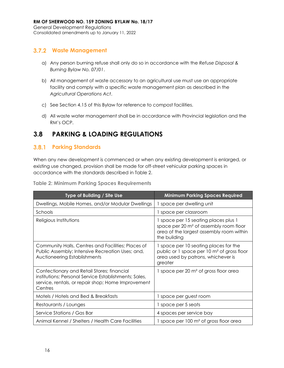Consolidated amendments up to January 11, 2022

#### **Waste Management**

- a) Any person burning refuse shall only do so in accordance with the *Refuse Disposal & Burning Bylaw No. 07/01*.
- b) All management of waste accessory to an agricultural use must use an appropriate facility and comply with a specific waste management plan as described in the *Agricultural Operations Act*.
- c) See Section 4.15 of this Bylaw for reference to compost facilities.
- d) All waste water management shall be in accordance with Provincial legislation and the RM's OCP.

### <span id="page-22-0"></span>**3.8 PARKING & LOADING REGULATIONS**

#### **Parking Standards**

When any new development is commenced or when any existing development is enlarged, or existing use changed, provision shall be made for off-street vehicular parking spaces in accordance with the standards described in Table 2.

<span id="page-22-1"></span>**Table 2: Minimum Parking Spaces Requirements**

| Type of Building / Site Use                                                                                                                                          | <b>Minimum Parking Spaces Required</b>                                                                                                                 |  |  |
|----------------------------------------------------------------------------------------------------------------------------------------------------------------------|--------------------------------------------------------------------------------------------------------------------------------------------------------|--|--|
| Dwellings, Mobile Homes, and/or Modular Dwellings                                                                                                                    | 1 space per dwelling unit                                                                                                                              |  |  |
| Schools                                                                                                                                                              | 1 space per classroom                                                                                                                                  |  |  |
| Religious Institutions                                                                                                                                               | 1 space per 15 seating places plus 1<br>space per 20 m <sup>2</sup> of assembly room floor<br>area of the largest assembly room within<br>the building |  |  |
| Community Halls, Centres and Facilities; Places of<br>Public Assembly; Intensive Recreation Uses; and,<br>Auctioneering Establishments                               | 1 space per 10 seating places for the<br>public or 1 space per 10 m <sup>2</sup> of gross floor<br>area used by patrons, whichever is<br>greater       |  |  |
| Confectionary and Retail Stores; financial<br>institutions; Personal Service Establishments; Sales,<br>service, rentals, or repair shop; Home Improvement<br>Centres | 1 space per 20 m <sup>2</sup> of gross floor area                                                                                                      |  |  |
| Motels / Hotels and Bed & Breakfasts                                                                                                                                 | 1 space per guest room                                                                                                                                 |  |  |
| Restaurants / Lounges                                                                                                                                                | 1 space per 5 seats                                                                                                                                    |  |  |
| Service Stations / Gas Bar                                                                                                                                           | 4 spaces per service bay                                                                                                                               |  |  |
| Animal Kennel / Shelters / Health Care Facilities                                                                                                                    | 1 space per 100 m <sup>2</sup> of gross floor area                                                                                                     |  |  |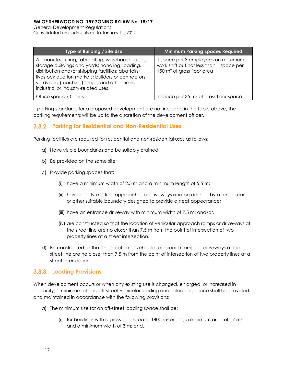General Development Regulations Consolidated amendments up to January 11, 2022

| Type of Building / Site Use                                                                                                                                                                                                                                                                               | <b>Minimum Parking Spaces Required</b>                                                                                 |  |  |
|-----------------------------------------------------------------------------------------------------------------------------------------------------------------------------------------------------------------------------------------------------------------------------------------------------------|------------------------------------------------------------------------------------------------------------------------|--|--|
| All manufacturing, fabricating, warehousing uses;<br>storage buildings and yards; handling, loading,<br>distribution and/or shipping facilities; abattoirs;<br>livestock auction markets; builders or contractors'<br>yards and (machine) shops; and other similar<br>industrial or industry-related uses | space per 3 employees on maximum<br>work shift but not less than 1 space per<br>150 m <sup>2</sup> of gross floor area |  |  |
| Office space / Clinics                                                                                                                                                                                                                                                                                    | space per 35 m <sup>2</sup> of gross floor space                                                                       |  |  |

If parking standards for a proposed development are not included in the table above, the parking requirements will be up to the discretion of the development officer.

#### **Parking for Residential and Non-Residential Uses**

Parking facilities are required for residential and non-residential uses as follows:

- a) Have visible boundaries and be suitably drained;
- b) Be provided on the same site;
- c) Provide parking spaces that:
	- (i) have a minimum width of 2.5 m and a minimum length of 5.5 m;
	- (ii) have clearly-marked approaches or driveways and be defined by a fence, curb or other suitable boundary designed to provide a neat appearance;
	- (iii) have an entrance driveway with minimum width of 7.5 m; and/or,
	- (iv) are constructed so that the location of vehicular approach ramps or driveways at the street line are no closer than 7.5 m from the point of intersection of two property lines at a street intersection.
- d) Be constructed so that the location of vehicular approach ramps or driveways at the street line are no closer than 7.5 m from the point of intersection of two property lines at a street intersection.

#### **Loading Provisions**

When development occurs or when any existing use is changed, enlarged, or increased in capacity, a minimum of one off-street vehicular loading and unloading space shall be provided and maintained in accordance with the following provisions:

- a) The minimum size for an off-street loading space shall be:
	- (i) for buildings with a gross floor area of 1400  $m<sup>2</sup>$  or less, a minimum area of 17  $m<sup>2</sup>$ and a minimum width of 3 m; and,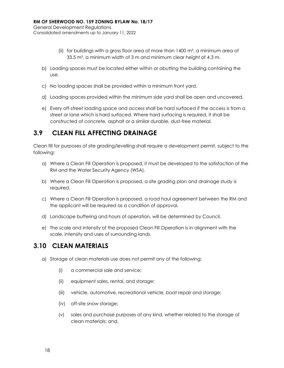- (ii) for buildings with a gross floor area of more than 1400 m², a minimum area of 33.5 m², a minimum width of 3 m and minimum clear height of 4.3 m.
- b) Loading spaces must be located either within or abutting the building containing the use.
- c) No loading spaces shall be provided within a minimum front yard.
- d) Loading spaces provided within the minimum side yard shall be open and uncovered.
- e) Every off-street loading space and access shall be hard surfaced if the access is from a street or lane which is hard surfaced. Where hard surfacing is required, it shall be constructed of concrete, asphalt or a similar durable, dust-free material.

### <span id="page-24-0"></span>**3.9 CLEAN FILL AFFECTING DRAINAGE**

Clean fill for purposes of site grading/levelling shall require a development permit, subject to the following:

- a) Where a Clean Fill Operation is proposed, it must be developed to the satisfaction of the RM and the Water Security Agency (WSA).
- b) Where a Clean Fill Operation is proposed, a site grading plan and drainage study is required.
- c) Where a Clean Fill Operation is proposed, a road haul agreement between the RM and the applicant will be required as a condition of approval.
- d) Landscape buffering and hours of operation, will be determined by Council.
- e) The scale and intensity of the proposed Clean Fill Operation is in alignment with the scale, intensity and uses of surrounding lands.

### <span id="page-24-1"></span>**3.10 CLEAN MATERIALS**

- a) Storage of clean materials use does not permit any of the following:
	- (i) a commercial sale and service;
	- (ii) equipment sales, rental, and storage;
	- (iii) vehicle, automotive, recreational vehicle, boat repair and storage;
	- (iv) off-site snow storage;
	- (v) sales and purchase purposes of any kind, whether related to the storage of clean materials; and,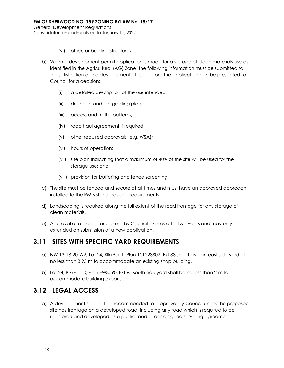- (vi) office or building structures.
- b) When a development permit application is made for a storage of clean materials use as identified in the Agricultural (AG) Zone, the following information must be submitted to the satisfaction of the development officer before the application can be presented to Council for a decision:
	- (i) a detailed description of the use intended;
	- (ii) drainage and site grading plan;
	- (iii) access and traffic patterns;
	- (iv) road haul agreement if required;
	- (v) other required approvals (e.g. WSA);
	- (vi) hours of operation;
	- (vii) site plan indicating that a maximum of 40% of the site will be used for the storage use; and,
	- (viii) provision for buffering and fence screening.
- c) The site must be fenced and secure at all times and must have an approved approach installed to the RM's standards and requirements.
- d) Landscaping is required along the full extent of the road frontage for any storage of clean materials.
- e) Approval of a clean storage use by Council expires after two years and may only be extended on submission of a new application.

### <span id="page-25-0"></span>**3.11 SITES WITH SPECIFIC YARD REQUIREMENTS**

- a) NW 13-18-20-W2, Lot 24, Blk/Par 1, Plan 101228802, Ext 88 shall have an east side yard of no less than 3.95 m to accommodate an existing shop building.
- b) Lot 24, Blk/Par C, Plan FW3090, Ext 65 south side yard shall be no less than 2 m to accommodate building expansion.

### <span id="page-25-1"></span>**3.12 LEGAL ACCESS**

a) A development shall not be recommended for approval by Council unless the proposed site has frontage on a developed road, including any road which is required to be registered and developed as a public road under a signed servicing agreement.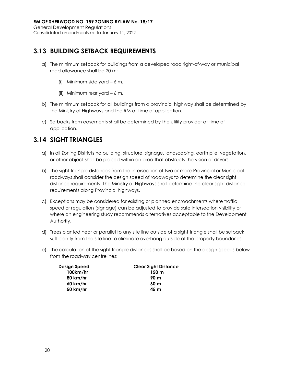### <span id="page-26-0"></span>**3.13 BUILDING SETBACK REQUIREMENTS**

- a) The minimum setback for buildings from a developed road right-of-way or municipal road allowance shall be 20 m;
	- (i) Minimum side yard 6 m.
	- (ii) Minimum rear yard 6 m.
- b) The minimum setback for all buildings from a provincial highway shall be determined by the Ministry of Highways and the RM at time of application.
- c) Setbacks from easements shall be determined by the utility provider at time of application.

### <span id="page-26-1"></span>**3.14 SIGHT TRIANGLES**

- a) In all Zoning Districts no building, structure, signage, landscaping, earth pile, vegetation, or other object shall be placed within an area that obstructs the vision of drivers.
- b) The sight triangle distances from the intersection of two or more Provincial or Municipal roadways shall consider the design speed of roadways to determine the clear sight distance requirements. The Ministry of Highways shall determine the clear sight distance requirements along Provincial highways.
- c) Exceptions may be considered for existing or planned encroachments where traffic speed or regulation (signage) can be adjusted to provide safe intersection visibility or where an engineering study recommends alternatives acceptable to the Development Authority.
- d) Trees planted near or parallel to any site line outside of a sight triangle shall be setback sufficiently from the site line to eliminate overhang outside of the property boundaries.
- e) The calculation of the sight triangle distances shall be based on the design speeds below from the roadway centrelines:

| <b>Clear Sight Distance</b> |
|-----------------------------|
| 150 <sub>m</sub>            |
| 90 m                        |
| 60 <sub>m</sub>             |
| 45 m                        |
|                             |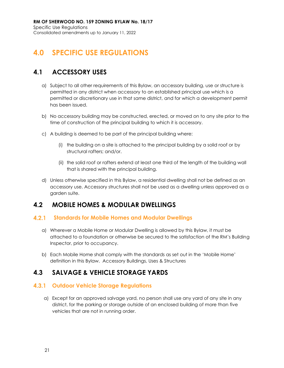## <span id="page-27-0"></span>**4.0 SPECIFIC USE REGULATIONS**

### <span id="page-27-1"></span>**4.1 ACCESSORY USES**

- a) Subject to all other requirements of this Bylaw, an accessory building, use or structure is permitted in any district when accessory to an established principal use which is a permitted or discretionary use in that same district, and for which a development permit has been issued.
- b) No accessory building may be constructed, erected, or moved on to any site prior to the time of construction of the principal building to which it is accessory.
- c) A building is deemed to be part of the principal building where:
	- (i) the building on a site is attached to the principal building by a solid roof or by structural rafters; and/or.
	- (ii) the solid roof or rafters extend at least one third of the length of the building wall that is shared with the principal building.
- d) Unless otherwise specified in this Bylaw, a residential dwelling shall not be defined as an accessory use. Accessory structures shall not be used as a dwelling unless approved as a garden suite.

### <span id="page-27-2"></span>**4.2 MOBILE HOMES & MODULAR DWELLINGS**

#### $4.2.1$ **Standards for Mobile Homes and Modular Dwellings**

- a) Wherever a Mobile Home or Modular Dwelling is allowed by this Bylaw, it must be attached to a foundation or otherwise be secured to the satisfaction of the RM's Building Inspector, prior to occupancy.
- b) Each Mobile Home shall comply with the standards as set out in the 'Mobile Home' definition in this Bylaw. Accessory Buildings, Uses & Structures

### <span id="page-27-3"></span>**4.3 SALVAGE & VEHICLE STORAGE YARDS**

#### **4.3.1 Outdoor Vehicle Storage Regulations**

a) Except for an approved salvage yard, no person shall use any yard of any site in any district, for the parking or storage outside of an enclosed building of more than five vehicles that are not in running order.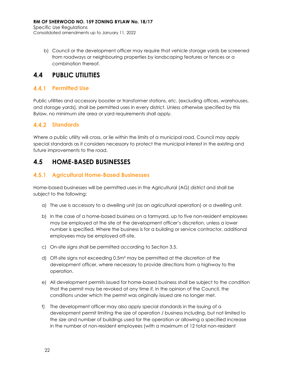b) Council or the development officer may require that vehicle storage yards be screened from roadways or neighbouring properties by landscaping features or fences or a combination thereof.

### <span id="page-28-0"></span>**4.4 PUBLIC UTILITIES**

### **4.4.1 Permitted Use**

Public utilities and accessory booster or transformer stations, etc. (excluding offices, warehouses, and storage yards), shall be permitted uses in every district. Unless otherwise specified by this Bylaw, no minimum site area or yard requirements shall apply.

### **Standards**

Where a public utility will cross, or lie within the limits of a municipal road, Council may apply special standards as it considers necessary to protect the municipal interest in the existing and future improvements to the road.

### <span id="page-28-1"></span>**4.5 HOME-BASED BUSINESSES**

#### **Agricultural Home-Based Businesses**

Home-based businesses will be permitted uses in the Agricultural (AG) district and shall be subject to the following:

- a) The use is accessory to a dwelling unit (as an agricultural operation) or a dwelling unit.
- b) In the case of a home-based business on a farmyard, up to five non-resident employees may be employed at the site at the development officer's discretion, unless a lower number is specified. Where the business is for a building or service contractor, additional employees may be employed off-site.
- c) On-site signs shall be permitted according to Section 3.5.
- d) Off-site signs not exceeding 0.5m² may be permitted at the discretion of the development officer, where necessary to provide directions from a highway to the operation.
- e) All development permits issued for home-based business shall be subject to the condition that the permit may be revoked at any time if, in the opinion of the Council, the conditions under which the permit was originally issued are no longer met.
- f) The development officer may also apply special standards in the issuing of a development permit limiting the size of operation / business including, but not limited to the size and number of buildings used for the operation or allowing a specified increase in the number of non-resident employees (with a maximum of 12 total non-resident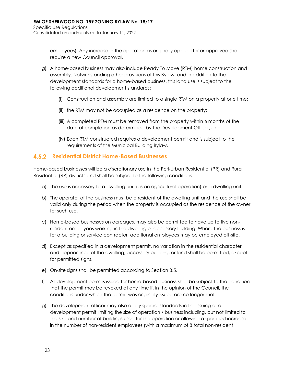employees). Any increase in the operation as originally applied for or approved shall require a new Council approval.

- g) A home-based business may also include Ready To Move (RTM) home construction and assembly. Notwithstanding other provisions of this Bylaw, and in addition to the development standards for a home-based business, this land use is subject to the following additional development standards:
	- (i) Construction and assembly are limited to a single RTM on a property at one time;
	- (ii) the RTM may not be occupied as a residence on the property;
	- (iii) A completed RTM must be removed from the property within 6 months of the date of completion as determined by the Development Officer; and,
	- (iv) Each RTM constructed requires a development permit and is subject to the requirements of the Municipal Building Bylaw.

#### **Residential District Home-Based Businesses**

Home-based businesses will be a discretionary use in the Peri-Urban Residential (PR) and Rural Residential (RR) districts and shall be subject to the following conditions:

- a) The use is accessory to a dwelling unit (as an agricultural operation) or a dwelling unit.
- b) The operator of the business must be a resident of the dwelling unit and the use shall be valid only during the period when the property is occupied as the residence of the owner for such use.
- c) Home-based businesses on acreages, may also be permitted to have up to five nonresident employees working in the dwelling or accessory building. Where the business is for a building or service contractor, additional employees may be employed off-site.
- d) Except as specified in a development permit, no variation in the residential character and appearance of the dwelling, accessory building, or land shall be permitted, except for permitted signs.
- e) On-site signs shall be permitted according to Section 3.5.
- f) All development permits issued for home-based business shall be subject to the condition that the permit may be revoked at any time if, in the opinion of the Council, the conditions under which the permit was originally issued are no longer met.
- g) The development officer may also apply special standards in the issuing of a development permit limiting the size of operation / business including, but not limited to the size and number of buildings used for the operation or allowing a specified increase in the number of non-resident employees (with a maximum of 8 total non-resident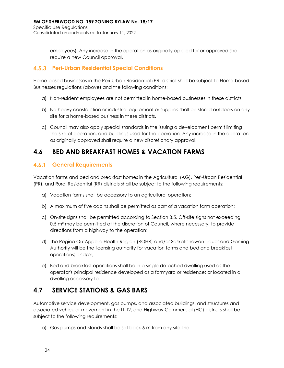employees). Any increase in the operation as originally applied for or approved shall require a new Council approval.

#### **Peri-Urban Residential Special Conditions**

Home-based businesses in the Peri-Urban Residential (PR) district shall be subject to Home-based Businesses regulations (above) and the following conditions:

- a) Non-resident employees are not permitted in home-based businesses in these districts.
- b) No heavy construction or industrial equipment or supplies shall be stored outdoors on any site for a home-based business in these districts.
- c) Council may also apply special standards in the issuing a development permit limiting the size of operation, and buildings used for the operation. Any increase in the operation as originally approved shall require a new discretionary approval.

### <span id="page-30-0"></span>**4.6 BED AND BREAKFAST HOMES & VACATION FARMS**

#### **General Requirements**

Vacation farms and bed and breakfast homes in the Agricultural (AG), Peri-Urban Residential (PR), and Rural Residential (RR) districts shall be subject to the following requirements:

- a) Vacation farms shall be accessory to an agricultural operation;
- b) A maximum of five cabins shall be permitted as part of a vacation farm operation;
- c) On-site signs shall be permitted according to Section 3.5. Off-site signs not exceeding  $0.5$  m<sup>2</sup> may be permitted at the discretion of Council, where necessary, to provide directions from a highway to the operation;
- d) The Regina Qu'Appelle Health Region (RQHR) and/or Saskatchewan Liquor and Gaming Authority will be the licensing authority for vacation farms and bed and breakfast operations; and/or,
- e) Bed and breakfast operations shall be in a single detached dwelling used as the operator's principal residence developed as a farmyard or residence; or located in a dwelling accessory to.

### <span id="page-30-1"></span>**4.7 SERVICE STATIONS & GAS BARS**

Automotive service development, gas pumps, and associated buildings, and structures and associated vehicular movement in the I1, I2, and Highway Commercial (HC) districts shall be subject to the following requirements:

a) Gas pumps and islands shall be set back 6 m from any site line.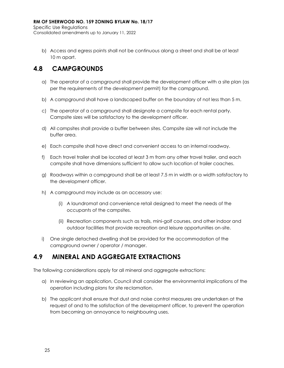Specific Use Regulations Consolidated amendments up to January 11, 2022

b) Access and egress points shall not be continuous along a street and shall be at least 10 m apart.

### <span id="page-31-0"></span>**4.8 CAMPGROUNDS**

- a) The operator of a campground shall provide the development officer with a site plan (as per the requirements of the development permit) for the campground.
- b) A campground shall have a landscaped buffer on the boundary of not less than 5 m.
- c) The operator of a campground shall designate a campsite for each rental party. Campsite sizes will be satisfactory to the development officer.
- d) All campsites shall provide a buffer between sites. Campsite size will not include the buffer area.
- e) Each campsite shall have direct and convenient access to an internal roadway.
- f) Each travel trailer shall be located at least 3 m from any other travel trailer, and each campsite shall have dimensions sufficient to allow such location of trailer coaches.
- g) Roadways within a campground shall be at least 7.5 m in width or a width satisfactory to the development officer.
- h) A campground may include as an accessory use:
	- (i) A laundromat and convenience retail designed to meet the needs of the occupants of the campsites.
	- (ii) Recreation components such as trails, mini-golf courses, and other indoor and outdoor facilities that provide recreation and leisure opportunities on-site.
- i) One single detached dwelling shall be provided for the accommodation of the campground owner / operator / manager.

### <span id="page-31-1"></span>**4.9 MINERAL AND AGGREGATE EXTRACTIONS**

The following considerations apply for all mineral and aggregate extractions:

- a) In reviewing an application, Council shall consider the environmental implications of the operation including plans for site reclamation.
- b) The applicant shall ensure that dust and noise control measures are undertaken at the request of and to the satisfaction of the development officer, to prevent the operation from becoming an annoyance to neighbouring uses.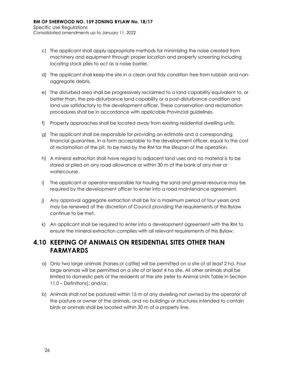- c) The applicant shall apply appropriate methods for minimizing the noise created from machinery and equipment through proper location and property screening including locating stock piles to act as a noise barrier.
- d) The applicant shall keep the site in a clean and tidy condition free from rubbish and nonaggregate debris.
- e) The disturbed area shall be progressively reclaimed to a land capability equivalent to, or better than, the pre-disturbance land capability or a post-disturbance condition and land use satisfactory to the development officer. These conservation and reclamation procedures shall be in accordance with applicable Provincial guidelines.
- f) Property approaches shall be located away from existing residential dwelling units.
- g) The applicant shall be responsible for providing an estimate and a corresponding financial guarantee, in a form acceptable to the development officer, equal to the cost of reclamation of the pit, to be held by the RM for the lifespan of the operation.
- h) A mineral extraction shall have regard to adjacent land uses and no material is to be stored or piled on any road allowance or within 30 m of the bank of any river or watercourse.
- i) The applicant or operator responsible for hauling the sand and gravel resource may be required by the development officer to enter into a road maintenance agreement.
- j) Any approval aggregate extraction shall be for a maximum period of four years and may be renewed at the discretion of Council providing the requirements of this Bylaw continue to be met.
- k) An applicant shall be required to enter into a development agreement with the RM to ensure the mineral extraction complies with all relevant requirements of this Bylaw.

### <span id="page-32-0"></span>**4.10 KEEPING OF ANIMALS ON RESIDENTIAL SITES OTHER THAN FARMYARDS**

- a) Only two large animals (horses or cattle) will be permitted on a site of at least 2 ha. Four large animals will be permitted on a site of at least 4 ha site. All other animals shall be limited to domestic pets of the residents of the site (refer to Animal Units Table in Section 11.0 – Definitions); and/or,
- b) Animals shall not be pastured within 15 m of any dwelling not owned by the operator of the pasture or owner of the animals, and no buildings or structures intended to contain birds or animals shall be located within 30 m of a property line.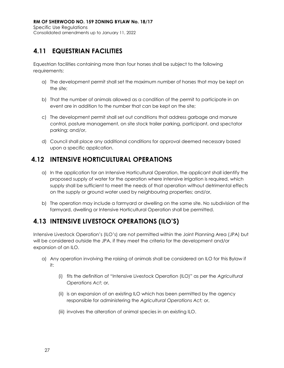### <span id="page-33-0"></span>**4.11 EQUESTRIAN FACILITIES**

Equestrian facilities containing more than four horses shall be subject to the following requirements:

- a) The development permit shall set the maximum number of horses that may be kept on the site;
- b) That the number of animals allowed as a condition of the permit to participate in an event are in addition to the number that can be kept on the site;
- c) The development permit shall set out conditions that address garbage and manure control, pasture management, on site stock trailer parking, participant, and spectator parking; and/or,
- d) Council shall place any additional conditions for approval deemed necessary based upon a specific application.

### <span id="page-33-1"></span>**4.12 INTENSIVE HORTICULTURAL OPERATIONS**

- a) In the application for an Intensive Horticultural Operation, the applicant shall identify the proposed supply of water for the operation where intensive irrigation is required, which supply shall be sufficient to meet the needs of that operation without detrimental effects on the supply or ground water used by neighbouring properties; and/or,
- b) The operation may include a farmyard or dwelling on the same site. No subdivision of the farmyard, dwelling or Intensive Horticultural Operation shall be permitted.

### <span id="page-33-2"></span>**4.13 INTENSIVE LIVESTOCK OPERATIONS (ILO'S)**

Intensive Livestock Operation's (ILO's) are not permitted within the Joint Planning Area (JPA) but will be considered outside the JPA, if they meet the criteria for the development and/or expansion of an ILO.

- a) Any operation involving the raising of animals shall be considered an ILO for this Bylaw if it:
	- (i) fits the definition of "Intensive Livestock Operation (ILO)" as per the *Agricultural Operations Act*; or,
	- (ii) is an expansion of an existing ILO which has been permitted by the agency responsible for administering the *Agricultural Operations Act;* or,
	- (iii) involves the alteration of animal species in an existing ILO.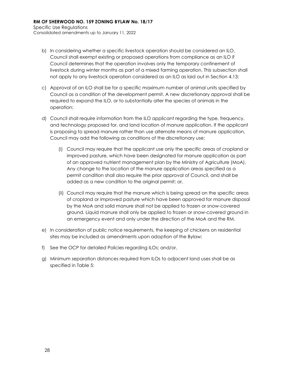- b) In considering whether a specific livestock operation should be considered an ILO, Council shall exempt existing or proposed operations from compliance as an ILO if Council determines that the operation involves only the temporary confinement of livestock during winter months as part of a mixed farming operation. This subsection shall not apply to any livestock operation considered as an ILO as laid out in Section 4.13;
- c) Approval of an ILO shall be for a specific maximum number of animal units specified by Council as a condition of the development permit. A new discretionary approval shall be required to expand the ILO, or to substantially alter the species of animals in the operation;
- d) Council shall require information from the ILO applicant regarding the type, frequency, and technology proposed for, and land location of manure application. If the applicant is proposing to spread manure rather than use alternate means of manure application, Council may add the following as conditions of the discretionary use:
	- (i) Council may require that the applicant use only the specific areas of cropland or improved pasture, which have been designated for manure application as part of an approved nutrient management plan by the Ministry of Agriculture (MoA). Any change to the location of the manure application areas specified as a permit condition shall also require the prior approval of Council, and shall be added as a new condition to the original permit; or,
	- (ii) Council may require that the manure which is being spread on the specific areas of cropland or improved pasture which have been approved for manure disposal by the MoA and solid manure shall not be applied to frozen or snow-covered ground. Liquid manure shall only be applied to frozen or snow-covered ground in an emergency event and only under the direction of the MoA and the RM.
- e) In consideration of public notice requirements, the keeping of chickens on residential sites may be included as amendments upon adoption of the Bylaw;
- f) See the OCP for detailed Policies regarding ILOs; and/or,
- g) Minimum separation distances required from ILOs to adjacent land uses shall be as specified in Table 5: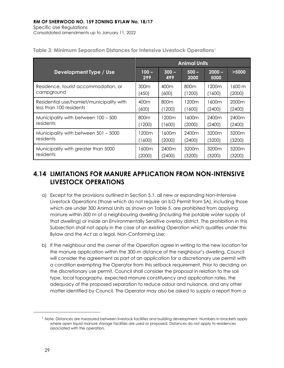|                                          | <b>Animal Units</b> |                  |                  |                  |                   |
|------------------------------------------|---------------------|------------------|------------------|------------------|-------------------|
| Development Type / Use                   | $100 -$<br>299      | $300 -$<br>499   | $500 -$<br>2000  | $2000 -$<br>5000 | >5000             |
| Residence, tourist accommodation, or     | 300 <sub>m</sub>    | 400m             | 800 <sub>m</sub> | 1200m            | $1600 \text{ m}$  |
| campground                               | (450)               | (600)            | (1200)           | (1600)           | (2000)            |
| Residential use/hamlet/municipality with | 400m                | 800 <sub>m</sub> | 1200m            | 1600m            | 2000m             |
| less than 100 residents                  | (600)               | (1200)           | (1600)           | (2400)           | (2400)            |
| Municipality with between 100 - 500      | 800 <sub>m</sub>    | 1200m            | 1600m            | 2400m            | 2400m             |
| residents                                | 1200                | (1600)           | (2000)           | (2400)           | (2400)            |
| Municipality with between 501 - 5000     | 1200m               | 1600m            | 2400m            | 3200m            | 3200 <sub>m</sub> |
| residents                                | (1600)              | (2000)           | (2400)           | (3200)           | (3200)            |
| Municipality with greater than 5000      | l 600m              | 2400m            | 3200m            | 3200m            | 3200 <sub>m</sub> |
| residents                                | (2000)              | (2400)           | (3200)           | (3200)           | (3200)            |

<span id="page-35-1"></span>**Table 3: Minimum Separation Distances for Intensive Livestock Operations<sup>1</sup>**

### <span id="page-35-0"></span>**4.14 LIMITATIONS FOR MANURE APPLICATION FROM NON-INTENSIVE LIVESTOCK OPERATIONS**

- a) Except for the provisions outlined in Section 5.1, all new or expanding Non-Intensive Livestock Operations (those which do not require an ILO Permit from SA), including those which are under 300 Animal Units as shown on Table 5, are prohibited from applying manure within 300 m of a neighbouring dwelling (including the potable water supply of that dwelling) or inside an Environmentally Sensitive overlay district. The prohibition in this Subsection shall not apply in the case of an existing Operation which qualifies under this Bylaw and the *Act* as a legal, Non-Conforming Use;
- b) If the neighbour and the owner of the Operation agree in writing to the new location for the manure application within the 300-m distance of the neighbour's dwelling, Council will consider the agreement as part of an application for a discretionary use permit with a condition exempting the Operator from this setback requirement. Prior to deciding on the discretionary use permit, Council shall consider the proposal in relation to the soil type, local topography, expected manure constituency and application rates, the adequacy of the proposed separation to reduce odour and nuisance, and any other matter identified by Council. The Operator may also be asked to supply a report from a

 $<sup>1</sup>$  Note: Distances are measured between livestock facilities and building development. Numbers in brackets apply</sup> where open liquid manure storage facilities are used or proposed. Distances do not apply to residences associated with the operation.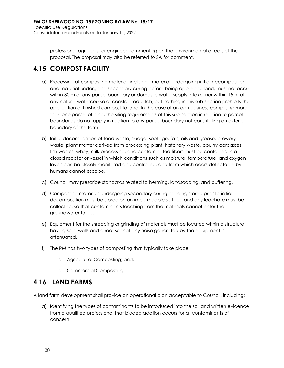professional agrologist or engineer commenting on the environmental effects of the proposal. The proposal may also be referred to SA for comment.

## **4.15 COMPOST FACILITY**

- a) Processing of composting material, including material undergoing initial decomposition and material undergoing secondary curing before being applied to land, must not occur within 30 m of any parcel boundary or domestic water supply intake, nor within 15 m of any natural watercourse of constructed ditch, but nothing in this sub-section prohibits the application of finished compost to land. In the case of an agri-business comprising more than one parcel of land, the siting requirements of this sub-section in relation to parcel boundaries do not apply in relation to any parcel boundary not constituting an exterior boundary of the farm.
- b) Initial decomposition of food waste, sludge, septage, fats, oils and grease, brewery waste, plant matter derived from processing plant, hatchery waste, poultry carcasses, fish wastes, whey, milk processing, and contaminated fibers must be contained in a closed reactor or vessel in which conditions such as moisture, temperature, and oxygen levels can be closely monitored and controlled, and from which odors detectable by humans cannot escape.
- c) Council may prescribe standards related to berming, landscaping, and buffering.
- d) Composting materials undergoing secondary curing or being stored prior to initial decomposition must be stored on an impermeable surface and any leachate must be collected, so that contaminants leaching from the materials cannot enter the groundwater table.
- e) Equipment for the shredding or grinding of materials must be located within a structure having solid walls and a roof so that any noise generated by the equipment is attenuated.
- f) The RM has two types of composting that typically take place:
	- a. Agricultural Composting; and,
	- b. Commercial Composting.

## **4.16 LAND FARMS**

A land farm development shall provide an operational plan acceptable to Council, including:

a) Identifying the types of contaminants to be introduced into the soil and written evidence from a qualified professional that biodegradation occurs for all contaminants of concern.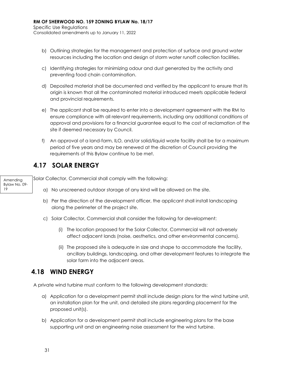- b) Outlining strategies for the management and protection of surface and ground water resources including the location and design of storm water runoff collection facilities.
- c) Identifying strategies for minimizing odour and dust generated by the activity and preventing food chain contamination.
- d) Deposited material shall be documented and verified by the applicant to ensure that its origin is known that all the contaminated material introduced meets applicable federal and provincial requirements.
- e) The applicant shall be required to enter into a development agreement with the RM to ensure compliance with all relevant requirements, including any additional conditions of approval and provisions for a financial guarantee equal to the cost of reclamation of the site if deemed necessary by Council.
- f) An approval of a land-farm, ILO, and/or solid/liquid waste facility shall be for a maximum period of five years and may be renewed at the discretion of Council providing the requirements of this Bylaw continue to be met.

## **4.17 SOLAR ENERGY**

Amending Bylaw No. 09- 19

Solar Collector, Commercial shall comply with the following:

- a) No unscreened outdoor storage of any kind will be allowed on the site.
- b) Per the direction of the development officer, the applicant shall install landscaping along the perimeter of the project site.
- c) Solar Collector, Commercial shall consider the following for development:
	- (i) The location proposed for the Solar Collector, Commercial will not adversely affect adjacent lands (noise, aesthetics, and other environmental concerns).
	- (ii) The proposed site is adequate in size and shape to accommodate the facility, ancillary buildings, landscaping, and other development features to integrate the solar farm into the adjacent areas.

## **4.18 WIND ENERGY**

A private wind turbine must conform to the following development standards:

- a) Application for a development permit shall include design plans for the wind turbine unit, an installation plan for the unit, and detailed site plans regarding placement for the proposed unit(s).
- b) Application for a development permit shall include engineering plans for the base supporting unit and an engineering noise assessment for the wind turbine.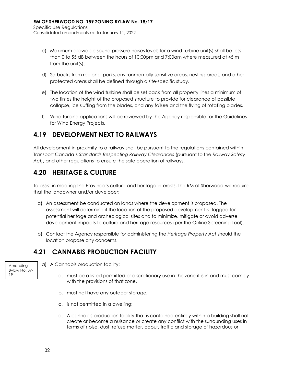- c) Maximum allowable sound pressure noises levels for a wind turbine unit(s) shall be less than 0 to 55 dB between the hours of 10:00pm and 7:00am where measured at 45 m from the unit(s).
- d) Setbacks from regional parks, environmentally sensitive areas, nesting areas, and other protected areas shall be defined through a site-specific study.
- e) The location of the wind turbine shall be set back from all property lines a minimum of two times the height of the proposed structure to provide for clearance of possible collapse, ice sluffing from the blades, and any failure and the flying of rotating blades.
- f) Wind turbine applications will be reviewed by the Agency responsible for the Guidelines for Wind Energy Projects.

## **4.19 DEVELOPMENT NEXT TO RAILWAYS**

All development in proximity to a railway shall be pursuant to the regulations contained within Transport Canada's *Standards Respecting Railway Clearances* (pursuant to the *Railway Safety Act)*, and other regulations to ensure the safe operation of railways.

## **4.20 HERITAGE & CULTURE**

To assist in meeting the Province's culture and heritage interests, the RM of Sherwood will require that the landowner and/or developer:

- a) An assessment be conducted on lands where the development is proposed. The assessment will determine if the location of the proposed development is flagged for potential heritage and archeological sites and to minimize, mitigate or avoid adverse development impacts to culture and heritage resources (per the Online Screening Tool).
- b) Contact the Agency responsible for administering the *Heritage Property Act* should the location propose any concerns.

## **4.21 CANNABIS PRODUCTION FACILITY**

Amending Bylaw No. 09- 19

- a) A Cannabis production facility:
	- a. must be a listed permitted or discretionary use in the zone it is in and must comply with the provisions of that zone,
	- b. must not have any outdoor storage;
	- c. is not permitted in a dwelling;
	- d. A cannabis production facility that is contained entirely within a building shall not create or become a nuisance or create any conflict with the surrounding uses in terms of noise, dust, refuse matter, odour, traffic and storage of hazardous or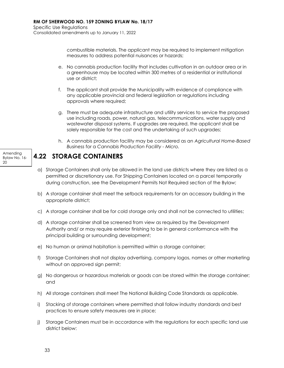combustible materials. The applicant may be required to implement mitigation measures to address potential nuisances or hazards;

- e. No cannabis production facility that includes cultivation in an outdoor area or in a greenhouse may be located within 300 metres of a residential or institutional use or district;
- f. The applicant shall provide the Municipality with evidence of compliance with any applicable provincial and federal legislation or regulations including approvals where required;
- g. There must be adequate infrastructure and utility services to service the proposed use including roads, power, natural gas, telecommunications, water supply and wastewater disposal systems. If upgrades are required, the applicant shall be solely responsible for the cost and the undertaking of such upgrades;
- h. A cannabis production facility may be considered as an *Agricultural Home-Based Business* for a *Cannabis Production Facility - Micro.*

## **4.22 STORAGE CONTAINERS**

- a) Storage Containers shall only be allowed in the land use districts where they are listed as a permitted or discretionary use. For Shipping Containers located on a parcel temporarily during construction, see the Development Permits Not Required section of the Bylaw;
- b) A storage container shall meet the setback requirements for an accessory building in the appropriate district;
- c) A storage container shall be for cold storage only and shall not be connected to utilities;
- d) A storage container shall be screened from view as required by the Development Authority and/ or may require exterior finishing to be in general conformance with the principal building or surrounding development;
- e) No human or animal habitation is permitted within a storage container;
- f) Storage Containers shall not display advertising, company logos, names or other marketing without an approved sign permit;
- g) No dangerous or hazardous materials or goods can be stored within the storage container; and
- h) All storage containers shall meet The National Building Code Standards as applicable.
- i) Stacking of storage containers where permitted shall follow industry standards and best practices to ensure safety measures are in place;
- j) Storage Containers must be in accordance with the regulations for each specific land use district below:

Amending Bylaw No. 16- 20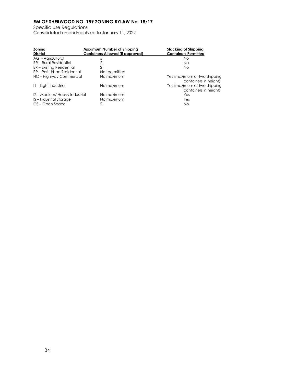Specific Use Regulations Consolidated amendments up to January 11, 2022

| Zoning<br><b>District</b>    | Maximum Number of Shipping<br><b>Containers Allowed (if approved)</b> | Stacking of Shipping<br><b>Containers Permitted</b>   |
|------------------------------|-----------------------------------------------------------------------|-------------------------------------------------------|
| AG - Agricultural            | 5                                                                     | Nο                                                    |
| RR - Rural Residential       |                                                                       | Nο                                                    |
| ER – Existing Residential    |                                                                       | No.                                                   |
| PR – Peri-Urban Residential  | Not permitted                                                         |                                                       |
| HC - Highway Commercial      | No maximum                                                            | Yes (maximum of two shipping<br>containers in height) |
| II – Light Industrial        | No maximum                                                            | Yes (maximum of two shipping<br>containers in height) |
| 12 – Medium/Heavy Industrial | No maximum                                                            | Yes                                                   |
| IS – Industrial Storage      | No maximum                                                            | Yes                                                   |
| OS – Open Space              | $\mathcal{P}$                                                         | No                                                    |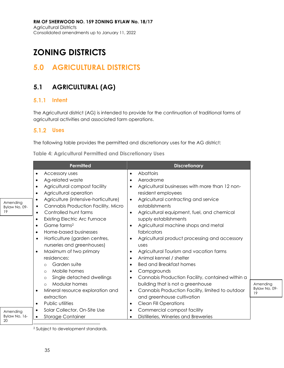# **ZONING DISTRICTS**

## **5.0 AGRICULTURAL DISTRICTS**

## **5.1 AGRICULTURAL (AG)**

## **Intent**

The Agricultural district (AG) is intended to provide for the continuation of traditional forms of agricultural activities and associated farm operations.

## **Uses**

20

The following table provides the permitted and discretionary uses for the AG district:

**Table 4: Agricultural Permitted and Discretionary Uses**

|                                 | Permitted                                                                                                                                                                                                                                                                                                                                                                                                                                                                                                                                                                                                              | <b>Discretionary</b>                                                                                                                                                                                                                                                                                                                                                                                                                                                                                                                                                                                          |                                 |
|---------------------------------|------------------------------------------------------------------------------------------------------------------------------------------------------------------------------------------------------------------------------------------------------------------------------------------------------------------------------------------------------------------------------------------------------------------------------------------------------------------------------------------------------------------------------------------------------------------------------------------------------------------------|---------------------------------------------------------------------------------------------------------------------------------------------------------------------------------------------------------------------------------------------------------------------------------------------------------------------------------------------------------------------------------------------------------------------------------------------------------------------------------------------------------------------------------------------------------------------------------------------------------------|---------------------------------|
| Amending<br>Bylaw No. 09-<br>19 | Accessory uses<br>٠<br>Ag-related waste<br>$\bullet$<br>Agricultural compost facility<br>$\bullet$<br>Agricultural operation<br>$\bullet$<br>Agriculture (intensive-horticulture)<br>$\bullet$<br>Cannabis Production Facility, Micro<br>$\bullet$<br>Controlled hunt farms<br>$\bullet$<br><b>Existing Electric Arc Furnace</b><br>٠<br>Game farms <sup>2</sup><br>٠<br>Home-based businesses<br>٠<br>Horticulture (garden centres,<br>$\bullet$<br>nurseries and greenhouses)<br>Maximum of two primary<br>residences:<br>Garden suite<br>$\circ$<br>Mobile homes<br>$\circ$<br>Single detached dwellings<br>$\circ$ | Abattoirs<br>$\bullet$<br>Aerodrome<br>Agricultural businesses with more than 12 non-<br>resident employees<br>Agricultural contracting and service<br>$\bullet$<br>establishments<br>Agricultural equipment, fuel, and chemical<br>$\bullet$<br>supply establishments<br>Agricultural machine shops and metal<br>fabricators<br>Agricultural product processing and accessory<br>uses<br>Agricultural Tourism and vacation farms<br>$\bullet$<br>Animal kennel / shelter<br>$\bullet$<br><b>Bed and Breakfast homes</b><br>Campgrounds<br>٠<br>Cannabis Production Facility, contained within a<br>$\bullet$ |                                 |
| Amending<br>Bylaw No. 16-       | Modular homes<br>$\circ$<br>Mineral resource exploration and<br>$\bullet$<br>extraction<br>Public utilities<br>$\bullet$<br>Solar Collector, On-Site Use<br><b>Storage Container</b><br>$\bullet$                                                                                                                                                                                                                                                                                                                                                                                                                      | building that is not a greenhouse<br>Cannabis Production Facility, limited to outdoor<br>$\bullet$<br>and greenhouse cultivation<br><b>Clean Fill Operations</b><br>$\bullet$<br>Commercial compost facility<br>Distilleries, Wineries and Breweries                                                                                                                                                                                                                                                                                                                                                          | Amending<br>Bylaw No. 09-<br>19 |

<sup>2</sup> Subject to development standards.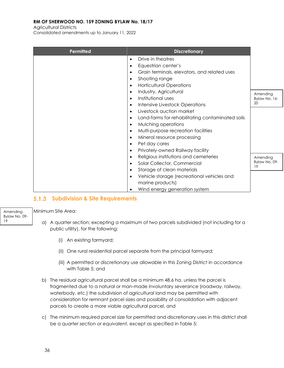Agricultural Districts

Consolidated amendments up to January 11, 2022

| Permitted | <b>Discretionary</b>                                          |                     |
|-----------|---------------------------------------------------------------|---------------------|
|           | Drive in theatres<br>$\bullet$                                |                     |
|           | Equestrian center's<br>$\bullet$                              |                     |
|           | Grain terminals, elevators, and related uses<br>$\bullet$     |                     |
|           | Shooting range<br>$\bullet$                                   |                     |
|           | <b>Horticultural Operations</b><br>$\bullet$                  |                     |
|           | Industry, Agricultural<br>$\bullet$                           | Amending            |
|           | Institutional uses<br>$\bullet$                               | Bylaw No. 16-       |
|           | Intensive Livestock Operations<br>$\bullet$                   | 20                  |
|           | Livestock auction market<br>$\bullet$                         |                     |
|           | Land-farms for rehabilitating contaminated soils<br>$\bullet$ |                     |
|           | Mulching operations<br>$\bullet$                              |                     |
|           | Multi-purpose recreation facilities<br>$\bullet$              |                     |
|           | Mineral resource processing<br>$\bullet$                      |                     |
|           | Pet day cares<br>$\bullet$                                    |                     |
|           | Privately-owned Railway facility<br>$\bullet$                 |                     |
|           | Religious institutions and cemeteries<br>$\bullet$            | Amending            |
|           | Solar Collector, Commercial<br>$\bullet$                      | Bylaw No. 09-<br>19 |
|           | Storage of clean materials<br>$\bullet$                       |                     |
|           | Vehicle storage (recreational vehicles and<br>$\bullet$       |                     |
|           | marine products)                                              |                     |
|           | Wind energy generation system<br>$\bullet$                    |                     |

### **Subdivision & Site Requirements**

Minimum Site Area:

Amending Bylaw No. 09-

19

- a) A quarter section; excepting a maximum of two parcels subdivided (not including for a public utility), for the following:
	- (i) An existing farmyard;
	- (ii) One rural residential parcel separate from the principal farmyard;
	- (iii) A permitted or discretionary use allowable in this Zoning District in accordance with Table 5; and
- b) The residual agricultural parcel shall be a minimum 48.6 ha. unless the parcel is fragmented due to a natural or man-made involuntary severance (roadway, railway, waterbody, etc.) the subdivision of agricultural land may be permitted with consideration for remnant parcel sizes and possibility of consolidation with adjacent parcels to create a more viable agricultural parcel, and
- c) The minimum required parcel size for permitted and discretionary uses in this district shall be a *quarter section or equivalent,* except as specified in Table 5: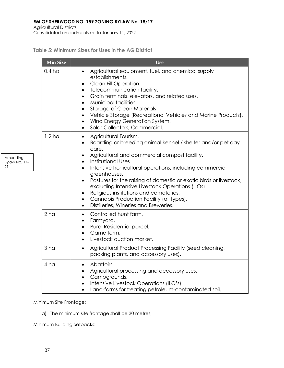Agricultural Districts Consolidated amendments up to January 11, 2022

Amending Bylaw No. 17-

21

**Table 5: Minimum Sizes for Uses in the AG District**

| <b>Min Size</b>   | Use                                                                                                                                                                                                                                                                                                                                                                                                                                                                                                                                                                                      |
|-------------------|------------------------------------------------------------------------------------------------------------------------------------------------------------------------------------------------------------------------------------------------------------------------------------------------------------------------------------------------------------------------------------------------------------------------------------------------------------------------------------------------------------------------------------------------------------------------------------------|
| 0.4 <sub>h</sub>  | Agricultural equipment, fuel, and chemical supply<br>$\bullet$<br>establishments.<br>Clean Fill Operation.<br>٠<br>Telecommunication facility.<br>$\bullet$<br>Grain terminals, elevators, and related uses.<br>$\bullet$<br>Municipal facilities.<br>$\bullet$<br>Storage of Clean Materials.<br>$\bullet$<br>Vehicle Storage (Recreational Vehicles and Marine Products).<br>$\bullet$<br>Wind Energy Generation System.<br>٠<br>Solar Collectors, Commercial.<br>$\bullet$                                                                                                            |
| 1.2 <sub>ha</sub> | Agricultural Tourism.<br>$\bullet$<br>Boarding or breeding animal kennel / shelter and/or pet day<br>$\bullet$<br>care.<br>Agricultural and commercial compost facility.<br>Institutional Uses<br>$\bullet$<br>Intensive horticultural operations, including commercial<br>$\bullet$<br>greenhouses.<br>Pastures for the raising of domestic or exotic birds or livestock,<br>excluding Intensive Livestock Operations (ILOs).<br>Religious institutions and cemeteries.<br>Cannabis Production Facility (all types).<br>$\bullet$<br>Distilleries, Wineries and Breweries.<br>$\bullet$ |
| 2 <sub>ha</sub>   | Controlled hunt farm.<br>$\bullet$<br>Farmyard.<br>$\bullet$<br>Rural Residential parcel.<br>$\bullet$<br>Game farm.<br>$\bullet$<br>Livestock auction market.<br>$\bullet$                                                                                                                                                                                                                                                                                                                                                                                                              |
| 3 <sub>ha</sub>   | Agricultural Product Processing Facility (seed cleaning,<br>$\bullet$<br>packing plants, and accessory uses).                                                                                                                                                                                                                                                                                                                                                                                                                                                                            |
| 4 <sub>h</sub>    | Abattoirs<br>$\bullet$<br>Agricultural processing and accessory uses.<br>$\bullet$<br>Campgrounds.<br>$\bullet$<br>Intensive Livestock Operations (ILO's)<br>٠<br>Land-farms for treating petroleum-contaminated soil.<br>$\bullet$                                                                                                                                                                                                                                                                                                                                                      |

Minimum Site Frontage:

a) The minimum site frontage shall be 30 metres;

Minimum Building Setbacks: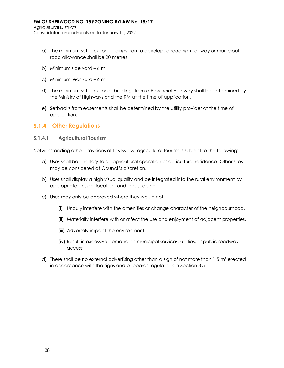Agricultural Districts Consolidated amendments up to January 11, 2022

- a) The minimum setback for buildings from a developed road right-of-way or municipal road allowance shall be 20 metres;
- b) Minimum side yard 6 m.
- c) Minimum rear yard 6 m.
- d) The minimum setback for all buildings from a Provincial Highway shall be determined by the Ministry of Highways and the RM at the time of application.
- e) Setbacks from easements shall be determined by the utility provider at the time of application.

## **Other Regulations**

#### **5.1.4.1 Agricultural Tourism**

Notwithstanding other provisions of this Bylaw, agricultural tourism is subject to the following:

- a) Uses shall be ancillary to an agricultural operation or agricultural residence. Other sites may be considered at Council's discretion.
- b) Uses shall display a high visual quality and be integrated into the rural environment by appropriate design, location, and landscaping.
- c) Uses may only be approved where they would not:
	- (i) Unduly interfere with the amenities or change character of the neighbourhood.
	- (ii) Materially interfere with or affect the use and enjoyment of adjacent properties.
	- (iii) Adversely impact the environment.
	- (iv) Result in excessive demand on municipal services, utilities, or public roadway access.
- d) There shall be no external advertising other than a sign of not more than  $1.5$  m<sup>2</sup> erected in accordance with the signs and billboards regulations in Section 3.5.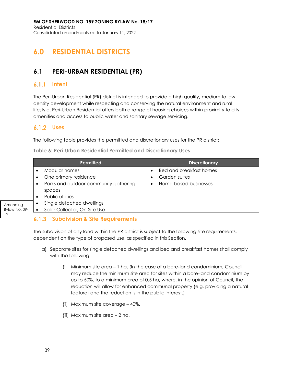# **6.0 RESIDENTIAL DISTRICTS**

## **6.1 PERI-URBAN RESIDENTIAL (PR)**

#### $6.1.1$ **Intent**

The Peri-Urban Residential (PR) district is intended to provide a high quality, medium to low density development while respecting and conserving the natural environment and rural lifestyle. Peri-Urban Residential offers both a range of housing choices within proximity to city amenities and access to public water and sanitary sewage servicing.

### **Uses**

19

The following table provides the permitted and discretionary uses for the PR district:

|                                 | <b>Permitted</b>                                                                        | <b>Discretionary</b>                                                     |
|---------------------------------|-----------------------------------------------------------------------------------------|--------------------------------------------------------------------------|
|                                 | Modular homes<br>One primary residence<br>Parks and outdoor community gathering<br>٠    | <b>Bed and breakfast homes</b><br>Garden suites<br>Home-based businesses |
| Amending<br>Bylaw No. 09-<br>10 | spaces<br>Public utilities<br>Single detached dwellings<br>Solar Collector, On-Site Use |                                                                          |

#### $^{1}$ 6.1.3 **Subdivision & Site Requirements**

The subdivision of any land within the PR district is subject to the following site requirements, dependent on the type of proposed use, as specified in this Section.

- a) Separate sites for single detached dwellings and bed and breakfast homes shall comply with the following:
	- (i) Minimum site area 1 ha. (In the case of a bare-land condominium, Council may reduce the minimum site area for sites within a bare-land condominium by up to 50%, to a minimum area of 0.5 ha, where, in the opinion of Council, the reduction will allow for enhanced communal property (e.g. providing a natural feature) and the reduction is in the public interest.)
	- (ii) Maximum site coverage 40%.
	- (iii) Maximum site area 2 ha.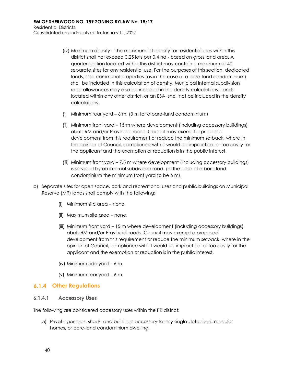- (iv) Maximum density The maximum lot density for residential uses within this district shall not exceed 0.25 lots per 0.4 ha - based on gross land area. A quarter section located within this district may contain a maximum of 40 separate sites for any residential use. For the purposes of this section, dedicated lands, and communal properties (as in the case of a bare-land condominium) shall be included in this calculation of density. Municipal internal subdivision road allowances may also be included in the density calculations. Lands located within any other district, or an ESA, shall not be included in the density calculations.
- (i) Minimum rear yard 6 m. (3 m for a bare-land condominium)
- (ii) Minimum front yard 15 m where development (including accessory buildings) abuts RM and/or Provincial roads. Council may exempt a proposed development from this requirement or reduce the minimum setback, where in the opinion of Council, compliance with it would be impractical or too costly for the applicant and the exemption or reduction is in the public interest.
- (iii) Minimum front yard 7.5 m where development (including accessory buildings) is serviced by an internal subdivision road. (in the case of a bare-land condominium the minimum front yard to be 6 m).
- b) Separate sites for open space, park and recreational uses and public buildings on Municipal Reserve (MR) lands shall comply with the following:
	- (i) Minimum site area none.
	- (ii) Maximum site area none.
	- (iii) Minimum front yard 15 m where development (including accessory buildings) abuts RM and/or Provincial roads. Council may exempt a proposed development from this requirement or reduce the minimum setback, where in the opinion of Council, compliance with it would be impractical or too costly for the applicant and the exemption or reduction is in the public interest.
	- (iv) Minimum side yard 6 m.
	- (v) Minimum rear yard 6 m.

### **Other Regulations**

#### **6.1.4.1 Accessory Uses**

The following are considered accessory uses within the PR district:

a) Private garages, sheds, and buildings accessory to any single-detached, modular homes, or bare-land condominium dwelling.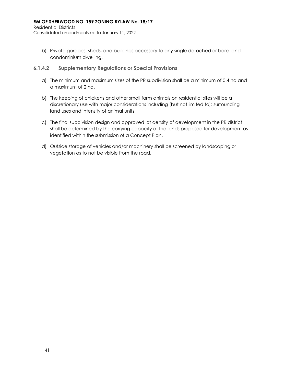Residential Districts Consolidated amendments up to January 11, 2022

b) Private garages, sheds, and buildings accessory to any single detached or bare-land condominium dwelling.

#### **6.1.4.2 Supplementary Regulations or Special Provisions**

- a) The minimum and maximum sizes of the PR subdivision shall be a minimum of 0.4 ha and a maximum of 2 ha.
- b) The keeping of chickens and other small farm animals on residential sites will be a discretionary use with major considerations including (but not limited to): surrounding land uses and intensity of animal units.
- c) The final subdivision design and approved lot density of development in the PR district shall be determined by the carrying capacity of the lands proposed for development as identified within the submission of a Concept Plan.
- d) Outside storage of vehicles and/or machinery shall be screened by landscaping or vegetation as to not be visible from the road.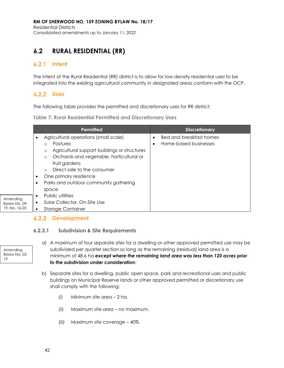## **6.2 RURAL RESIDENTIAL (RR)**

#### $6.2.1$ **Intent**

The intent of the Rural Residential (RR) district is to allow for low density residential uses to be integrated into the existing agricultural community in designated areas conform with the OCP.

## **Uses**

The following table provides the permitted and discretionary uses for RR district:

**Table 7: Rural Residential Permitted and Discretionary Uses** 

|                                            | Permitted                                                                                                                                                                                                                                                                                                             | <b>Discretionary</b>                                                      |
|--------------------------------------------|-----------------------------------------------------------------------------------------------------------------------------------------------------------------------------------------------------------------------------------------------------------------------------------------------------------------------|---------------------------------------------------------------------------|
|                                            | Agricultural operations (small scale)<br>Pastures<br>$\circ$<br>Agricultural support buildings or structures<br>$\circ$<br>Orchards and vegetable, horticultural or<br>$\circ$<br>fruit gardens<br>Direct sale to the consumer<br>$\Omega$<br>One primary residence<br>Parks and outdoor community gathering<br>space | <b>Bed and breakfast homes</b><br>$\bullet$<br>Home-based businesses<br>٠ |
| Amending<br>Bylaw No. 09-<br>19, No. 16-20 | Public utilities<br>Solar Collector, On-Site Use<br><b>Storage Container</b>                                                                                                                                                                                                                                          |                                                                           |

## **6.2.3 Development**

### **6.2.3.1 Subdivision & Site Requirements**

Amending Bylaw No. 03- 19

- a) A maximum of four separate sites for a dwelling or other approved permitted use may be subdivided per quarter section so long as the remaining (residual) land area is a minimum of 48.6 ha *except where the remaining land area was less than 120 acres prior to the subdivision under consideration*;
- b) Separate sites for a dwelling, public open space, park and recreational uses and public buildings on Municipal Reserve lands or other approved permitted or discretionary use shall comply with the following:
	- (i) Minimum site area 2 ha.
	- (ii) Maximum site area no maximum.
	- (iii) Maximum site coverage 40%.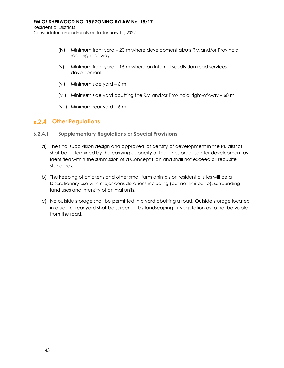Residential Districts Consolidated amendments up to January 11, 2022

- (iv) Minimum front yard 20 m where development abuts RM and/or Provincial road right-of-way.
- (v) Minimum front yard 15 m where an internal subdivision road services development.
- (vi) Minimum side yard 6 m.
- (vii) Minimum side yard abutting the RM and/or Provincial right-of-way 60 m.
- (viii) Minimum rear yard 6 m.

## **Other Regulations**

#### **6.2.4.1 Supplementary Regulations or Special Provisions**

- a) The final subdivision design and approved lot density of development in the RR district shall be determined by the carrying capacity of the lands proposed for development as identified within the submission of a Concept Plan and shall not exceed all requisite standards.
- b) The keeping of chickens and other small farm animals on residential sites will be a Discretionary Use with major considerations including (but not limited to): surrounding land uses and intensity of animal units.
- c) No outside storage shall be permitted in a yard abutting a road. Outside storage located in a side or rear yard shall be screened by landscaping or vegetation as to not be visible from the road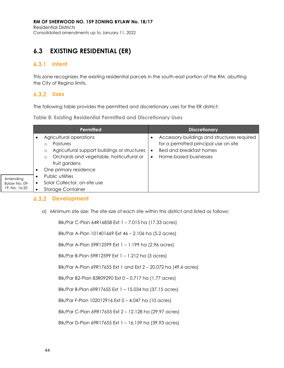## **6.3 EXISTING RESIDENTIAL (ER)**

### **Intent**

This zone recognizes the existing residential parcels in the south-east portion of the RM, abutting the City of Regina limits.

## **Uses**

The following table provides the permitted and discretionary uses for the ER district:

**Table 8: Existing Residential Permitted and Discretionary Uses**

|               | <b>Permitted</b>                                        | <b>Discretionary</b>                        |
|---------------|---------------------------------------------------------|---------------------------------------------|
|               | Agricultural operations<br>٠                            | Accessory buildings and structures required |
|               | <b>Pastures</b>                                         | for a permitted principal use on site       |
|               | Agricultural support buildings or structures<br>$\circ$ | <b>Bed and breakfast homes</b>              |
|               | Orchards and vegetable, horticultural or<br>$\circ$     | Home-based businesses                       |
|               | fruit gardens                                           |                                             |
|               | One primary residence<br>٠                              |                                             |
| Amending      | Public utilities                                        |                                             |
| Bylaw No. 09- | Solar Collector, on-site use                            |                                             |
| 19, No. 16-20 | <b>Storage Container</b>                                |                                             |

### **6.3.3 Development**

a) Minimum site size: The site size of each site within this district and listed as follows:

| Blk/Par C-Plan 64R16858 Ext 1 - 7.015 ha (17.33 acres)           |
|------------------------------------------------------------------|
| Blk/Par A-Plan 101401669 Ext 46 - 2.106 ha (5.2 acres)           |
| Blk/Par A-Plan 59R12599 Ext 1 - 1.199 ha (2.96 acres)            |
| Blk/Par B-Plan 59R12599 Ext 1 - 1.212 ha (3 acres)               |
| Blk/Par A-Plan 69R17655 Ext 1 and Ext 2 - 20.072 ha (49.6 acres) |
| Blk/Par B2-Plan 83R09290 Ext 0 - 0.717 ha (1.77 acres)           |
| Blk/Par B-Plan 69R17655 Ext 1 - 15.034 ha (37.15 acres)          |
| Blk/Par F-Plan 102012916 Ext 0 - 4.047 ha (10 acres)             |
| Blk/Par C-Plan 69R17655 Ext 2 - 12.128 ha (29.97 acres)          |
| Blk/Par D-Plan 69R17655 Ext 1 - 16.159 ha (39.93 acres)          |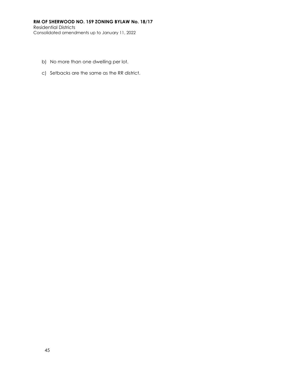- b) No more than one dwelling per lot.
- c) Setbacks are the same as the RR district.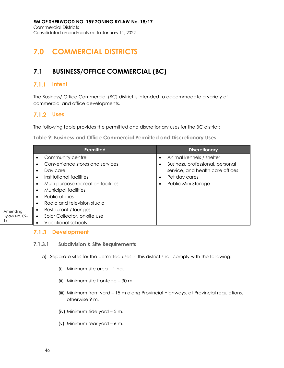# **7.0 COMMERCIAL DISTRICTS**

## **7.1 BUSINESS/OFFICE COMMERCIAL (BC)**

#### $7.1.1$ **Intent**

The Business/ Office Commercial (BC) district is intended to accommodate a variety of commercial and office developments.

## **Uses**

The following table provides the permitted and discretionary uses for the BC district:

**Table 9: Business and Office Commercial Permitted and Discretionary Uses**

|                                 | Permitted                                                                                                                                                                                                                                                | <b>Discretionary</b>                                                                                                                     |
|---------------------------------|----------------------------------------------------------------------------------------------------------------------------------------------------------------------------------------------------------------------------------------------------------|------------------------------------------------------------------------------------------------------------------------------------------|
|                                 | Community centre<br>٠<br>Convenience stores and services<br>Day care<br>٠<br>Institutional facilities<br>٠<br>Multi-purpose recreation facilities<br>٠<br>Municipal facilities<br>٠<br>Public utilities<br>$\bullet$<br>Radio and television studio<br>٠ | Animal kennels / shelter<br>Business, professional, personal<br>service, and health care offices<br>Pet day cares<br>Public Mini Storage |
| Amending<br>Bylaw No. 09-<br>19 | Restaurant / lounges<br>Solar Collector, on-site use<br>٠<br>Vocational schools                                                                                                                                                                          |                                                                                                                                          |

### **7.1.3 Development**

### **7.1.3.1 Subdivision & Site Requirements**

- a) Separate sites for the permitted uses in this district shall comply with the following:
	- (i) Minimum site area 1 ha.
	- (ii) Minimum site frontage 30 m.
	- (iii) Minimum front yard 15 m along Provincial Highways, at Provincial regulations, otherwise 9 m.
	- (iv) Minimum side yard 5 m.
	- (v) Minimum rear yard 6 m.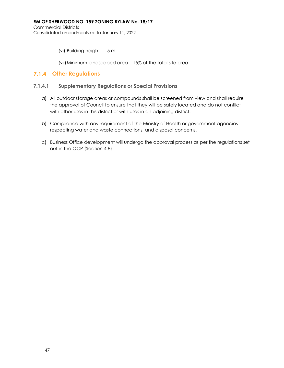(vi) Building height – 15 m.

(vii)Minimum landscaped area – 15% of the total site area.

### **Other Regulations**

#### **7.1.4.1 Supplementary Regulations or Special Provisions**

- a) All outdoor storage areas or compounds shall be screened from view and shall require the approval of Council to ensure that they will be safely located and do not conflict with other uses in this district or with uses in an adjoining district.
- b) Compliance with any requirement of the Ministry of Health or government agencies respecting water and waste connections, and disposal concerns.
- c) Business Office development will undergo the approval process as per the regulations set out in the OCP (Section 4.8).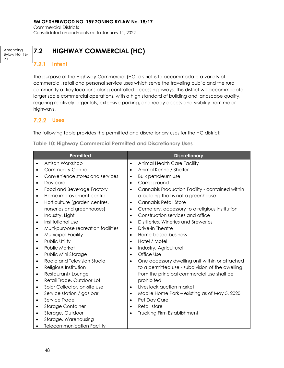Commercial Districts Consolidated amendments up to January 11, 2022

Amending Bylaw No. 16- 20

## **7.2 HIGHWAY COMMERCIAL (HC)**

#### $7.2.1$ **Intent**

The purpose of the Highway Commercial (HC) district is to accommodate a variety of commercial, retail and personal service uses which serve the traveling public and the rural community at key locations along controlled-access highways. This district will accommodate larger scale commercial operations, with a high standard of building and landscape quality, requiring relatively larger lots, extensive parking, and ready access and visibility from major highways.

### **Uses**

The following table provides the permitted and discretionary uses for the HC district:

**Table 10: Highway Commercial Permitted and Discretionary Uses**

| <b>Permitted</b>                       | <b>Discretionary</b>                                        |
|----------------------------------------|-------------------------------------------------------------|
| Artisan Workshop                       | Animal Health Care Facility                                 |
| $\bullet$                              | $\bullet$                                                   |
| <b>Community Centre</b>                | Animal Kennel/ Shelter                                      |
| $\bullet$                              | $\bullet$                                                   |
| Convenience stores and services        | <b>Bulk petroleum use</b>                                   |
| $\bullet$                              | $\bullet$                                                   |
| Day care                               | Campground                                                  |
| $\bullet$                              | $\bullet$                                                   |
| Food and Beverage Factory              | Cannabis Production Facility - contained within             |
| $\bullet$                              | $\bullet$                                                   |
| Home improvement centre<br>$\bullet$   | a building that is not a greenhouse                         |
| Horticulture (garden centres,          | Cannabis Retail Store                                       |
| $\bullet$                              | $\bullet$                                                   |
| nurseries and greenhouses)             | Cemetery, accessory to a religious institution<br>$\bullet$ |
| Industry, Light                        | Construction services and office                            |
| $\bullet$                              | $\bullet$                                                   |
| Institutional use                      | Distilleries, Wineries and Breweries                        |
| $\bullet$                              | $\bullet$                                                   |
| Multi-purpose recreation facilities    | Drive-in Theatre                                            |
| $\bullet$                              | $\bullet$                                                   |
| <b>Municipal Facility</b>              | Home-based business                                         |
| $\bullet$                              | $\bullet$                                                   |
| Public Utility                         | Hotel / Motel                                               |
| $\bullet$                              | $\bullet$                                                   |
| Public Market                          | Industry, Agricultural                                      |
| $\bullet$                              | $\bullet$                                                   |
| Public Mini Storage                    | Office Use                                                  |
| ٠                                      | $\bullet$                                                   |
| Radio and Television Studio            | One accessory dwelling unit within or attached              |
| $\bullet$                              | $\bullet$                                                   |
| Religious Institution<br>$\bullet$     | to a permitted use - subdivision of the dwelling            |
| Restaurant/Lounge<br>$\bullet$         | from the principal commercial use shall be                  |
| Retail Trade, Outdoor Lot<br>$\bullet$ | prohibited                                                  |
| Solar Collector, on-site use           | Livestock auction market                                    |
| $\bullet$                              | $\bullet$                                                   |
| Service station / gas bar              | Mobile Home Park – existing as of May 5, 2020               |
| $\bullet$                              | $\bullet$                                                   |
| Service Trade                          | Pet Day Care                                                |
| $\bullet$                              | $\bullet$                                                   |
| <b>Storage Container</b>               | Retail store                                                |
| $\bullet$                              | $\bullet$                                                   |
| Storage, Outdoor                       | <b>Trucking Firm Establishment</b>                          |
| $\bullet$                              | $\bullet$                                                   |
| Storage, Warehousing<br>$\bullet$      |                                                             |
| <b>Telecommunication Facility</b>      |                                                             |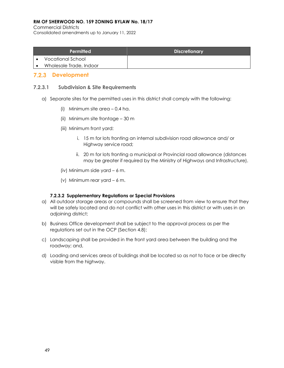Commercial Districts

Consolidated amendments up to January 11, 2022

| Permitted               | <b>Discretionary</b> |
|-------------------------|----------------------|
| Vocational School       |                      |
| Wholesale Trade, Indoor |                      |

### **7.2.3 Development**

#### **7.2.3.1 Subdivision & Site Requirements**

- a) Separate sites for the permitted uses in this district shall comply with the following:
	- (i) Minimum site area 0.4 ha.
	- (ii) Minimum site frontage 30 m
	- (iii) Minimum front yard:
		- i. 15 m for lots fronting an internal subdivision road allowance and/ or Highway service road;
		- ii. 20 m for lots fronting a municipal or Provincial road allowance (distances may be greater if required by the Ministry of Highways and Infrastructure).
	- (iv) Minimum side yard 6 m.
	- (v) Minimum rear yard 6 m.

#### **7.2.3.2 Supplementary Regulations or Special Provisions**

- a) All outdoor storage areas or compounds shall be screened from view to ensure that they will be safely located and do not conflict with other uses in this district or with uses in an adjoining district;
- b) Business Office development shall be subject to the approval process as per the regulations set out in the OCP (Section 4.8);
- c) Landscaping shall be provided in the front yard area between the building and the roadway; and,
- d) Loading and services areas of buildings shall be located so as not to face or be directly visible from the highway.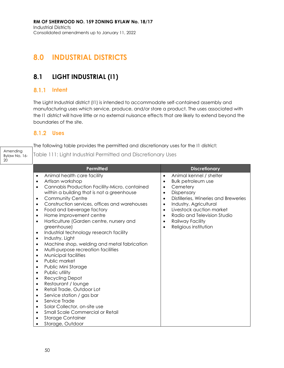# **8.0 INDUSTRIAL DISTRICTS**

## **8.1 LIGHT INDUSTRIAL (I1)**

## **8.1.1 Intent**

The Light Industrial district (I1) is intended to accommodate self-contained assembly and manufacturing uses which service, produce, and/or store a product. The uses associated with the I1 district will have little or no external nuisance effects that are likely to extend beyond the boundaries of the site.

## **Uses**

20

The following table provides the permitted and discretionary uses for the I1 district:

Amending Bylaw No. 16- Table 111: Light Industrial Permitted and Discretionary Uses

| <b>Permitted</b>                                                 | <b>Discretionary</b>                              |
|------------------------------------------------------------------|---------------------------------------------------|
| Animal health care facility<br>$\bullet$                         | Animal kennel / shelter<br>$\bullet$              |
| Artisan workshop<br>$\bullet$                                    | <b>Bulk petroleum use</b><br>$\bullet$            |
| Cannabis Production Facility-Micro, contained<br>$\bullet$       | Cemetery<br>$\bullet$                             |
| within a building that is not a greenhouse                       | Dispensary<br>$\bullet$                           |
| <b>Community Centre</b><br>$\bullet$                             | Distilleries, Wineries and Breweries<br>$\bullet$ |
| Construction services, offices and warehouses<br>$\bullet$       | Industry, Agricultural<br>$\bullet$               |
| Food and beverage factory<br>$\bullet$                           | Livestock auction market<br>$\bullet$             |
| Home improvement centre<br>$\bullet$                             | Radio and Television Studio<br>$\bullet$          |
| Horticulture (Garden centre, nursery and<br>$\bullet$            | Railway Facility<br>$\bullet$                     |
| greenhouse)                                                      | Religious institution<br>$\bullet$                |
| Industrial technology research facility<br>$\bullet$             |                                                   |
| Industry, Light<br>$\bullet$                                     |                                                   |
| Machine shop, welding and metal fabrication<br>$\bullet$         |                                                   |
| Multi-purpose recreation facilities<br>$\bullet$                 |                                                   |
| Municipal facilities<br>$\bullet$                                |                                                   |
| Public market<br>$\bullet$                                       |                                                   |
| Public Mini Storage<br>$\bullet$                                 |                                                   |
| Public utility<br>$\bullet$                                      |                                                   |
| Recycling Depot<br>$\bullet$<br>Restaurant / lounge<br>$\bullet$ |                                                   |
| Retail Trade, Outdoor Lot<br>$\bullet$                           |                                                   |
| Service station / gas bar<br>$\bullet$                           |                                                   |
| Service Trade<br>$\bullet$                                       |                                                   |
| Solar Collector, on-site use<br>$\bullet$                        |                                                   |
| Small Scale Commercial or Retail<br>$\bullet$                    |                                                   |
| <b>Storage Container</b><br>٠                                    |                                                   |
| Storage, Outdoor                                                 |                                                   |
|                                                                  |                                                   |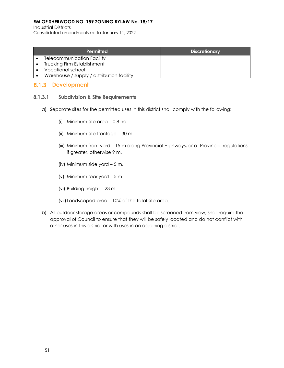Industrial Districts

Consolidated amendments up to January 11, 2022

| Permitted                                  | <b>Discretionary</b> |
|--------------------------------------------|----------------------|
| <b>Telecommunication Facility</b>          |                      |
| <b>Trucking Firm Establishment</b>         |                      |
| Vocational school                          |                      |
| Warehouse / supply / distribution facility |                      |

## 8.1.3 Development

### **8.1.3.1 Subdivision & Site Requirements**

- a) Separate sites for the permitted uses in this district shall comply with the following:
	- (i) Minimum site area 0.8 ha.
	- (ii) Minimum site frontage 30 m.
	- (iii) Minimum front yard 15 m along Provincial Highways, or at Provincial regulations if greater, otherwise 9 m.
	- (iv) Minimum side yard 5 m.
	- (v) Minimum rear yard 5 m.
	- (vi) Building height 23 m.
	- (vii)Landscaped area 10% of the total site area.
- b) All outdoor storage areas or compounds shall be screened from view, shall require the approval of Council to ensure that they will be safely located and do not conflict with other uses in this district or with uses in an adjoining district.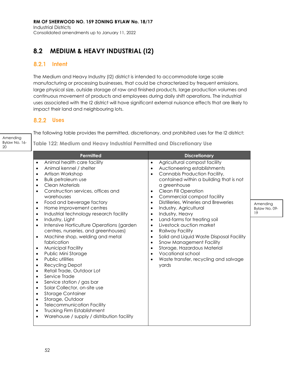## **8.2 MEDIUM & HEAVY INDUSTRIAL (I2)**

### **8.2.1 Intent**

The Medium and Heavy Industry (I2) district is intended to accommodate large scale manufacturing or processing businesses, that could be characterized by frequent emissions, large physical size, outside storage of raw and finished products, large production volumes and continuous movement of products and employees during daily shift operations. The industrial uses associated with the I2 district will have significant external nuisance effects that are likely to impact their land and neighbouring lots.

The following table provides the permitted, discretionary, and prohibited uses for the I2 district:

**Discretionary** 

contained within a building that is not

• Agricultural compost facility • Auctioneering establishments • Cannabis Production Facility,

a greenhouse • Clean Fill Operation • Commercial compost facility • Distilleries, Wineries and Breweries

• Industry, Agricultural • Industry, Heavy

• Railway Facility

yards

Land-farms for treating soil • Livestock auction market

• Snow Management Facility • Storage, Hazardous Material

• Vocational school

• Solid and Liquid Waste Disposal Facility

• Waste transfer, recycling and salvage

### **Uses**

| Amending<br>Bylaw No. 16-<br>20 | Table 122: Medium and Heavy Industrial Pe                                                                                                                                                                                                                                                                                                                                                                              |  |
|---------------------------------|------------------------------------------------------------------------------------------------------------------------------------------------------------------------------------------------------------------------------------------------------------------------------------------------------------------------------------------------------------------------------------------------------------------------|--|
|                                 | Permitted                                                                                                                                                                                                                                                                                                                                                                                                              |  |
|                                 | Animal health care facility<br>Animal kennel / shelter<br>Artisan Workshop<br>Bulk petroleum use<br>Clean Materials<br>Construction services, offices and<br>warehouses<br>Food and beverage factory<br>Home improvement centres<br>Industrial technology research facility<br>Industry, Light<br>Intensive Horticulture Operations (garden<br>centres, nurseries, and greenhouses)<br>Machine shop, welding and metal |  |
|                                 | fabrication                                                                                                                                                                                                                                                                                                                                                                                                            |  |

- Municipal Facility
- Public Mini Storage
- Public utilities
- Recycling Depot
- Retail Trade, Outdoor Lot
- Service Trade
- Service station / gas bar
- Solar Collector, on-site use
- Storage Container
- Storage, Outdoor
- Telecommunication Facility
- Trucking Firm Establishment
- Warehouse / supply / distribution facility

**Industrial Permitted and Discretionary Use** 

Amending Bylaw No. 09- 19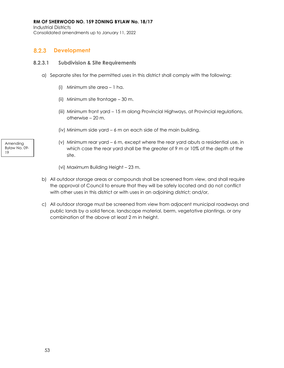Industrial Districts Consolidated amendments up to January 11, 2022

#### $8.2.3$ **Development**

### **8.2.3.1 Subdivision & Site Requirements**

- a) Separate sites for the permitted uses in this district shall comply with the following:
	- (i) Minimum site area 1 ha.
	- (ii) Minimum site frontage 30 m.
	- (iii) Minimum front yard 15 m along Provincial Highways, at Provincial regulations, otherwise – 20 m.
	- (iv) Minimum side yard 6 m on each side of the main building.
	- (v) Minimum rear yard 6 m, except where the rear yard abuts a residential use, in which case the rear yard shall be the greater of 9 m or 10% of the depth of the site.
	- (vi) Maximum Building Height 23 m.
- b) All outdoor storage areas or compounds shall be screened from view, and shall require the approval of Council to ensure that they will be safely located and do not conflict with other uses in this district or with uses in an adjoining district; and/or,
- c) All outdoor storage must be screened from view from adjacent municipal roadways and public lands by a solid fence, landscape material, berm, vegetative plantings, or any combination of the above at least 2 m in height.

Amending Bylaw No. 09- 19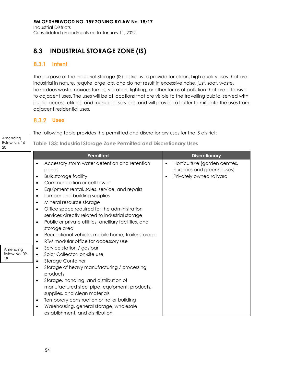## **8.3 INDUSTRIAL STORAGE ZONE (IS)**

### 8.3.1 Intent

The purpose of the Industrial Storage (IS) district is to provide for clean, high quality uses that are industrial in nature, require large lots, and do not result in excessive noise, just, soot, waste, hazardous waste, noxious fumes, vibration, lighting, or other forms of pollution that are offensive to adjacent uses. The uses will be at locations that are visible to the travelling public, served with public access, utilities, and municipal services, and will provide a buffer to mitigate the uses from adjacent residential uses.

### **Uses**

| Amending<br>Bylaw No. 16-<br>20 | The following ruple provides the permitted drid discretionally uses for the is district.<br>Table 133: Industrial Storage Zone Permitted and Discretionary Uses                                                                                                                                                                                                                                                                                                                                                                                                                                                                                                                                                                                                                                                                                                                                                                                                                                                                                                                         |                                                                                                                   |  |  |
|---------------------------------|-----------------------------------------------------------------------------------------------------------------------------------------------------------------------------------------------------------------------------------------------------------------------------------------------------------------------------------------------------------------------------------------------------------------------------------------------------------------------------------------------------------------------------------------------------------------------------------------------------------------------------------------------------------------------------------------------------------------------------------------------------------------------------------------------------------------------------------------------------------------------------------------------------------------------------------------------------------------------------------------------------------------------------------------------------------------------------------------|-------------------------------------------------------------------------------------------------------------------|--|--|
|                                 | <b>Permitted</b>                                                                                                                                                                                                                                                                                                                                                                                                                                                                                                                                                                                                                                                                                                                                                                                                                                                                                                                                                                                                                                                                        | <b>Discretionary</b>                                                                                              |  |  |
| Amending<br>Bylaw No. 09-<br>19 | Accessory storm water detention and retention<br>ponds<br><b>Bulk storage facility</b><br>$\bullet$<br>Communication or cell tower<br>$\bullet$<br>Equipment rental, sales, service, and repairs<br>٠<br>Lumber and building supplies<br>$\bullet$<br>Mineral resource storage<br>$\bullet$<br>Office space required for the administration<br>services directly related to industrial storage<br>Public or private utilities, ancillary facilities, and<br>$\bullet$<br>storage area<br>Recreational vehicle, mobile home, trailer storage<br>$\bullet$<br>RTM modular office for accessory use<br>$\bullet$<br>Service station / gas bar<br>٠<br>Solar Collector, on-site use<br>$\bullet$<br><b>Storage Container</b><br>$\bullet$<br>Storage of heavy manufacturing / processing<br>٠<br>products<br>Storage, handling, and distribution of<br>$\bullet$<br>manufactured steel pipe, equipment, products,<br>supplies, and clean materials<br>Temporary construction or trailer building<br>$\bullet$<br>Warehousing, general storage, wholesale<br>establishment, and distribution | Horticulture (garden centres,<br>$\bullet$<br>nurseries and greenhouses)<br>Privately owned railyard<br>$\bullet$ |  |  |

The following table provides the permitted and discretionary uses for the IS district: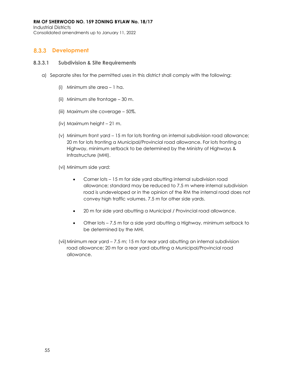Industrial Districts Consolidated amendments up to January 11, 2022

## 8.3.3 Development

#### **8.3.3.1 Subdivision & Site Requirements**

- a) Separate sites for the permitted uses in this district shall comply with the following:
	- (i) Minimum site area 1 ha.
	- (ii) Minimum site frontage 30 m.
	- (iii) Maximum site coverage 50%.
	- (iv) Maximum height 21 m.
	- (v) Minimum front yard 15 m for lots fronting an internal subdivision road allowance; 20 m for lots fronting a Municipal/Provincial road allowance. For lots fronting a Highway, minimum setback to be determined by the Ministry of Highways & Infrastructure (MHI).
	- (vi) Minimum side yard:
		- Corner lots 15 m for side yard abutting internal subdivision road allowance; standard may be reduced to 7.5 m where internal subdivision road is undeveloped or in the opinion of the RM the internal road does not convey high traffic volumes. 7.5 m for other side yards.
		- 20 m for side yard abutting a Municipal / Provincial road allowance.
		- Other lots 7.5 m for a side yard abutting a Highway, minimum setback to be determined by the MHI.
	- (vii)Minimum rear yard 7.5 m; 15 m for rear yard abutting an internal subdivision road allowance; 20 m for a rear yard abutting a Municipal/Provincial road allowance.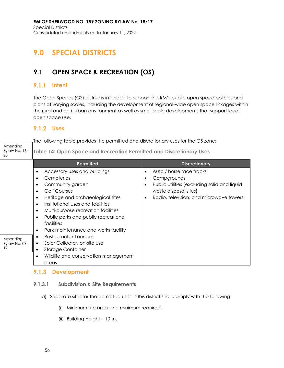# **9.0 SPECIAL DISTRICTS**

## **9.1 OPEN SPACE & RECREATION (OS)**

## **9.1.1 Intent**

The Open Spaces (OS) district is intended to support the RM's public open space policies and plans at varying scales, including the development of regional-wide open space linkages within the rural and peri-urban environment as well as small scale developments that support local open space use.

## **Uses**

|                                 | The following table provides the permitted and discretionary uses for the OS zone:                                                                                                                                                                                                                                                                                                                       |                                                                                                                                                                            |  |  |  |
|---------------------------------|----------------------------------------------------------------------------------------------------------------------------------------------------------------------------------------------------------------------------------------------------------------------------------------------------------------------------------------------------------------------------------------------------------|----------------------------------------------------------------------------------------------------------------------------------------------------------------------------|--|--|--|
| Amending<br>Bylaw No. 16-<br>20 | Table 14: Open Space and Recreation Permitted and Discretionary Uses                                                                                                                                                                                                                                                                                                                                     |                                                                                                                                                                            |  |  |  |
|                                 | Permitted                                                                                                                                                                                                                                                                                                                                                                                                | <b>Discretionary</b>                                                                                                                                                       |  |  |  |
|                                 | Accessory uses and buildings<br>٠<br>Cemeteries<br>$\bullet$<br>Community garden<br>٠<br><b>Golf Courses</b><br>$\bullet$<br>Heritage and archaeological sites<br>$\bullet$<br>Institutional uses and facilities<br>$\bullet$<br>Multi-purpose recreation facilities<br>$\bullet$<br>Public parks and public recreational<br>$\bullet$<br>facilities<br>Park maintenance and works facility<br>$\bullet$ | Auto / horse race tracks<br>٠<br>Campgrounds<br>٠<br>Public utilities (excluding solid and liquid<br>٠<br>waste disposal sites)<br>Radio, television, and microwave towers |  |  |  |
| Amending<br>Bylaw No. 09-<br>19 | Restaurants / Lounges<br>$\bullet$<br>Solar Collector, on-site use<br>$\bullet$<br><b>Storage Container</b><br>$\bullet$                                                                                                                                                                                                                                                                                 |                                                                                                                                                                            |  |  |  |
|                                 | Wildlife and conservation management<br>$\bullet$<br>areas                                                                                                                                                                                                                                                                                                                                               |                                                                                                                                                                            |  |  |  |

## **9.1.3 Development**

### **9.1.3.1 Subdivision & Site Requirements**

- a) Separate sites for the permitted uses in this district shall comply with the following:
	- (i) Minimum site area no minimum required.
	- (ii) Building Height 10 m.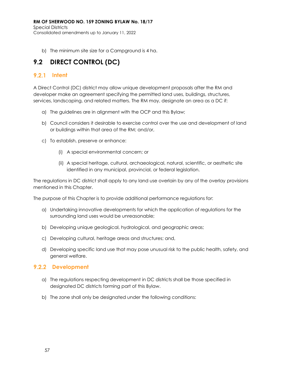Special Districts Consolidated amendments up to January 11, 2022

b) The minimum site size for a Campground is 4 ha.

## **9.2 DIRECT CONTROL (DC)**

## **9.2.1 Intent**

A Direct Control (DC) district may allow unique development proposals after the RM and developer make an agreement specifying the permitted land uses, buildings, structures, services, landscaping, and related matters. The RM may, designate an area as a DC if:

- a) The guidelines are in alignment with the OCP and this Bylaw;
- b) Council considers it desirable to exercise control over the use and development of land or buildings within that area of the RM; and/or,
- c) To establish, preserve or enhance:
	- (i) A special environmental concern; or
	- (ii) A special heritage, cultural, archaeological, natural, scientific, or aesthetic site identified in any municipal, provincial, or federal legislation.

The regulations in DC district shall apply to any land use overlain by any of the overlay provisions mentioned in this Chapter.

The purpose of this Chapter is to provide additional performance regulations for:

- a) Undertaking innovative developments for which the application of regulations for the surrounding land uses would be unreasonable;
- b) Developing unique geological, hydrological, and geographic areas;
- c) Developing cultural, heritage areas and structures; and,
- d) Developing specific land use that may pose unusual risk to the public health, safety, and general welfare.

### **9.2.2 Development**

- a) The regulations respecting development in DC districts shall be those specified in designated DC districts forming part of this Bylaw.
- b) The zone shall only be designated under the following conditions: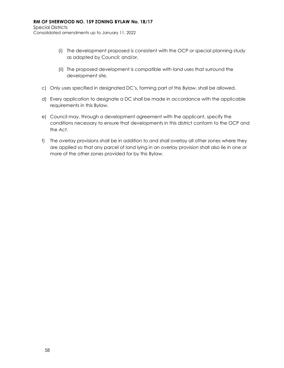Special Districts Consolidated amendments up to January 11, 2022

- (i) The development proposed is consistent with the OCP or special planning study as adopted by Council; and/or,
- (ii) The proposed development is compatible with land uses that surround the development site.
- c) Only uses specified in designated DC's, forming part of this Bylaw, shall be allowed.
- d) Every application to designate a DC shall be made in accordance with the applicable requirements in this Bylaw.
- e) Council may, through a development agreement with the applicant, specify the conditions necessary to ensure that developments in this district conform to the OCP and the *Act*.
- f) The overlay provisions shall be in addition to and shall overlay all other zones where they are applied so that any parcel of land lying in an overlay provision shall also lie in one or more of the other zones provided for by this Bylaw.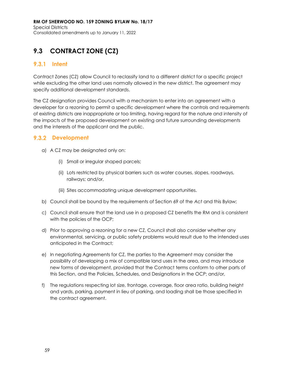## **9.3 CONTRACT ZONE (CZ)**

## **9.3.1 Intent**

Contract Zones (CZ) allow Council to reclassify land to a different district for a specific project while excluding the other land uses normally allowed in the new district. The agreement may specify additional development standards.

The CZ designation provides Council with a mechanism to enter into an agreement with a developer for a rezoning to permit a specific development where the controls and requirements of existing districts are inappropriate or too limiting, having regard for the nature and intensity of the impacts of the proposed development on existing and future surrounding developments and the interests of the applicant and the public.

## **9.3.2 Development**

- a) A CZ may be designated only on:
	- (i) Small or irregular shaped parcels;
	- (ii) Lots restricted by physical barriers such as water courses, slopes, roadways, railways; and/or,
	- (iii) Sites accommodating unique development opportunities.
- b) Council shall be bound by the requirements of Section 69 of the *Act* and this Bylaw;
- c) Council shall ensure that the land use in a proposed CZ benefits the RM and is consistent with the policies of the OCP;
- d) Prior to approving a rezoning for a new CZ, Council shall also consider whether any environmental, servicing, or public safety problems would result due to the intended uses anticipated in the Contract;
- e) In negotiating Agreements for CZ, the parties to the Agreement may consider the possibility of developing a mix of compatible land uses in the area, and may introduce new forms of development, provided that the Contract terms conform to other parts of this Section, and the Policies, Schedules, and Designations in the OCP; and/or,
- f) The regulations respecting lot size, frontage, coverage, floor area ratio, building height and yards, parking, payment in lieu of parking, and loading shall be those specified in the contract agreement.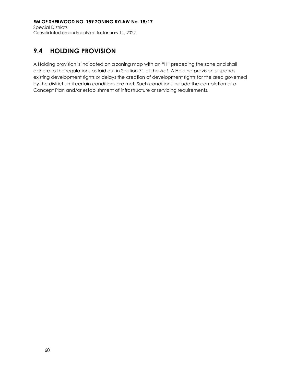## **9.4 HOLDING PROVISION**

A Holding provision is indicated on a zoning map with an "H" preceding the zone and shall adhere to the regulations as laid out in Section 71 of the *Act*. A Holding provision suspends existing development rights or delays the creation of development rights for the area governed by the district until certain conditions are met. Such conditions include the completion of a Concept Plan and/or establishment of infrastructure or servicing requirements.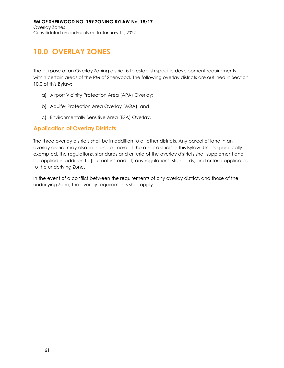# **10.0 OVERLAY ZONES**

The purpose of an Overlay Zoning district is to establish specific development requirements within certain areas of the RM of Sherwood. The following overlay districts are outlined in Section 10.0 of this Bylaw:

- a) Airport Vicinity Protection Area (APA) Overlay;
- b) Aquifer Protection Area Overlay (AQA); and,
- c) Environmentally Sensitive Area (ESA) Overlay.

## **Application of Overlay Districts**

The three overlay districts shall be in addition to all other districts. Any parcel of land in an overlay district may also lie in one or more of the other districts in this Bylaw. Unless specifically exempted, the regulations, standards and criteria of the overlay districts shall supplement and be applied in addition to (but not instead of) any regulations, standards, and criteria applicable to the underlying Zone.

In the event of a conflict between the requirements of any overlay district, and those of the underlying Zone, the overlay requirements shall apply.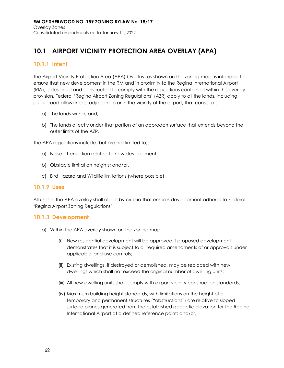## **10.1 AIRPORT VICINITY PROTECTION AREA OVERLAY (APA)**

## **Intent**

The Airport Vicinity Protection Area (APA) Overlay, as shown on the zoning map, is intended to ensure that new development in the RM and in proximity to the Regina International Airport (RIA), is designed and constructed to comply with the regulations contained within this overlay provision. Federal 'Regina Airport Zoning Regulations' (AZR) apply to all the lands, including public road allowances, adjacent to or in the vicinity of the airport, that consist of:

- a) The lands within; and,
- b) The lands directly under that portion of an approach surface that extends beyond the outer limits of the AZR.

The APA regulations include (but are not limited to):

- a) Noise attenuation related to new development;
- b) Obstacle limitation heights; and/or,
- c) Bird Hazard and Wildlife limitations (where possible).

### **Uses**

All uses in the APA overlay shall abide by criteria that ensures development adheres to Federal 'Regina Airport Zoning Regulations'.

### **10.1.3 Development**

- a) Within the APA overlay shown on the zoning map:
	- (i) New residential development will be approved if proposed development demonstrates that it is subject to all required amendments of or approvals under applicable land-use controls;
	- (ii) Existing dwellings, if destroyed or demolished, may be replaced with new dwellings which shall not exceed the original number of dwelling units;
	- (iii) All new dwelling units shall comply with airport vicinity construction standards;
	- (iv) Maximum building height standards, with limitations on the height of all temporary and permanent structures ("obstructions") are relative to sloped surface planes generated from the established geodetic elevation for the Regina International Airport at a defined reference point; and/or,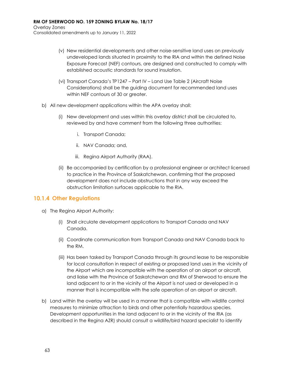Overlay Zones Consolidated amendments up to January 11, 2022

- (v) New residential developments and other noise-sensitive land uses on previously undeveloped lands situated in proximity to the RIA and within the defined Noise Exposure Forecast (NEF) contours, are designed and constructed to comply with established acoustic standards for sound insulation.
- (vi) Transport Canada's TP1247 Part IV Land Use Table 2 (Aircraft Noise Considerations) shall be the guiding document for recommended land uses within NEF contours of 30 or greater.
- b) All new development applications within the APA overlay shall:
	- (i) New development and uses within this overlay district shall be circulated to, reviewed by and have comment from the following three authorities:
		- i. Transport Canada;
		- ii. NAV Canada; and,
		- iii. Regina Airport Authority (RAA).
	- (ii) Be accompanied by certification by a professional engineer or architect licensed to practice in the Province of Saskatchewan, confirming that the proposed development does not include obstructions that in any way exceed the obstruction limitation surfaces applicable to the RIA.

### **Other Regulations**

- a) The Regina Airport Authority:
	- (i) Shall circulate development applications to Transport Canada and NAV Canada.
	- (ii) Coordinate communication from Transport Canada and NAV Canada back to the RM.
	- (iii) Has been tasked by Transport Canada through its ground lease to be responsible for local consultation in respect of existing or proposed land uses in the vicinity of the Airport which are incompatible with the operation of an airport or aircraft, and liaise with the Province of Saskatchewan and RM of Sherwood to ensure the land adjacent to or in the vicinity of the Airport is not used or developed in a manner that is incompatible with the safe operation of an airport or aircraft.
- b) Land within the overlay will be used in a manner that is compatible with wildlife control measures to minimize attraction to birds and other potentially hazardous species. Development opportunities in the land adjacent to or in the vicinity of the RIA (as described in the Regina AZR) should consult a wildlife/bird hazard specialist to identify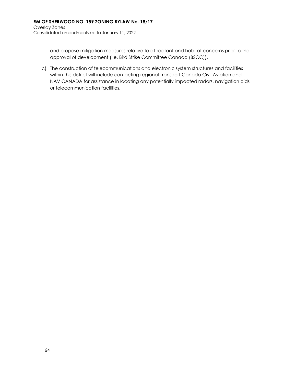and propose mitigation measures relative to attractant and habitat concerns prior to the approval of development (i.e. Bird Strike Committee Canada (BSCC)).

c) The construction of telecommunications and electronic system structures and facilities within this district will include contacting regional Transport Canada Civil Aviation and NAV CANADA for assistance in locating any potentially impacted radars, navigation aids or telecommunication facilities.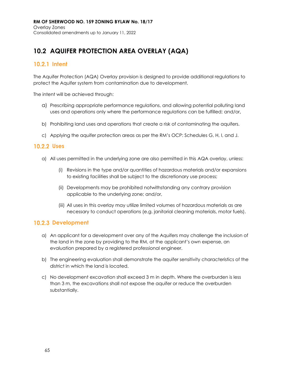## **10.2 AQUIFER PROTECTION AREA OVERLAY (AQA)**

## 10.2.1 Intent

The Aquifer Protection (AQA) Overlay provision is designed to provide additional regulations to protect the Aquifer system from contamination due to development.

The intent will be achieved through:

- a) Prescribing appropriate performance regulations, and allowing potential polluting land uses and operations only where the performance regulations can be fulfilled; and/or**,**
- b) Prohibiting land uses and operations that create a risk of contaminating the aquifers.
- c) Applying the aquifer protection areas as per the RM's OCP: Schedules G, H, I, and J.

### 10.2.2 Uses

- a) All uses permitted in the underlying zone are also permitted in this AQA overlay, unless:
	- (i) Revisions in the type and/or quantities of hazardous materials and/or expansions to existing facilities shall be subject to the discretionary use process;
	- (ii) Developments may be prohibited notwithstanding any contrary provision applicable to the underlying zone; and/or,
	- (iii) All uses in this overlay may utilize limited volumes of hazardous materials as are necessary to conduct operations (e.g. janitorial cleaning materials, motor fuels).

### **10.2.3 Development**

- a) An applicant for a development over any of the Aquifers may challenge the inclusion of the land in the zone by providing to the RM, at the applicant's own expense, an evaluation prepared by a registered professional engineer.
- b) The engineering evaluation shall demonstrate the aquifer sensitivity characteristics of the district in which the land is located.
- c) No development excavation shall exceed 3 m in depth. Where the overburden is less than 3 m, the excavations shall not expose the aquifer or reduce the overburden substantially.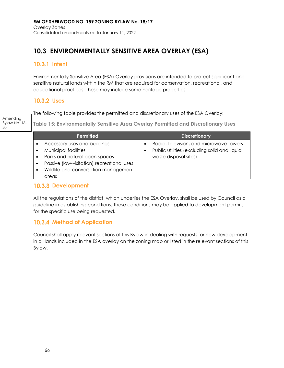# **10.3 ENVIRONMENTALLY SENSITIVE AREA OVERLAY (ESA)**

# 10.3.1 Intent

Environmentally Sensitive Area (ESA) Overlay provisions are intended to protect significant and sensitive natural lands within the RM that are required for conservation, recreational, and educational practices. These may include some heritage properties.

## **Uses**

The following table provides the permitted and discretionary uses of the ESA Overlay:

Amending Bylaw No. 16- 20

**Table 15: Environmentally Sensitive Area Overlay Permitted and Discretionary Uses**

| Permitted                                                                                                                                                                                                           | <b>Discretionary</b>                                                                                             |
|---------------------------------------------------------------------------------------------------------------------------------------------------------------------------------------------------------------------|------------------------------------------------------------------------------------------------------------------|
| Accessory uses and buildings<br>Municipal facilities<br>Parks and natural open spaces<br>$\bullet$<br>Passive (low-visitation) recreational uses<br>٠<br>Wildlife and conversation management<br>$\bullet$<br>areas | Radio, television, and microwave towers<br>Public utilities (excluding solid and liquid<br>waste disposal sites) |

## **10.3.3 Development**

All the regulations of the district, which underlies the ESA Overlay, shall be used by Council as a guideline in establishing conditions. These conditions may be applied to development permits for the specific use being requested.

# **10.3.4 Method of Application**

Council shall apply relevant sections of this Bylaw in dealing with requests for new development in all lands included in the ESA overlay on the zoning map or listed in the relevant sections of this Bylaw.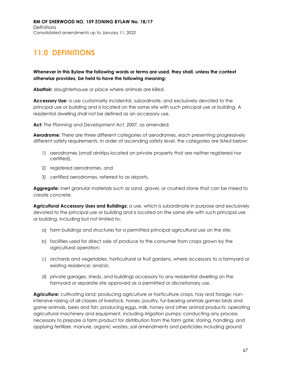# **11.0 DEFINITIONS**

**Whenever in this Bylaw the following words or terms are used, they shall, unless the context otherwise provides, be held to have the following meaning:**

Abattoir: slaughterhouse or place where animals are killed.

**Accessory Use:** a use customarily incidental, subordinate, and exclusively devoted to the principal use or building and is located on the same site with such principal use or building. A residential dwelling shall not be defined as an accessory use.

**Act:** *The Planning and Development Act, 2007,* as amended*.*

**Aerodrome:** There are three different categories of aerodromes, each presenting progressively different safety requirements. In order of ascending safety level, the categories are listed below:

- 1) aerodromes (small airstrips located on private property that are neither registered nor certified),
- 2) registered aerodromes, and
- 3) certified aerodromes, referred to as airports.

**Aggregate:** inert granular materials such as sand, gravel, or crushed stone that can be mixed to create concrete.

**Agricultural Accessory Uses and Buildings:** a use, which is subordinate in purpose and exclusively devoted to the principal use or building and is located on the same site with such principal use or building, including but not limited to:

- a) farm buildings and structures for a permitted principal agricultural use on the site;
- b) facilities used for direct sale of produce to the consumer from crops grown by the agricultural operation;
- c) orchards and vegetables, horticultural or fruit gardens, where accessory to a farmyard or existing residence; and/or,
- d) private garages, sheds, and buildings accessory to any residential dwelling on the farmyard or separate site approved as a permitted or discretionary use.

**Agriculture:** cultivating land; producing agriculture or horticulture crops, hay and forage; nonintensive raising of all classes of livestock, horses, poultry, fur-bearing animals games birds and game animals, bees and fish; producing eggs, milk, honey and other animal products; operating agricultural machinery and equipment, including irrigation pumps; conducting any process necessary to prepare a farm product for distribution from the farm gate; storing, handling, and applying fertilizer, manure, organic wastes, soil amendments and pesticides including ground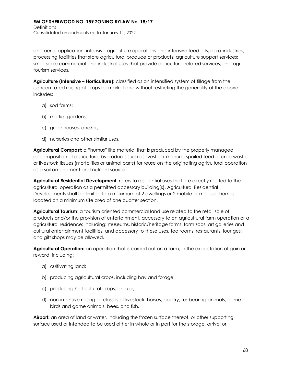and aerial application; intensive agriculture operations and intensive feed lots, agro-industries, processing facilities that store agricultural produce or products; agriculture support services; small scale commercial and industrial uses that provide agricultural related services; and agritourism services.

**Agriculture (Intensive – Horticulture):** classified as an intensified system of tillage from the concentrated raising of crops for market and without restricting the generality of the above includes:

- a) sod farms;
- b) market gardens;
- c) greenhouses; and/or,
- d) nurseries and other similar uses.

**Agricultural Compost:** a "humus" like material that is produced by the properly managed decomposition of agricultural byproducts such as livestock manure, spoiled feed or crop waste, or livestock tissues (mortalities or animal parts) for reuse on the originating agricultural operation as a soil amendment and nutrient source.

**Agricultural Residential Development:** refers to residential uses that are directly related to the agricultural operation as a permitted accessory building(s). Agricultural Residential Developments shall be limited to a maximum of 2 dwellings or 2 mobile or modular homes located on a minimum site area of one quarter section.

**Agricultural Tourism**: a tourism oriented commercial land use related to the retail sale of products and/or the provision of entertainment, accessory to an agricultural farm operation or a agricultural residence; including: museums, historic/heritage farms, farm zoos, art galleries and cultural entertainment facilities, and accessory to these uses, tea rooms, restaurants, lounges, and gift shops may be allowed.

**Agricultural Operation:** an operation that is carried out on a farm, in the expectation of gain or reward, including:

- a) cultivating land;
- b) producing agricultural crops, including hay and forage;
- c) producing horticultural crops; and/or,
- d) non-intensive raising all classes of livestock, horses, poultry, fur-bearing animals, game birds and game animals, bees, and fish.

**Airport:** an area of land or water, including the frozen surface thereof, or other supporting surface used or intended to be used either in whole or in part for the storage, arrival or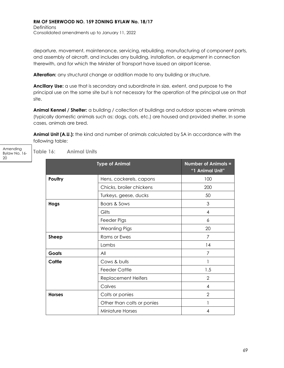**Definitions** Consolidated amendments up to January 11, 2022

departure, movement, maintenance, servicing, rebuilding, manufacturing of component parts, and assembly of aircraft, and includes any building, installation, or equipment in connection therewith, and for which the Minister of Transport have issued an airport license.

**Alteration:** any structural change or addition made to any building or structure.

**Ancillary Use:** a use that is secondary and subordinate in size, extent, and purpose to the principal use on the same site but is not necessary for the operation of the principal use on that site.

**Animal Kennel / Shelter:** a building / collection of buildings and outdoor spaces where animals (typically domestic animals such as: dogs, cats, etc.) are housed and provided shelter. In some cases, animals are bred.

**Animal Unit (A.U.):** the kind and number of animals calculated by SA in accordance with the following table:

Amending Bylaw No. 16- 20

**Table 16: Animal Units**

| <b>Type of Animal</b> |                            | <b>Number of Animals =</b><br>"1 Animal Unit" |
|-----------------------|----------------------------|-----------------------------------------------|
| Poultry               | Hens, cockerels, capons    | 100                                           |
|                       | Chicks, broiler chickens   | 200                                           |
|                       | Turkeys, geese, ducks      | 50                                            |
| Hogs                  | Boars & Sows               | 3                                             |
|                       | Gilts                      | 4                                             |
|                       | Feeder Pigs                | 6                                             |
|                       | <b>Weanling Pigs</b>       | 20                                            |
| <b>Sheep</b>          | <b>Rams or Ewes</b>        | 7                                             |
|                       | Lambs                      | 14                                            |
| Goats                 | All                        | 7                                             |
| Cattle                | Cows & bulls               |                                               |
|                       | <b>Feeder Cattle</b>       | 1.5                                           |
|                       | <b>Replacement Heifers</b> | $\overline{2}$                                |
|                       | Calves                     | 4                                             |
| <b>Horses</b>         | Colts or ponies            | $\overline{2}$                                |
|                       | Other than colts or ponies |                                               |
|                       | <b>Miniature Horses</b>    | 4                                             |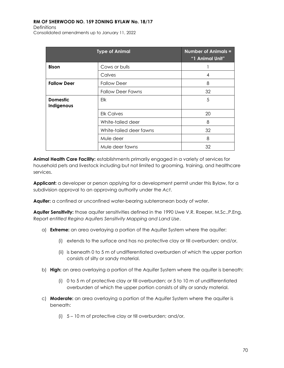**Definitions** Consolidated amendments up to January 11, 2022

| <b>Type of Animal</b>         |                          | <b>Number of Animals =</b><br>"1 Animal Unit" |
|-------------------------------|--------------------------|-----------------------------------------------|
| <b>Bison</b>                  | Cows or bulls            |                                               |
|                               | Calves                   | 4                                             |
| <b>Fallow Deer</b>            | <b>Fallow Deer</b>       | 8                                             |
|                               | <b>Fallow Deer Fawns</b> | 32                                            |
| <b>Domestic</b><br>Indigenous | Elk                      | 5                                             |
|                               | <b>Elk Calves</b>        | 20                                            |
|                               | White-tailed deer        | 8                                             |
|                               | White-tailed deer fawns  | 32                                            |
|                               | Mule deer                | 8                                             |
|                               | Mule deer fawns          | 32                                            |

**Animal Health Care Facility:** establishments primarily engaged in a variety of services for household pets and livestock including but not limited to grooming, training, and healthcare services.

**Applicant:** a developer or person applying for a development permit under this Bylaw, for a subdivision approval to an approving authority under the *Act*.

**Aquifer:** a confined or unconfined water-bearing subterranean body of water.

**Aquifer Sensitivity:** those aquifer sensitivities defined in the 1990 Uwe V.R. Roeper, M.Sc.,P.Eng. Report *entitled Regina Aquifers Sensitivity Mapping and Land Use*.

- a) **Extreme:** an area overlaying a portion of the Aquifer System where the aquifer:
	- (i) extends to the surface and has no protective clay or till overburden; and/or,
	- (ii) is beneath 0 to 5 m of undifferentiated overburden of which the upper portion consists of silty or sandy material.
- b) **High:** an area overlaying a portion of the Aquifer System where the aquifer is beneath:
	- (i) 0 to 5 m of protective clay or till overburden; or 5 to 10 m of undifferentiated overburden of which the upper portion consists of silty or sandy material.
- c) **Moderate:** an area overlaying a portion of the Aquifer System where the aquifer is beneath:
	- (i) 5 10 m of protective clay or till overburden; and/or,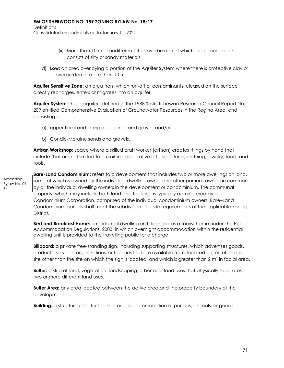**Definitions** Consolidated amendments up to January 11, 2022

- (ii) More than 10 m of undifferentiated overburden of which the upper portion consists of silty or sandy materials.
- d) **Low:** an area overlaying a portion of the Aquifer System where there is protective clay or till overburden of more than 10 m.

**Aquifer Sensitive Zone:** an area from which run-off or contaminants released on the surface directly recharges, enters or migrates into an aquifer.

**Aquifer System:** those aquifers defined in the 1988 Saskatchewan Research Council Report No. 209 entitled Comprehensive Evaluation of Groundwater Resources in the Regina Area, and consisting of:

- a) upper floral and interglacial sands and gravel; and/or,
- b) Condie-Moraine sands and gravels.

**Artisan Workshop:** space where a skilled craft worker (artisan) creates things by hand that include (but are not limited to): furniture, decorative arts, sculptures, clothing, jewelry, food, and tools.

Amending Bylaw No. 09- 19 **Bare-Land Condominium:** refers to a development that includes two or more dwellings on land, some of which is owned by the individual dwelling owner and other portions owned in common by all the individual dwelling owners in the development or condominium. The communal property, which may include both land and facilities, is typically administered by a Condominium Corporation, comprised of the individual condominium owners. Bare–Land Condominium parcels shall meet the subdivision and site requirements of the applicable Zoning District.

> **Bed and Breakfast Home:** a residential dwelling unit, licensed as a tourist home under The Public Accommodation Regulations, 2003, in which overnight accommodation within the residential dwelling unit is provided to the travelling public for a charge.

**Billboard:** a private free-standing sign, including supporting structures, which advertises goods, products, services, organizations, or facilities that are available from, located on, or refer to, a site other than the site on which the sign is located, and which is greater than  $2 \text{ m}^2$  in facial area.

**Buffer:** a strip of land, vegetation, landscaping, a berm, or land uses that physically separates two or more different land uses.

**Buffer Area:** any area located between the active area and the property boundary of the development.

**Building:** a structure used for the shelter or accommodation of persons, animals, or goods.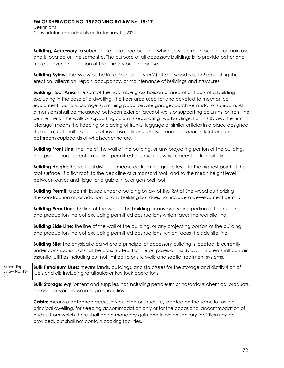**Building, Accessory:** a subordinate detached building, which serves a main building or main use and is located on the same site. The purpose of all accessory buildings is to provide better and more convenient function of the primary building or use.

**Building Bylaw:** The Bylaw of the Rural Municipality (RM) of Sherwood No. 159 regulating the erection, alteration, repair, occupancy, or maintenance of buildings and structures.

**Building Floor Area:** the sum of the habitable gross horizontal area of all floors of a building excluding in the case of a dwelling, the floor area used for and devoted to mechanical equipment, laundry, storage, swimming pools, private garage, porch veranda, or sunroom. All dimensions shall be measured between exterior faces of walls or supporting columns, or from the centre line of the walls or supporting columns separating two buildings. For this Bylaw, the term 'storage' means the keeping or placing of trunks, luggage or similar articles in a place designed therefore, but shall exclude clothes closets, linen closets, broom cupboards, kitchen, and bathroom cupboards of whatsoever nature.

**Building Front Line:** the line of the wall of the building, or any projecting portion of the building, and production thereof excluding permitted obstructions which faces the front site line.

**Building Height:** the vertical distance measured from the grade level to the highest point of the roof surface, if a flat roof; to the deck line of a mansard roof; and to the mean height level between eaves and ridge for a gable, hip, or gambrel roof.

**Building Permit:** a permit issued under a building bylaw of the RM of Sherwood authorizing the construction of, or addition to, any building but does not include a development permit.

**Building Rear Line:** the line of the wall of the building or any projecting portion of the building and production thereof excluding permitted obstructions which faces the rear site line.

**Building Side Line:** the line of the wall of the building, or any projecting portion of the building and production thereof excluding permitted obstructions, which faces the side site line.

**Building Site:** the physical area where a principal or accessory building is located, is currently under construction, or shall be constructed. For the purposes of this Bylaw, this area shall contain essential utilities including but not limited to onsite wells and septic treatment systems.

Bylaw No. 16- **Bulk Petroleum Uses:** means lands, buildings, and structures for the storage and distribution of fuels and oils including retail sales or key lock operations.

Amending

20

**Bulk Storage:** equipment and supplies, not including petroleum or hazardous chemical products, stored in a warehouse in large quantities.

**Cabin:** means a detached accessory building or structure, located on the same lot as the principal dwelling, for sleeping accommodation only or for the occasional accommodation of guests, from which there shall be no monetary gain and in which sanitary facilities may be provided, but shall not contain cooking facilities.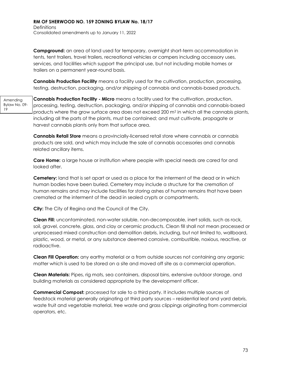**Campground:** an area of land used for temporary, overnight short-term accommodation in tents, tent trailers, travel trailers, recreational vehicles or campers including accessory uses, services, and facilities which support the principal use, but not including mobile homes or trailers on a permanent year-round basis.

**Cannabis Production Facility** means a facility used for the cultivation, production, processing, testing, destruction, packaging, and/or shipping of cannabis and cannabis-based products.

Amending Bylaw No. 09- 19 **Cannabis Production Facility - Micro** means a facility used for the cultivation, production, processing, testing, destruction, packaging, and/or shipping of cannabis and cannabis-based products where the grow surface area does not exceed 200  $m<sup>2</sup>$  in which all the cannabis plants, including all the parts of the plants, must be contained; and must cultivate, propagate or harvest cannabis plants only from that surface area.

> **Cannabis Retail Store** means a provincially-licensed retail store where cannabis or cannabis products are sold, and which may include the sale of cannabis accessories and cannabis related ancillary items.

> **Care Home:** a large house or institution where people with special needs are cared for and looked after.

**Cemetery:** land that is set apart or used as a place for the interment of the dead or in which human bodies have been buried. Cemetery may include a structure for the cremation of human remains and may include facilities for storing ashes of human remains that have been cremated or the interment of the dead in sealed crypts or compartments.

**City:** The City of Regina and the Council of the City.

**Clean Fill:** uncontaminated, non-water soluble, non-decomposable, inert solids, such as rock, soil, gravel, concrete, glass, and clay or ceramic products. Clean fill shall not mean processed or unprocessed mixed construction and demolition debris, including, but not limited to, wallboard, plastic, wood, or metal, or any substance deemed corrosive, combustible, noxious, reactive, or radioactive.

**Clean Fill Operation:** any earthy material or a from outside sources not containing any organic matter which is used to be stored on a site and moved off site as a commercial operation.

**Clean Materials:** Pipes, rig mats, sea containers, disposal bins, extensive outdoor storage, and building materials as considered appropriate by the development officer.

**Commercial Compost:** processed for sale to a third party. It includes multiple sources of feedstock material generally originating at third party sources – residential leaf and yard debris, waste fruit and vegetable material, tree waste and grass clippings originating from commercial operators, etc.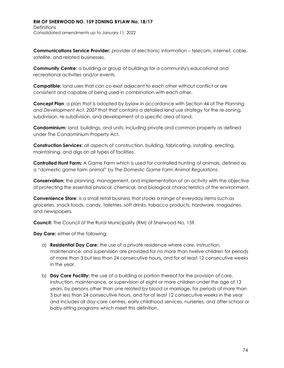**Communications Service Provider:** provider of electronic information – telecom, internet, cable, satellite, and related businesses.

**Community Centre:** a building or group of buildings for a community's educational and recreational activities and/or events.

**Compatible:** land uses that can co-exist adjacent to each other without conflict or are consistent and capable of being used in combination with each other.

**Concept Plan**: a plan that is adopted by bylaw in accordance with Section 44 of *The Planning and Development Act, 2007* that that contains a detailed land use strategy for the re-zoning, subdivision, re-subdivision, and development of a specific area of land.

**Condominium:** land, buildings, and units, including private and common property as defined under The Condominium Property Act.

**Construction Services:** all aspects of construction, building, fabricating, installing, erecting, maintaining, and digs on all types of facilities.

**Controlled Hunt Farm:** A Game Farm which is used for controlled hunting of animals, defined as a "domestic game farm animal" by *The Domestic Game Farm Animal Regulations*.

**Conservation:** the planning, management, and implementation of an activity with the objective of protecting the essential physical, chemical, and biological characteristics of the environment.

**Convenience Store**: is a small retail business that stocks a range of everyday items such as groceries, snack foods, candy, toiletries, soft drinks, tobacco products, hardware, magazines, and newspapers.

**Council:** The Council of the Rural Municipality (RM) of Sherwood No. 159.

**Day Care:** either of the following:

- a) **Residential Day Care:** the use of a private residence where care, instruction, maintenance, and supervision are provided for no more than twelve children for periods of more than 3 but less than 24 consecutive hours, and for at least 12 consecutive weeks in the year.
- b) **Day Care Facility:** the use of a building or portion thereof for the provision of care, instruction, maintenance, or supervision of eight or more children under the age of 13 years, by persons other than one related by blood or marriage, for periods of more than 3 but less than 24 consecutive hours, and for at least 12 consecutive weeks in the year and includes all day-care centres, early childhood services, nurseries, and after-school or baby-sitting programs which meet this definition.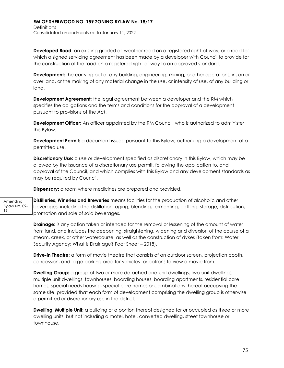**Developed Road:** an existing graded all-weather road on a registered right-of-way, or a road for which a signed servicing agreement has been made by a developer with Council to provide for the construction of the road on a registered right-of-way to an approved standard.

**Development:** the carrying out of any building, engineering, mining, or other operations, in, on or over land, or the making of any material change in the use, or intensity of use, of any building or land.

**Development Agreement:** the legal agreement between a developer and the RM which specifies the obligations and the terms and conditions for the approval of a development pursuant to provisions of the *Act*.

**Development Officer:** An officer appointed by the RM Council, who is authorized to administer this Bylaw.

**Development Permit:** a document issued pursuant to this Bylaw, authorizing a development of a permitted use.

**Discretionary Use:** a use or development specified as discretionary in this Bylaw, which may be allowed by the issuance of a discretionary use permit, following the application to, and approval of the Council, and which complies with this Bylaw and any development standards as may be required by Council.

**Dispensary:** a room where medicines are prepared and provided.

Amending Bylaw No. 09- 19 **Distilleries, Wineries and Breweries** means facilities for the production of alcoholic and other beverages, including the distillation, aging, blending, fermenting, bottling, storage, distribution, promotion and sale of said beverages.

> **Drainage:** is any action taken or intended for the removal or lessening of the amount of water from land, and includes the deepening, straightening, widening and diversion of the course of a stream, creek, or other watercourse, as well as the construction of dykes (taken from: Water Security Agency: What is Drainage? Fact Sheet – 2018).

**Drive-in Theatre:** a form of movie theatre that consists of an outdoor screen, projection booth, concession, and large parking area for vehicles for patrons to view a movie from.

**Dwelling Group:** a group of two or more detached one-unit dwellings, two-unit dwellings, multiple unit dwellings, townhouses, boarding houses, boarding apartments, residential care homes, special needs housing, special care homes or combinations thereof occupying the same site, provided that each form of development comprising the dwelling group is otherwise a permitted or discretionary use in the district.

**Dwelling, Multiple Unit:** a building or a portion thereof designed for or occupied as three or more dwelling units, but not including a motel, hotel, converted dwelling, street townhouse or townhouse.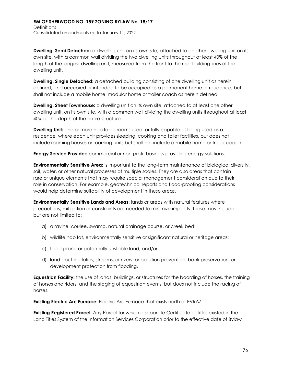**Dwelling, Semi Detached:** a dwelling unit on its own site, attached to another dwelling unit on its own site, with a common wall dividing the two dwelling units throughout at least 40% of the length of the longest dwelling unit, measured from the front to the rear building lines of the dwelling unit.

**Dwelling, Single Detached:** a detached building consisting of one dwelling unit as herein defined; and occupied or intended to be occupied as a permanent home or residence, but shall not include a mobile home, modular home or trailer coach as herein defined.

**Dwelling, Street Townhouse:** a dwelling unit on its own site, attached to at least one other dwelling unit, on its own site, with a common wall dividing the dwelling units throughout at least 40% of the depth of the entire structure.

**Dwelling Unit:** one or more habitable rooms used, or fully capable of being used as a residence, where each unit provides sleeping, cooking and toilet facilities, but does not include rooming houses or rooming units but shall not include a mobile home or trailer coach.

**Energy Service Provider:** commercial or non-profit business providing energy solutions.

**Environmentally Sensitive Area:** is important to the long-term maintenance of biological diversity, soil, water, or other natural processes at multiple scales. They are also areas that contain rare or unique elements that may require special management consideration due to their role in conservation. For example, geotechnical reports and flood-proofing considerations would help determine suitability of development in these areas.

**Environmentally Sensitive Lands and Areas**: lands or areas with natural features where precautions, mitigation or constraints are needed to minimize impacts. These may include but are not limited to:

- a) a ravine, coulee, swamp, natural drainage course, or creek bed;
- b) wildlife habitat, environmentally sensitive or significant natural or heritage areas;
- c) flood-prone or potentially unstable land; and/or,
- d) land abutting lakes, streams, or rivers for pollution prevention, bank preservation, or development protection from flooding.

**Equestrian Facility:** the use of lands, buildings, or structures for the boarding of horses, the training of horses and riders, and the staging of equestrian events, but does not include the racing of horses.

**Existing Electric Arc Furnace:** Electric Arc Furnace that exists north of EVRAZ.

**Existing Registered Parcel:** Any Parcel for which a separate Certificate of Titles existed in the Land Titles System of the Information Services Corporation prior to the effective date of Bylaw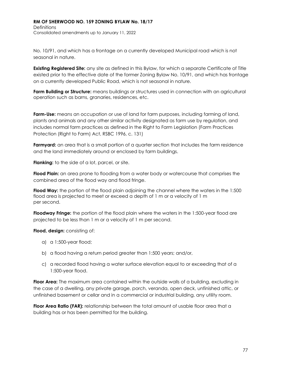## **RM OF SHERWOOD NO. 159 ZONING BYLAW No. 18/17 Definitions**

Consolidated amendments up to January 11, 2022

No. 10/91, and which has a frontage on a currently developed Municipal road which is not seasonal in nature.

**Existing Registered Site:** any site as defined in this Bylaw, for which a separate Certificate of Title existed prior to the effective date of the former Zoning Bylaw No. 10/91, and which has frontage on a currently developed Public Road, which is not seasonal in nature.

**Farm Building or Structure:** means buildings or structures used in connection with an agricultural operation such as barns, granaries, residences, etc.

**Farm-Use:** means an occupation or use of land for farm purposes, including farming of land, plants and animals and any other similar activity designated as farm use by regulation, and includes normal farm practices as defined in the Right to Farm Legislation (Farm Practices Protection (Right to Farm) Act, RSBC 1996, c. 131)

**Farmyard:** an area that is a small portion of a quarter section that includes the farm residence and the land immediately around or enclosed by farm buildings.

**Flanking:** to the side of a lot, parcel, or site.

**Flood Plain:** an area prone to flooding from a water body or watercourse that comprises the combined area of the flood way and flood fringe.

**Flood Way:** the portion of the flood plain adjoining the channel where the waters in the 1:500 flood area is projected to meet or exceed a depth of 1 m or a velocity of 1 m per second.

**Floodway Fringe:** the portion of the flood plain where the waters in the 1:500-year flood are projected to be less than 1 m or a velocity of 1 m per second.

**Flood, design:** consisting of:

- a) a 1:500-year flood;
- b) a flood having a return period greater than 1:500 years; and/or,
- c) a recorded flood having a water surface elevation equal to or exceeding that of a 1:500-year flood.

**Floor Area:** The maximum area contained within the outside walls of a building, excluding in the case of a dwelling, any private garage, porch, veranda, open deck, unfinished attic, or unfinished basement or cellar and in a commercial or industrial building, any utility room.

**Floor Area Ratio (FAR):** relationship between the total amount of usable floor area that a building has or has been permitted for the building.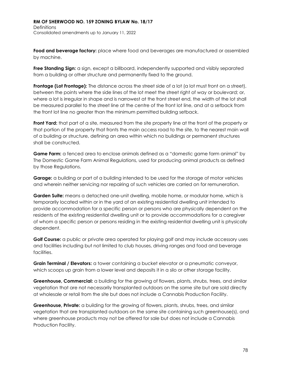**Food and beverage factory:** place where food and beverages are manufactured or assembled by machine.

**Free Standing Sign:** a sign, except a billboard, independently supported and visibly separated from a building or other structure and permanently fixed to the ground.

**Frontage (Lot Frontage):** The distance across the street side of a lot (a lot must front on a street), between the points where the side lines of the lot meet the street right of way or boulevard; or, where a lot is irregular in shape and is narrowest at the front street end, the width of the lot shall be measured parallel to the street line at the centre of the front lot line, and at a setback from the front lot line no greater than the minimum permitted building setback.

**Front Yard:** that part of a site, measured from the site property line at the front of the property or that portion of the property that fronts the main access road to the site, to the nearest main wall of a building or structure, defining an area within which no buildings or permanent structures shall be constructed.

**Game Farm:** a fenced area to enclose animals defined as a "domestic game farm animal" by The Domestic Game Farm Animal Regulations, used for producing animal products as defined by those Regulations.

**Garage:** a building or part of a building intended to be used for the storage of motor vehicles and wherein neither servicing nor repairing of such vehicles are carried on for remuneration.

**Garden Suite:** means a detached one-unit dwelling, mobile home, or modular home, which is temporarily located within or in the yard of an existing residential dwelling unit intended to provide accommodation for a specific person or persons who are physically dependent on the residents of the existing residential dwelling unit or to provide accommodations for a caregiver of whom a specific person or persons residing in the existing residential dwelling unit is physically dependent.

**Golf Course:** a public or private area operated for playing golf and may include accessory uses and facilities including but not limited to club houses, driving ranges and food and beverage facilities.

**Grain Terminal / Elevators:** a tower containing a bucket elevator or a pneumatic conveyor, which scoops up grain from a lower level and deposits it in a silo or other storage facility.

**Greenhouse, Commercial:** a building for the growing of flowers, plants, shrubs, trees, and similar vegetation that are not necessarily transplanted outdoors on the same site but are sold directly at wholesale or retail from the site but does not include a Cannabis Production Facility.

**Greenhouse, Private:** a building for the growing of flowers, plants, shrubs, trees, and similar vegetation that are transplanted outdoors on the same site containing such greenhouse(s), and where greenhouse products may not be offered for sale but does not include a Cannabis Production Facility.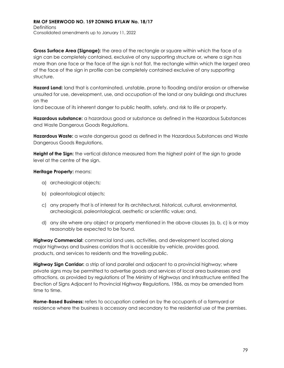**Gross Surface Area (Signage):** the area of the rectangle or square within which the face of a sign can be completely contained, exclusive of any supporting structure or, where a sign has more than one face or the face of the sign is not flat, the rectangle within which the largest area of the face of the sign in profile can be completely contained exclusive of any supporting structure.

**Hazard Land:** land that is contaminated, unstable, prone to flooding and/or erosion or otherwise unsuited for use, development, use, and occupation of the land or any buildings and structures on the

land because of its inherent danger to public health, safety, and risk to life or property.

**Hazardous substance:** a hazardous good or substance as defined in the Hazardous Substances and Waste Dangerous Goods Regulations.

**Hazardous Waste:** a waste dangerous good as defined in the Hazardous Substances and Waste Dangerous Goods Regulations.

**Height of the Sign:** the vertical distance measured from the highest point of the sign to grade level at the centre of the sign.

## **Heritage Property:** means:

- a) archeological objects;
- b) paleontological objects;
- c) any property that is of interest for its architectural, historical, cultural, environmental, archeological, paleontological, aesthetic or scientific value; and,
- d) any site where any object or property mentioned in the above clauses (a, b, c) is or may reasonably be expected to be found.

**Highway Commercial**: commercial land uses, activities, and development located along major highways and business corridors that is accessible by vehicle, provides good, products, and services to residents and the travelling public.

**Highway Sign Corridor:** a strip of land parallel and adjacent to a provincial highway; where private signs may be permitted to advertise goods and services of local area businesses and attractions, as provided by regulations of The Ministry of Highways and Infrastructure entitled The Erection of Signs Adjacent to Provincial Highway Regulations, 1986, as may be amended from time to time.

**Home-Based Business:** refers to occupation carried on by the occupants of a farmyard or residence where the business is accessory and secondary to the residential use of the premises.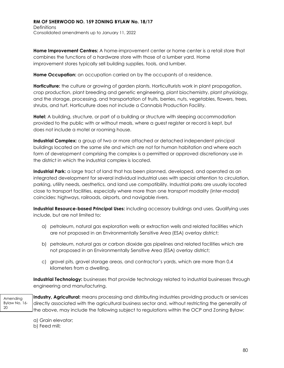**Home Improvement Centres:** A home-improvement center or home center is a retail store that combines the functions of a hardware store with those of a lumber yard. Home improvement stores typically sell building supplies, tools, and lumber.

**Home Occupation:** an occupation carried on by the occupants of a residence.

**Horticulture:** the culture or growing of garden plants. Horticulturists work in plant propagation, crop production, plant breeding and genetic engineering, plant biochemistry, plant physiology, and the storage, processing, and transportation of fruits, berries, nuts, vegetables, flowers, trees, shrubs, and turf. Horticulture does not include a Cannabis Production Facility.

**Hotel:** A building, structure, or part of a building or structure with sleeping accommodation provided to the public with or without meals, where a guest register or record is kept, but does not include a motel or rooming house.

**Industrial Complex:** a group of two or more attached or detached independent principal buildings located on the same site and which are not for human habitation and where each form of development comprising the complex is a permitted or approved discretionary use in the district in which the industrial complex is located.

**Industrial Park:** a large tract of land that has been planned, developed, and operated as an integrated development for several individual industrial uses with special attention to circulation, parking, utility needs, aesthetics, and land use compatibility. Industrial parks are usually located close to transport facilities, especially where more than one transport modality (inter-modal) coincides: highways, railroads, airports, and navigable rivers.

**Industrial Resource-based Principal Uses:** including accessory buildings and uses. Qualifying uses include, but are not limited to:

- a) petroleum, natural gas exploration wells or extraction wells and related facilities which are not proposed in an Environmentally Sensitive Area (ESA) overlay district;
- b) petroleum, natural gas or carbon dioxide gas pipelines and related facilities which are not proposed in an Environmentally Sensitive Area (ESA) overlay district;
- c) gravel pits, gravel storage areas, and contractor's yards, which are more than 0.4 kilometers from a dwelling.

**Industrial Technology:** businesses that provide technology related to industrial businesses through engineering and manufacturing.

Amending Bylaw No. 16- 20

**Industry, Agricultural:** means processing and distributing industries providing products or services directly associated with the agricultural business sector and, without restricting the generality of the above, may include the following subject to regulations within the OCP and Zoning Bylaw:

- a) Grain elevator;
- b) Feed mill;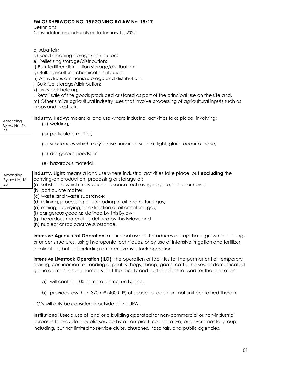**Definitions** 

Consolidated amendments up to January 11, 2022

- c) Abattoir;
- d) Seed cleaning storage/distribution;
- e) Pelletizing storage/distribution;
- f) Bulk fertilizer distribution storage/distribution;
- g) Bulk agricultural chemical distribution;
- h) Anhydrous ammonia storage and distribution;
- i) Bulk fuel storage/distribution;
- k) Livestock holding;

l) Retail sale of the goods produced or stored as part of the principal use on the site and, m) Other similar agricultural industry uses that involve processing of agricultural inputs such as crops and livestock.

| Amending<br>Bylaw No. 16-<br>20 | Industry, Heavy: means a land use where industrial activities take place, involving:<br>(a) welding;                                                                                                                                                        |
|---------------------------------|-------------------------------------------------------------------------------------------------------------------------------------------------------------------------------------------------------------------------------------------------------------|
|                                 | (b) particulate matter;                                                                                                                                                                                                                                     |
|                                 | (c) substances which may cause nuisance such as light, glare, odour or noise;                                                                                                                                                                               |
|                                 | (d) dangerous goods; or                                                                                                                                                                                                                                     |
|                                 | (e) hazardous material.                                                                                                                                                                                                                                     |
| Amending<br>Bylaw No. 16-<br>20 | Industry, Light: means a land use where industrial activities take place, but excluding the<br>carrying-on production, processing or storage of:<br>(a) substance which may cause nuisance such as light, glare, odour or noise;<br>(b) particulate matter; |

- (c) waste and waste substance;
- (d) refining, processing or upgrading of oil and natural gas;
- (e) mining, quarrying, or extraction of oil or natural gas;

(f) dangerous good as defined by this Bylaw;

(g) hazardous material as defined by this Bylaw; and

(h) nuclear or radioactive substance.

**Intensive Agricultural Operation**: a principal use that produces a crop that is grown in buildings or under structures, using hydroponic techniques, or by use of intensive irrigation and fertilizer application, but not including an intensive livestock operation.

**Intensive Livestock Operation (ILO):** the operation or facilities for the permanent or temporary rearing, confinement or feeding of poultry, hogs, sheep, goats, cattle, horses, or domesticated game animals in such numbers that the facility and portion of a site used for the operation:

- a) will contain 100 or more animal units; and,
- b) provides less than 370 m<sup>2</sup> (4000 ft<sup>2</sup>) of space for each animal unit contained therein.

ILO's will only be considered outside of the JPA.

**Institutional Use:** a use of land or a building operated for non-commercial or non-industrial purposes to provide a public service by a non-profit, co-operative, or governmental group including, but not limited to service clubs, churches, hospitals, and public agencies.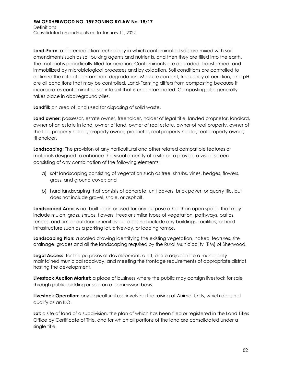**Land-Farm:** a bioremediation technology in which contaminated soils are mixed with soil amendments such as soil bulking agents and nutrients, and then they are tilled into the earth. The material is periodically tilled for aeration. Contaminants are degraded, transformed, and immobilized by microbiological processes and by oxidation. Soil conditions are controlled to optimize the rate of contaminant degradation. Moisture content, frequency of aeration, and pH are all conditions that may be controlled. Land-Farming differs from composting because it incorporates contaminated soil into soil that is uncontaminated. Composting also generally takes place in aboveground piles.

**Landfill:** an area of land used for disposing of solid waste.

**Land owner:** possessor, estate owner, freeholder, holder of legal title, landed proprietor, landlord, owner of an estate in land, owner of land, owner of real estate, owner of real property, owner of the fee, property holder, property owner, proprietor, real property holder, real property owner, titleholder.

**Landscaping:** The provision of any horticultural and other related compatible features or materials designed to enhance the visual amenity of a site or to provide a visual screen consisting of any combination of the following elements:

- a) soft landscaping consisting of vegetation such as tree, shrubs, vines, hedges, flowers, grass, and ground cover; and
- b) hard landscaping that consists of concrete, unit pavers, brick paver, or quarry tile, but does not include gravel, shale, or asphalt.

**Landscaped Area**: is not built upon or used for any purpose other than open space that may include mulch, grass, shrubs, flowers, trees or similar types of vegetation, pathways, patios, fences, and similar outdoor amenities but does not include any buildings, facilities, or hard infrastructure such as a parking lot, driveway, or loading ramps.

**Landscaping Plan:** a scaled drawing identifying the existing vegetation, natural features, site drainage, grades and all the landscaping required by the Rural Municipality (RM) of Sherwood.

**Legal Access:** for the purposes of development, a lot, or site adjacent to a municipally maintained municipal roadway, and meeting the frontage requirements of appropriate district hosting the development.

**Livestock Auction Market:** a place of business where the public may consign livestock for sale through public bidding or sold on a commission basis.

**Livestock Operation:** any agricultural use involving the raising of Animal Units, which does not qualify as an ILO.

Lot: a site of land of a subdivision, the plan of which has been filed or registered in the Land Titles Office by Certificate of Title, and for which all portions of the land are consolidated under a single title.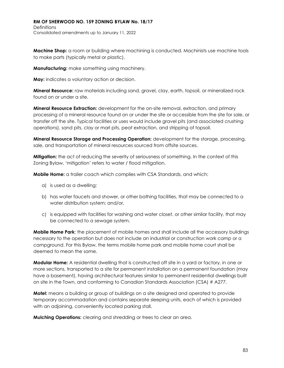**Machine Shop:** a room or building where machining is conducted. Machinists use machine tools to make parts (typically metal or plastic).

**Manufacturing:** make something using machinery.

**May:** indicates a voluntary action or decision.

**Mineral Resource:** raw materials including sand, gravel, clay, earth, topsoil, or mineralized rock found on or under a site.

**Mineral Resource Extraction:** development for the on-site removal, extraction, and primary processing of a mineral resource found on or under the site or accessible from the site for sale, or transfer off the site. Typical facilities or uses would include gravel pits (and associated crushing operations), sand pits, clay or marl pits, peat extraction, and stripping of topsoil.

**Mineral Resource Storage and Processing Operation:** development for the storage, processing, sale, and transportation of mineral resources sourced from offsite sources.

**Mitigation:** the act of reducing the severity of seriousness of something. In the context of this Zoning Bylaw, 'mitigation' refers to water / flood mitigation.

**Mobile Home:** a trailer coach which complies with CSA Standards, and which:

- a) is used as a dwelling;
- b) has water faucets and shower, or other bathing facilities, that may be connected to a water distribution system; and/or,
- c) is equipped with facilities for washing and water closet, or other similar facility, that may be connected to a sewage system.

**Mobile Home Park**: the placement of mobile homes and shall include all the accessory buildings necessary to the operation but does not include an industrial or construction work camp or a campground. For this Bylaw, the terms mobile home park and mobile home court shall be deemed to mean the same.

**Modular Home:** A residential dwelling that is constructed off site in a yard or factory, in one or more sections, transported to a site for permanent installation on a permanent foundation (may have a basement), having architectural features similar to permanent residential dwellings built on site in the Town, and conforming to Canadian Standards Association (CSA) # A277.

**Motel:** means a building or group of buildings on a site designed and operated to provide temporary accommodation and contains separate sleeping units, each of which is provided with an adjoining, conveniently located parking stall.

**Mulching Operations:** clearing and shredding or trees to clear an area.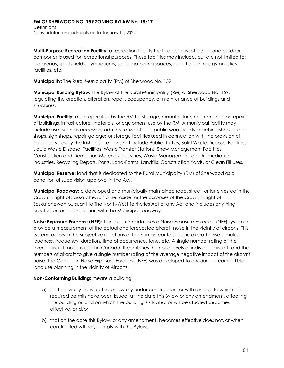**Multi-Purpose Recreation Facility:** a recreation facility that can consist of indoor and outdoor components used for recreational purposes. These facilities may include, but are not limited to: ice arenas, sports fields, gymnasiums, social gathering spaces, aquatic centres, gymnastics facilities, etc.

**Municipality:** The Rural Municipality (RM) of Sherwood No. 159.

**Municipal Building Bylaw:** The Bylaw of the Rural Municipality (RM) of Sherwood No. 159. regulating the erection, alteration, repair, occupancy, or maintenance of buildings and structures.

**Municipal Facility:** a site operated by the RM for storage, manufacture, maintenance or repair of buildings, infrastructure, materials, or equipment use by the RM. A municipal facility may include uses such as accessory administrative offices, public works yards, machine shops, paint shops, sign shops, repair garages or storage facilities used in connection with the provision of public services by the RM. This use does not include Public Utilities, Solid Waste Disposal Facilities, Liquid Waste Disposal Facilities, Waste Transfer Stations, Snow Management Facilities, Construction and Demolition Materials Industries, Waste Management and Remediation Industries, Recycling Depots, Parks, Land-Farms, Landfills, Construction Yards, or Clean Fill Uses.

**Municipal Reserve:** land that is dedicated to the Rural Municipality (RM) of Sherwood as a condition of subdivision approval in the *Act*.

**Municipal Roadway:** a developed and municipally maintained road, street, or lane vested in the Crown in right of Saskatchewan or set aside for the purposes of the Crown in right of Saskatchewan pursuant to The North-West Territories Act or any Act and includes anything erected on or in connection with the Municipal roadway.

**Noise Exposure Forecast (NEF):** Transport Canada uses a Noise Exposure Forecast (NEF) system to provide a measurement of the actual and forecasted aircraft noise in the vicinity of airports. This system factors in the subjective reactions of the human ear to specific aircraft noise stimulus: loudness, frequency, duration, time of occurrence, tone, etc. A single number rating of the overall aircraft noise is used in Canada. It combines the noise levels of individual aircraft and the numbers of aircraft to give a single number rating of the average negative impact of the aircraft noise. The Canadian Noise Exposure Forecast (NEF) was developed to encourage compatible land use planning in the vicinity of Airports.

## **Non-Conforming Building:** means a building:

- a) that is lawfully constructed or lawfully under construction, or with respect to which all required permits have been issued, at the date this Bylaw or any amendment, affecting the building or land on which the building is situated or will be situated becomes effective; and/or,
- b) that on the date this Bylaw, or any amendment, becomes effective does not, or when constructed will not, comply with this Bylaw;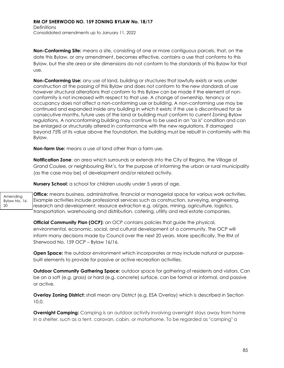**Non-Conforming Site:** means a site, consisting of one or more contiguous parcels, that, on the date this Bylaw, or any amendment, becomes effective, contains a use that conforms to this Bylaw, but the site area or site dimensions do not conform to the standards of this Bylaw for that use.

**Non-Conforming Use:** any use of land, building or structures that lawfully exists or was under construction at the passing of this Bylaw and does not conform to the new standards of use however structural alterations that conform to this Bylaw can be made if the element of nonconformity is not increased with respect to that use. A change of ownership, tenancy or occupancy does not affect a non-conforming use or building. A non-conforming use may be continued and expanded inside any building in which it exists; if the use is discontinued for six consecutive months, future uses of the land or building must conform to current Zoning Bylaw regulations. A nonconforming building may continue to be used in an "as is" condition and can be enlarged or structurally altered in conformance with the new regulations. If damaged beyond 75% of its value above the foundation, the building must be rebuilt in conformity with this Bylaw.

**Non-farm Use:** means a use of land other than a farm use.

**Notification Zone**: an area which surrounds or extends into the City of Regina, the Village of Grand Coulee, or neighbouring RM's, for the purpose of informing the urban or rural municipality (as the case may be) of development and/or related activity.

**Nursery School:** a school for children usually under 5 years of age.

Amending Bylaw No. 16- 20 **Office:** means business, administrative, financial or managerial space for various work activities. Example activities include professional services such as construction, surveying, engineering, research and development, resource extraction e.g. oil/gas, mining, agriculture, logistics, transportation, warehousing and distribution, catering, utility and real estate companies.

> **Official Community Plan (OCP):** an OCP contains policies that guide the physical, environmental, economic, social, and cultural development of a community. The OCP will inform many decisions made by Council over the next 20 years. More specifically, The RM of Sherwood No. 159 OCP – Bylaw 16/16.

**Open Space:** the outdoor environment which incorporates or may include natural or purposebuilt elements to provide for passive or active recreation activities.

**Outdoor Community Gathering Space:** outdoor space for gathering of residents and visitors. Can be on a soft (e.g. grass) or hard (e.g. concrete) surface, can be formal or informal, and passive or active.

**Overlay Zoning District:** shall mean any District (e.g. ESA Overlay) which is described in Section 10.0.

**Overnight Camping:** Camping is an outdoor activity involving overnight stays away from home in a shelter, such as a tent, caravan, cabin, or motorhome. To be regarded as "camping" a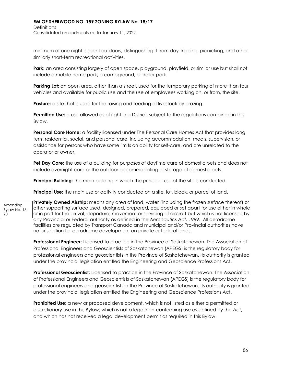**Definitions** Consolidated amendments up to January 11, 2022

minimum of one night is spent outdoors, distinguishing it from day-tripping, picnicking, and other similarly short-term recreational activities.

Park: an area consisting largely of open space, playground, playfield, or similar use but shall not include a mobile home park, a campground, or trailer park.

**Parking Lot:** an open area, other than a street, used for the temporary parking of more than four vehicles and available for public use and the use of employees working on, or from, the site.

**Pasture:** a site that is used for the raising and feeding of livestock by grazing.

**Permitted Use:** a use allowed as of right in a District, subject to the regulations contained in this Bylaw.

**Personal Care Home:** a facility licensed under The Personal Care Homes Act that provides long term residential, social, and personal care, including accommodation, meals, supervision, or assistance for persons who have some limits on ability for self-care, and are unrelated to the operator or owner.

**Pet Day Care:** the use of a building for purposes of daytime care of domestic pets and does not include overnight care or the outdoor accommodating or storage of domestic pets.

**Principal Building:** the main building in which the principal use of the site is conducted.

**Principal Use:** the main use or activity conducted on a site, lot, block, or parcel of land.

**Privately Owned Airstrip:** means any area of land, water (including the frozen surface thereof) or other supporting surface used, designed, prepared, equipped or set apart for use either in whole or in part for the arrival, departure, movement or servicing of aircraft but which is not licensed by any Provincial or Federal authority as defined in the *Aeronautics Act, 1989*. All aerodrome facilities are regulated by Transport Canada and municipal and/or Provincial authorities have no jurisdiction for aerodrome development on private or federal lands;

**Professional Engineer:** Licensed to practice in the Province of Saskatchewan. The Association of Professional Engineers and Geoscientists of Saskatchewan (APEGS) is the regulatory body for professional engineers and geoscientists in the Province of Saskatchewan. Its authority is granted under the provincial legislation entitled the Engineering and Geoscience Professions Act.

**Professional Geoscientist:** Licensed to practice in the Province of Saskatchewan. The Association of Professional Engineers and Geoscientists of Saskatchewan (APEGS) is the regulatory body for professional engineers and geoscientists in the Province of Saskatchewan. Its authority is granted under the provincial legislation entitled the Engineering and Geoscience Professions Act.

**Prohibited Use:** a new or proposed development, which is not listed as either a permitted or discretionary use in this Bylaw, which is not a legal non-conforming use as defined by the *Act*, and which has not received a legal development permit as required in this Bylaw.

Amending Bylaw No. 16- 20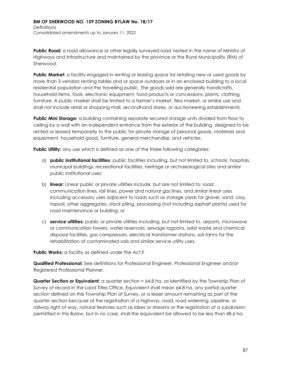**Public Road:** a road allowance or other legally surveyed road vested in the name of Ministry of Highways and Infrastructure and maintained by the province or the Rural Municipality (RM) of Sherwood.

**Public Market:** a facility engaged in renting or leasing space for retailing new or used goods by more than 3 vendors renting tables and or space outdoors or in an enclosed building to a local residential population and the travelling public. The goods sold are generally handicrafts, household items, tools, electronic equipment, food products or concessions, plants, clothing, furniture. A public market shall be limited to a farmer's market, flea market, or similar use and shall not include retail or shopping mall, secondhand stores, or auctioneering establishments.

**Public Mini Storage:** a building containing separate secured storage units divided from floor to ceiling by a wall with an independent entrance from the exterior of the building, designed to be rented or leased temporarily to the public for private storage of personal goods, materials and equipment, household good, furniture, general merchandise, and vehicles.

**Public Utility:** any use which is defined as one of the three following categories:

- a) **public institutional facilities**: public facilities including, but not limited to, schools, hospitals, municipal buildings, recreational facilities, heritage or archaeological sites and similar public institutional uses;
- b) **linear:** Linear public or private utilities include, but are not limited to: road, communication lines, rail lines, power and natural gas lines, and similar linear uses including accessory uses adjacent to roads such as storage yards for gravel, sand, clay, topsoil, other aggregates, stock piling, processing (not including asphalt plants) used for road maintenance or building; or
- c) **service utilities:** public or private utilities including, but not limited to, airports, microwave or communication towers, water reservoirs, sewage lagoons, solid waste and chemical disposal facilities, gas compressors, electrical transformer stations, soil farms for the rehabilitation of contaminated soils and similar service utility uses.

**Public Works:** a facility as defined under the *Act*.F

**Qualified Professional:** See definitions for Professional Engineer, Professional Engineer and/or Registered Professional Planner.

**Quarter Section or Equivalent:** a quarter section = 64.8 ha, as identified by the Township Plan of Survey of record in the Land Titles Office. Equivalent shall mean 64.8 ha, any partial quarter section defined on the Township Plan of Survey, or a lesser amount remaining as part of the quarter section because of the registration of a highway, road, road widening, pipeline, or railway right of way, natural features such as lakes or streams or the registration of a subdivision permitted in this Bylaw, but in no case, shall the equivalent be allowed to be less than 48.6 ha.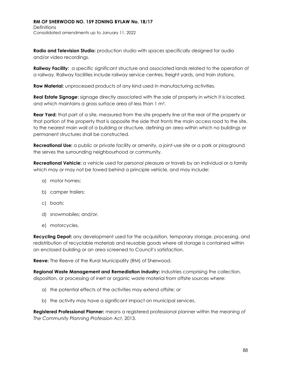**Radio and Television Studio:** production studio with spaces specifically designed for audio and/or video recordings.

**Railway Facility:** a specific significant structure and associated lands related to the operation of a railway. Railway facilities include railway service centres, freight yards, and train stations.

**Raw Material:** unprocessed products of any kind used in manufacturing activities.

**Real Estate Signage:** signage directly associated with the sale of property in which it is located, and which maintains a gross surface area of less than 1 m2.

**Rear Yard:** that part of a site, measured from the site property line at the rear of the property or that portion of the property that is opposite the side that fronts the main access road to the site, to the nearest main wall of a building or structure, defining an area within which no buildings or permanent structures shall be constructed.

**Recreational Use:** a public or private facility or amenity, a joint-use site or a park or playground the serves the surrounding neighbourhood or community.

**Recreational Vehicle:** a vehicle used for personal pleasure or travels by an individual or a family which may or may not be towed behind a principle vehicle, and may include:

- a) motor homes;
- b) camper trailers;
- c) boats;
- d) snowmobiles; and/or,
- e) motorcycles.

**Recycling Depot:** any development used for the acquisition, temporary storage, processing, and redistribution of recyclable materials and reusable goods where all storage is contained within an enclosed building or an area screened to Council's satisfaction.

**Reeve:** The Reeve of the Rural Municipality (RM) of Sherwood.

**Regional Waste Management and Remediation Industry:** industries comprising the collection, disposition, or processing of inert or organic waste material from offsite sources where:

- a) the potential effects of the activities may extend offsite; or
- b) the activity may have a significant impact on municipal services.

**Registered Professional Planner:** means a registered professional planner within the meaning of *The Community Planning Profession Act*, 2013.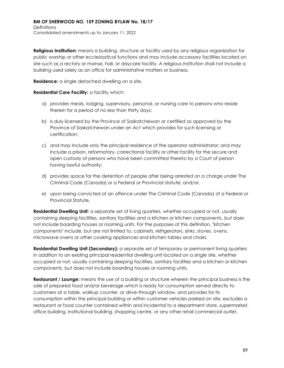**Religious Institution:** means a building, structure or facility used by any religious organization for public worship or other ecclesiastical functions and may include accessory facilities located on site such as a rectory or manse, hall, or daycare facility. A religious institution shall not include a building used solely as an office for administrative matters or business.

**Residence:** a single detached dwelling on a site.

## **Residential Care Facility:** a facility which:

- a) provides meals, lodging, supervisory, personal, or nursing care to persons who reside therein for a period of no less than thirty days;
- b) is duly licensed by the Province of Saskatchewan or certified as approved by the Province of Saskatchewan under an Act which provides for such licensing or certification;
- c) and may include only the principal residence of the operator administrator; and may include a prison, reformatory, correctional facility or other facility for the secure and open custody of persons who have been committed thereto by a Court of person having lawful authority;
- d) provides space for the detention of people after being arrested on a charge under The Criminal Code (Canada) or a Federal or Provincial statute; and/or,
- e) upon being convicted of an offence under The Criminal Code (Canada) of a Federal or Provincial Statute.

**Residential Dwelling Unit:** a separate set of living quarters, whether occupied or not, usually containing sleeping facilities, sanitary facilities and a kitchen or kitchen components, but does not include boarding houses or rooming units. For the purposes of this definition, "kitchen components" include, but are not limited to, cabinets, refrigerators, sinks, stoves, ovens, microwave ovens or other cooking appliances and kitchen tables and chairs.

**Residential Dwelling Unit (Secondary):** a separate set of temporary or permanent living quarters in addition to an existing principal residential dwelling unit located on a single site, whether occupied or not, usually containing sleeping facilities, sanitary facilities and a kitchen or kitchen components, but does not include boarding houses or rooming units.

**Restaurant / Lounge:** means the use of a building or structure wherein the principal business is the sale of prepared food and/or beverage which is ready for consumption served directly to customers at a table, walkup counter, or drive-through window, and provides for its consumption within the principal building or within customer vehicles parked on site, excludes a restaurant or food counter contained within and incidental to a department store, supermarket, office building, institutional building, shopping centre, or any other retail commercial outlet.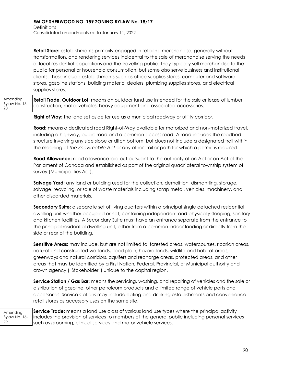**Definitions** Consolidated amendments up to January 11, 2022

**Retail Store:** establishments primarily engaged in retailing merchandise, generally without transformation, and rendering services incidental to the sale of merchandise serving the needs of local residential populations and the travelling public. They typically sell merchandise to the public for personal or household consumption, but some also serve business and institutional clients. These include establishments such as office supplies stores, computer and software stores, gasoline stations, building material dealers, plumbing supplies stores, and electrical supplies stores.

Amending Bylaw No. 16- 20

**Retail Trade, Outdoor Lot:** means an outdoor land use intended for the sale or lease of lumber, construction, motor vehicles, heavy equipment and associated accessories.

**Right of Way:** the land set aside for use as a municipal roadway or utility corridor.

**Road:** means a dedicated road Right-of-Way available for motorized and non-motorized travel, including a highway, public road and a common access road. A road includes the roadbed structure involving any side slope or ditch bottom, but does not include a designated trail within the meaning of *The Snowmobile Act* or any other trail or path for which a permit is required

**Road Allowance:** road allowance laid out pursuant to the authority of an Act or an Act of the Parliament of Canada and established as part of the original quadrilateral township system of survey (Municipalities Act).

**Salvage Yard:** any land or building used for the collection, demolition, dismantling, storage, salvage, recycling, or sale of waste materials including scrap metal, vehicles, machinery, and other discarded materials.

**Secondary Suite:** a separate set of living quarters within a principal single detached residential dwelling unit whether occupied or not, containing independent and physically sleeping, sanitary and kitchen facilities. A Secondary Suite must have an entrance separate from the entrance to the principal residential dwelling unit, either from a common indoor landing or directly from the side or rear of the building.

**Sensitive Areas:** may include, but are not limited to, forested areas, watercourses, riparian areas, natural and constructed wetlands, flood plain, hazard lands, wildlife and habitat areas, greenways and natural corridors, aquifers and recharge areas, protected areas, and other areas that may be identified by a First Nation, Federal, Provincial, or Municipal authority and crown agency ("Stakeholder") unique to the capital region.

**Service Station / Gas Bar:** means the servicing, washing, and repairing of vehicles and the sale or distribution of gasoline, other petroleum products and a limited range of vehicle parts and accessories. Service stations may include eating and drinking establishments and convenience retail stores as accessory uses on the same site.

| Amending<br>20 | <b>Service Trade:</b> means a land use class of various land use types where the principal activity<br>Bylaw No. 16- includes the provision of services to members of the general public including personal services<br>such as grooming, clinical services and motor vehicle services. |
|----------------|-----------------------------------------------------------------------------------------------------------------------------------------------------------------------------------------------------------------------------------------------------------------------------------------|
|----------------|-----------------------------------------------------------------------------------------------------------------------------------------------------------------------------------------------------------------------------------------------------------------------------------------|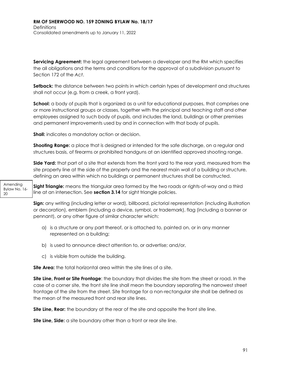**Servicing Agreement:** the legal agreement between a developer and the RM which specifies the all obligations and the terms and conditions for the approval of a subdivision pursuant to Section 172 of the *Act*.

**Setback:** the distance between two points in which certain types of development and structures shall not occur (e.g. from a creek, a front yard).

**School:** a body of pupils that is organized as a unit for educational purposes, that comprises one or more instructional groups or classes, together with the principal and teaching staff and other employees assigned to such body of pupils, and includes the land, buildings or other premises and permanent improvements used by and in connection with that body of pupils.

**Shall:** indicates a mandatory action or decision.

**Shooting Range:** a place that is designed or intended for the safe discharge, on a regular and structures basis, of firearms or prohibited handguns at an identified approved shooting range.

**Side Yard:** that part of a site that extends from the front yard to the rear yard, measured from the site property line at the side of the property and the nearest main wall of a building or structure, defining an area within which no buildings or permanent structures shall be constructed.

Amending Bylaw No. 16- 20

**Sight Triangle:** means the triangular area formed by the two roads or rights-of-way and a third line at an intersection. See **section 3.14** for sight triangle policies.

**Sign:** any writing (including letter or word), billboard, pictorial representation (including illustration or decoration), emblem (including a device, symbol, or trademark), flag (including a banner or pennant), or any other figure of similar character which:

- a) is a structure or any part thereof, or is attached to, painted on, or in any manner represented on a building;
- b) is used to announce direct attention to, or advertise; and/or,
- c) is visible from outside the building.

**Site Area:** the total horizontal area within the site lines of a site.

**Site Line, Front or Site Frontage**: the boundary that divides the site from the street or road. In the case of a corner site, the front site line shall mean the boundary separating the narrowest street frontage of the site from the street. Site frontage for a non-rectangular site shall be defined as the mean of the measured front and rear site lines.

**Site Line, Rear:** the boundary at the rear of the site and opposite the front site line.

**Site Line, Side:** a site boundary other than a front or rear site line.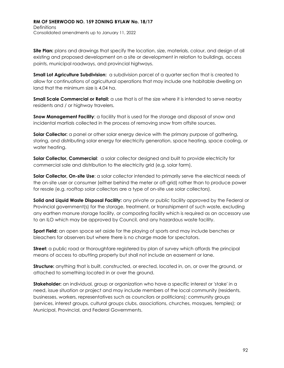**Site Plan:** plans and drawings that specify the location, size, materials, colour, and design of all existing and proposed development on a site or development in relation to buildings, access points, municipal roadways, and provincial highways.

**Small Lot Agriculture Subdivision:** a subdivision parcel of a quarter section that is created to allow for continuations of agricultural operations that may include one habitable dwelling on land that the minimum size is 4.04 ha.

**Small Scale Commercial or Retail:** a use that is of the size where it is intended to serve nearby residents and / or highway travelers.

**Snow Management Facility:** a facility that is used for the storage and disposal of snow and incidental martials collected in the process of removing snow from offsite sources.

**Solar Collector:** a panel or other solar energy device with the primary purpose of gathering, storing, and distributing solar energy for electricity generation, space heating, space cooling, or water heating.

**Solar Collector, Commercial**: a solar collector designed and built to provide electricity for commercial sale and distribution to the electricity grid (e.g. solar farm).

**Solar Collector, On-site Use**: a solar collector intended to primarily serve the electrical needs of the on-site user or consumer (either behind the meter or off-grid) rather than to produce power for resale (e.g. rooftop solar collectors are a type of on-site use solar collectors).

**Solid and Liquid Waste Disposal Facility:** any private or public facility approved by the Federal or Provincial government(s) for the storage, treatment, or transshipment of such waste, excluding any earthen manure storage facility, or composting facility which is required as an accessory use to an ILO which may be approved by Council, and any hazardous waste facility.

**Sport Field:** an open space set aside for the playing of sports and may include benches or bleachers for observers but where there is no charge made for spectators.

**Street:** a public road or thoroughfare registered by plan of survey which affords the principal means of access to abutting property but shall not include an easement or lane.

**Structure:** anything that is built, constructed, or erected, located in, on, or over the ground, or attached to something located in or over the ground.

**Stakeholder:** an individual, group or organization who have a specific interest or 'stake' in a need, issue situation or project and may include members of the local community (residents, businesses, workers, representatives such as councilors or politicians); community groups (services, interest groups, cultural groups clubs, associations, churches, mosques, temples); or Municipal, Provincial, and Federal Governments.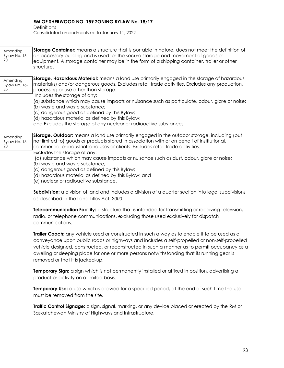**Definitions** 

Consolidated amendments up to January 11, 2022

| Amending<br>Bylaw No. 16-<br>20 | Storage Container: means a structure that is portable in nature, does not meet the definition of<br>an accessory building and is used for the secure storage and movement of goods or<br>equipment. A storage container may be in the form of a shipping container, trailer or other<br>structure.                                                                                                                                                                                                                                                                                                                                                                                                  |
|---------------------------------|-----------------------------------------------------------------------------------------------------------------------------------------------------------------------------------------------------------------------------------------------------------------------------------------------------------------------------------------------------------------------------------------------------------------------------------------------------------------------------------------------------------------------------------------------------------------------------------------------------------------------------------------------------------------------------------------------------|
| Amending<br>Bylaw No. 16-<br>20 | Storage, Hazardous Material: means a land use primarily engaged in the storage of hazardous<br>material(s) and/or dangerous goods. Excludes retail trade activities. Excludes any production,<br>processing or use other than storage.<br>Includes the storage of any:<br>(a) substance which may cause impacts or nuisance such as particulate, odour, glare or noise;<br>(b) waste and waste substance;<br>(c) dangerous good as defined by this Bylaw;<br>(d) hazardous material as defined by this Bylaw;<br>and Excludes the storage of any nuclear or radioactive substances.                                                                                                                 |
| Amending<br>Bylaw No. 16-<br>20 | Storage, Outdoor: means a land use primarily engaged in the outdoor storage, including (but<br>not limited to) goods or products stored in association with or on behalf of institutional,<br>commercial or industrial land uses or clients. Excludes retail trade activities.<br>Excludes the storage of any:<br>(a) substance which may cause impacts or nuisance such as dust, odour, glare or noise;<br>(b) waste and waste substance;<br>(c) dangerous good as defined by this Bylaw;<br>(d) hazardous material as defined by this Bylaw; and<br>(e) nuclear or radioactive substance.<br>Subdivision: a division of land and includes a division of a quarter section into legal subdivisions |
|                                 | as described in the Land Titles Act, 2000.                                                                                                                                                                                                                                                                                                                                                                                                                                                                                                                                                                                                                                                          |

**Telecommunication Facility:** a structure that is intended for transmitting or receiving television, radio, or telephone communications, excluding those used exclusively for dispatch communications.

**Trailer Coach:** any vehicle used or constructed in such a way as to enable it to be used as a conveyance upon public roads or highways and includes a self-propelled or non-self-propelled vehicle designed, constructed, or reconstructed in such a manner as to permit occupancy as a dwelling or sleeping place for one or more persons notwithstanding that its running gear is removed or that it is jacked-up.

**Temporary Sign:** a sign which is not permanently installed or affixed in position, advertising a product or activity on a limited basis.

**Temporary Use:** a use which is allowed for a specified period, at the end of such time the use must be removed from the site.

**Traffic Control Signage:** a sign, signal, marking, or any device placed or erected by the RM or Saskatchewan Ministry of Highways and Infrastructure.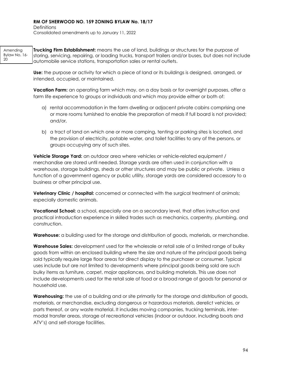**Definitions** Consolidated amendments up to January 11, 2022

Amending Bylaw No. 16- 20 **Trucking Firm Establishment:** means the use of land, buildings or structures for the purpose of storing, servicing, repairing, or loading trucks, transport trailers and/or buses, but does not include automobile service stations, transportation sales or rental outlets.

> **Use:** the purpose or activity for which a piece of land or its buildings is designed, arranged, or intended, occupied, or maintained.

**Vacation Farm:** an operating farm which may, on a day basis or for overnight purposes, offer a farm life experience to groups or individuals and which may provide either or both of:

- a) rental accommodation in the farm dwelling or adjacent private cabins comprising one or more rooms furnished to enable the preparation of meals if full board is not provided; and/or,
- b) a tract of land on which one or more camping, tenting or parking sites is located, and the provision of electricity, potable water, and toilet facilities to any of the persons, or groups occupying any of such sites.

**Vehicle Storage Yard:** an outdoor area where vehicles or vehicle-related equipment / merchandise are stored until needed. Storage yards are often used in conjunction with a warehouse, storage buildings, sheds or other structures and may be public or private. Unless a function of a government agency or public utility, storage yards are considered accessory to a business or other principal use.

**Veterinary Clinic / hospital:** concerned or connected with the surgical treatment of animals; especially domestic animals.

**Vocational School:** a school, especially one on a secondary level, that offers instruction and practical introduction experience in skilled trades such as mechanics, carpentry, plumbing, and construction.

**Warehouse:** a building used for the storage and distribution of goods, materials, or merchandise.

**Warehouse Sales:** development used for the wholesale or retail sale of a limited range of bulky goods from within an enclosed building where the size and nature of the principal goods being sold typically require large floor areas for direct display to the purchaser or consumer. Typical uses include but are not limited to developments where principal goods being sold are such bulky items as furniture, carpet, major appliances, and building materials. This use does not include developments used for the retail sale of food or a broad range of goods for personal or household use.

**Warehousing:** the use of a building and or site primarily for the storage and distribution of goods, materials, or merchandise, excluding dangerous or hazardous materials, derelict vehicles, or parts thereof, or any waste material. It includes moving companies, trucking terminals, intermodal transfer areas, storage of recreational vehicles (indoor or outdoor, including boats and ATV's) and self-storage facilities.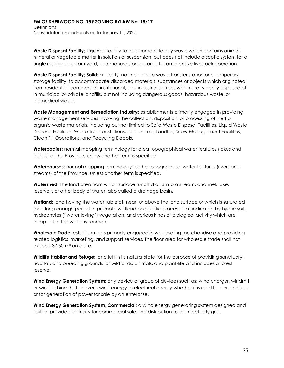**Waste Disposal Facility; Liquid:** a facility to accommodate any waste which contains animal, mineral or vegetable matter in solution or suspension, but does not include a septic system for a single residence or farmyard, or a manure storage area for an intensive livestock operation.

**Waste Disposal Facility; Solid:** a facility, not including a waste transfer station or a temporary storage facility, to accommodate discarded materials, substances or objects which originated from residential, commercial, institutional, and industrial sources which are typically disposed of in municipal or private landfills, but not including dangerous goods, hazardous waste, or biomedical waste.

**Waste Management and Remediation Industry:** establishments primarily engaged in providing waste management services involving the collection, disposition, or processing of inert or organic waste materials, including but not limited to Solid Waste Disposal Facilities, Liquid Waste Disposal Facilities, Waste Transfer Stations, Land-Farms, Landfills, Snow Management Facilities, Clean Fill Operations, and Recycling Depots.

**Waterbodies:** normal mapping terminology for area topographical water features (lakes and ponds) of the Province, unless another term is specified.

**Watercourses:** normal mapping terminology for the topographical water features (rivers and streams) of the Province, unless another term is specified.

**Watershed:** The land area from which surface runoff drains into a stream, channel, lake, reservoir, or other body of water; also called a drainage basin.

**Wetland:** land having the water table at, near, or above the land surface or which is saturated for a long enough period to promote wetland or aquatic processes as indicated by hydric soils, hydrophytes ("water loving") vegetation, and various kinds of biological activity which are adapted to the wet environment.

**Wholesale Trade:** establishments primarily engaged in wholesaling merchandise and providing related logistics, marketing, and support services. The floor area for wholesale trade shall not exceed 3,250 m² on a site.

**Wildlife Habitat and Refuge:** land left in its natural state for the purpose of providing sanctuary, habitat, and breeding grounds for wild birds, animals, and plant-life and includes a forest reserve.

**Wind Energy Generation System:** any device or group of devices such as: wind charger, windmill or wind turbine that converts wind energy to electrical energy whether it is used for personal use or for generation of power for sale by an enterprise.

**Wind Energy Generation System, Commercial:** a wind energy generating system designed and built to provide electricity for commercial sale and distribution to the electricity grid.